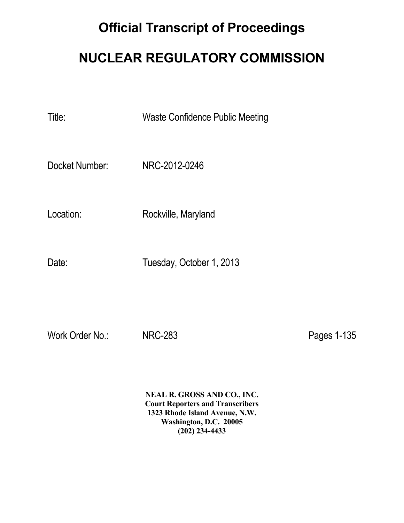## **Official Transcript of Proceedings**

## **NUCLEAR REGULATORY COMMISSION**

Title: Waste Confidence Public Meeting

Docket Number: NRC-2012-0246

Location: Rockville, Maryland

Date: Tuesday, October 1, 2013

Work Order No.: NRC-283 New York Order No.: NRC-283

 **NEAL R. GROSS AND CO., INC. Court Reporters and Transcribers 1323 Rhode Island Avenue, N.W. Washington, D.C. 20005 (202) 234-4433**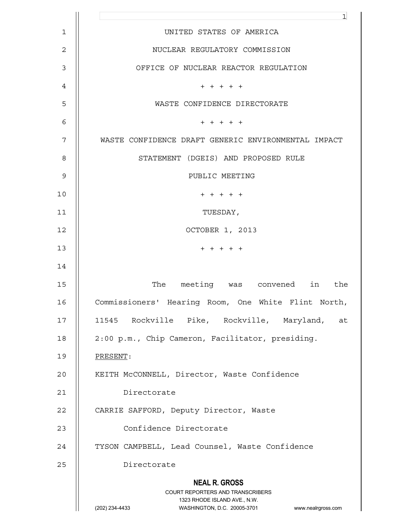|                | $\mathbf{1}$                                                                                                                                                           |
|----------------|------------------------------------------------------------------------------------------------------------------------------------------------------------------------|
| $\mathbf 1$    | UNITED STATES OF AMERICA                                                                                                                                               |
| $\overline{c}$ | NUCLEAR REGULATORY COMMISSION                                                                                                                                          |
| $\mathsf 3$    | OFFICE OF NUCLEAR REACTOR REGULATION                                                                                                                                   |
| 4              | $+ + + + + +$                                                                                                                                                          |
| 5              | WASTE CONFIDENCE DIRECTORATE                                                                                                                                           |
| 6              | $+ + + + + +$                                                                                                                                                          |
| 7              | WASTE CONFIDENCE DRAFT GENERIC ENVIRONMENTAL IMPACT                                                                                                                    |
| 8              | STATEMENT (DGEIS) AND PROPOSED RULE                                                                                                                                    |
| $\mathsf 9$    | PUBLIC MEETING                                                                                                                                                         |
| 10             | $+ + + + + +$                                                                                                                                                          |
| 11             | TUESDAY,                                                                                                                                                               |
| 12             | OCTOBER 1, 2013                                                                                                                                                        |
| 13             | $+ + + + + +$                                                                                                                                                          |
| 14             |                                                                                                                                                                        |
| 15             | The meeting was convened in<br>the                                                                                                                                     |
| 16             | Commissioners' Hearing Room, One White Flint North,                                                                                                                    |
| 17             | 11545 Rockville Pike, Rockville, Maryland, at                                                                                                                          |
| 18             | 2:00 p.m., Chip Cameron, Facilitator, presiding.                                                                                                                       |
| 19             | PRESENT:                                                                                                                                                               |
| 20             | KEITH McCONNELL, Director, Waste Confidence                                                                                                                            |
| 21             | Directorate                                                                                                                                                            |
| 22             | CARRIE SAFFORD, Deputy Director, Waste                                                                                                                                 |
| 23             | Confidence Directorate                                                                                                                                                 |
| 24             | TYSON CAMPBELL, Lead Counsel, Waste Confidence                                                                                                                         |
| 25             | Directorate                                                                                                                                                            |
|                | <b>NEAL R. GROSS</b><br><b>COURT REPORTERS AND TRANSCRIBERS</b><br>1323 RHODE ISLAND AVE., N.W.<br>(202) 234-4433<br>WASHINGTON, D.C. 20005-3701<br>www.nealrgross.com |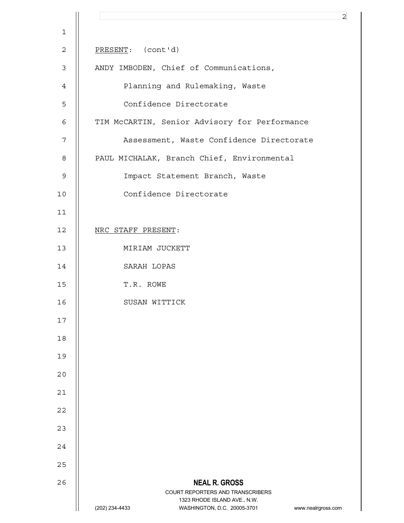|                | $\overline{2}$                                                                                      |
|----------------|-----------------------------------------------------------------------------------------------------|
| $\mathbf 1$    |                                                                                                     |
| $\mathbf{2}$   | PRESENT: (cont'd)                                                                                   |
| $\mathfrak{Z}$ | ANDY IMBODEN, Chief of Communications,                                                              |
| 4              | Planning and Rulemaking, Waste                                                                      |
| 5              | Confidence Directorate                                                                              |
| 6              | TIM McCARTIN, Senior Advisory for Performance                                                       |
| 7              | Assessment, Waste Confidence Directorate                                                            |
| 8              | PAUL MICHALAK, Branch Chief, Environmental                                                          |
| $\mathsf 9$    | Impact Statement Branch, Waste                                                                      |
| 10             | Confidence Directorate                                                                              |
| 11             |                                                                                                     |
| 12             | NRC STAFF PRESENT:                                                                                  |
| 13             | MIRIAM JUCKETT                                                                                      |
| 14             | SARAH LOPAS                                                                                         |
| 15             | T.R. ROWE                                                                                           |
| 16             | SUSAN WITTICK                                                                                       |
| 17             |                                                                                                     |
| 18             |                                                                                                     |
| 19             |                                                                                                     |
| 20             |                                                                                                     |
| 21             |                                                                                                     |
| 22             |                                                                                                     |
| 23             |                                                                                                     |
| 24             |                                                                                                     |
| 25             |                                                                                                     |
| 26             | <b>NEAL R. GROSS</b><br>COURT REPORTERS AND TRANSCRIBERS                                            |
|                | 1323 RHODE ISLAND AVE., N.W.<br>(202) 234-4433<br>WASHINGTON, D.C. 20005-3701<br>www.nealrgross.com |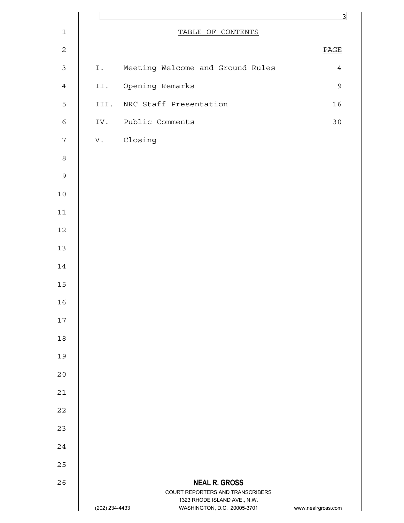|                  |                |                                                             | $\overline{3}$     |
|------------------|----------------|-------------------------------------------------------------|--------------------|
| $\mathbf 1$      |                | TABLE OF CONTENTS                                           |                    |
| $\mathbf 2$      |                |                                                             | <b>PAGE</b>        |
| $\mathfrak{Z}$   | Ι.             | Meeting Welcome and Ground Rules                            | $\overline{4}$     |
| $\ensuremath{4}$ |                | II. Opening Remarks                                         | $\mathsf 9$        |
| $\mathsf S$      |                | III. NRC Staff Presentation                                 | 16                 |
| $\epsilon$       |                | IV. Public Comments                                         | 30                 |
| $\sqrt{ }$       |                | V. Closing                                                  |                    |
| $\,8\,$          |                |                                                             |                    |
| $\mathcal{G}$    |                |                                                             |                    |
| $10$             |                |                                                             |                    |
| $11\,$           |                |                                                             |                    |
| $12\,$           |                |                                                             |                    |
| $13\,$           |                |                                                             |                    |
| $14\,$           |                |                                                             |                    |
| 15               |                |                                                             |                    |
| 16               |                |                                                             |                    |
| 17               |                |                                                             |                    |
| $18\,$           |                |                                                             |                    |
| 19               |                |                                                             |                    |
| 20               |                |                                                             |                    |
| 21               |                |                                                             |                    |
| 22               |                |                                                             |                    |
| 23               |                |                                                             |                    |
| 24               |                |                                                             |                    |
| 25               |                |                                                             |                    |
| 26               |                | <b>NEAL R. GROSS</b><br>COURT REPORTERS AND TRANSCRIBERS    |                    |
|                  | (202) 234-4433 | 1323 RHODE ISLAND AVE., N.W.<br>WASHINGTON, D.C. 20005-3701 | www.nealrgross.com |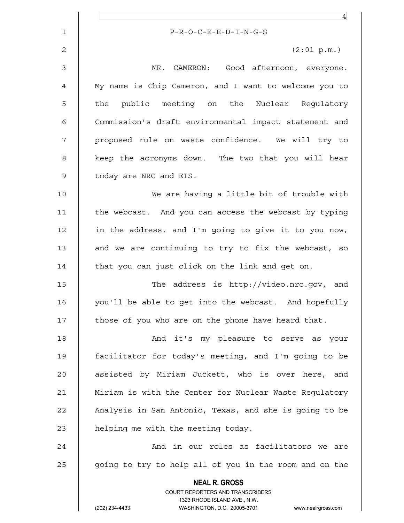|                | $\overline{4}$                                                                                      |
|----------------|-----------------------------------------------------------------------------------------------------|
| $\mathbf{1}$   | $P-R-O-C-E-E-D-I-N-G-S$                                                                             |
| $\overline{2}$ | (2:01 p.m.)                                                                                         |
| $\mathsf 3$    | MR. CAMERON: Good afternoon, everyone.                                                              |
| 4              | My name is Chip Cameron, and I want to welcome you to                                               |
| 5              | public meeting on the Nuclear Regulatory<br>the                                                     |
| 6              | Commission's draft environmental impact statement and                                               |
| 7              | proposed rule on waste confidence. We will try to                                                   |
| 8              | keep the acronyms down. The two that you will hear                                                  |
| $\mathsf 9$    | today are NRC and EIS.                                                                              |
| 10             | We are having a little bit of trouble with                                                          |
| 11             | the webcast. And you can access the webcast by typing                                               |
| 12             | in the address, and I'm going to give it to you now,                                                |
| 13             | and we are continuing to try to fix the webcast, so                                                 |
| 14             | that you can just click on the link and get on.                                                     |
| 15             | The address is http://video.nrc.gov, and                                                            |
| 16             | you'll be able to get into the webcast. And hopefully                                               |
| 17             | those of you who are on the phone have heard that.                                                  |
| 18             | And it's my pleasure to serve as your                                                               |
| 19             | facilitator for today's meeting, and I'm going to be                                                |
| 20             | assisted by Miriam Juckett, who is over here, and                                                   |
| 21             | Miriam is with the Center for Nuclear Waste Regulatory                                              |
| 22             | Analysis in San Antonio, Texas, and she is going to be                                              |
| 23             | helping me with the meeting today.                                                                  |
|                |                                                                                                     |
| 24             | And in our roles as facilitators we are                                                             |
| 25             | going to try to help all of you in the room and on the                                              |
|                | <b>NEAL R. GROSS</b><br>COURT REPORTERS AND TRANSCRIBERS                                            |
|                | 1323 RHODE ISLAND AVE., N.W.<br>(202) 234-4433<br>WASHINGTON, D.C. 20005-3701<br>www.nealrgross.com |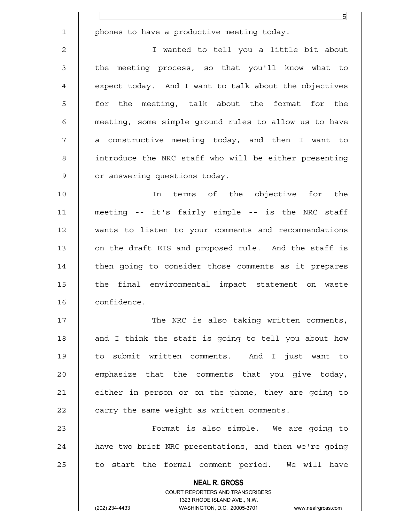**NEAL R. GROSS** COURT REPORTERS AND TRANSCRIBERS 1323 RHODE ISLAND AVE., N.W. <u>5</u> 1 | phones to have a productive meeting today. 2 I wanted to tell you a little bit about 3 || the meeting process, so that you'll know what to 4 | expect today. And I want to talk about the objectives 5 || for the meeting, talk about the format for the 6 meeting, some simple ground rules to allow us to have 7 || a constructive meeting today, and then I want to 8 introduce the NRC staff who will be either presenting 9 | or answering questions today. 10 || The terms of the objective for the 11 meeting -- it's fairly simple -- is the NRC staff 12 wants to listen to your comments and recommendations 13 || on the draft EIS and proposed rule. And the staff is 14 | then going to consider those comments as it prepares 15 || the final environmental impact statement on waste 16 | confidence. 17 || The NRC is also taking written comments, 18 || and I think the staff is going to tell you about how 19 to submit written comments. And I just want to  $20$  || emphasize that the comments that you give today, 21 | either in person or on the phone, they are going to  $22$   $\parallel$  carry the same weight as written comments. 23 Format is also simple. We are going to 24 | have two brief NRC presentations, and then we're going  $25$  || to start the formal comment period. We will have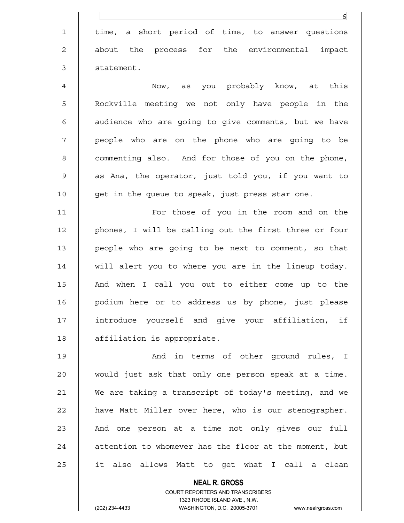|             | 6                                                      |
|-------------|--------------------------------------------------------|
| $\mathbf 1$ | time, a short period of time, to answer questions      |
| 2           | the process for the environmental impact<br>about      |
| 3           | statement.                                             |
| 4           | Now, as you probably know, at this                     |
| 5           | Rockville meeting we not only have people in the       |
| 6           | audience who are going to give comments, but we have   |
| 7           | people who are on the phone who are going to be        |
| 8           | commenting also. And for those of you on the phone,    |
| 9           | as Ana, the operator, just told you, if you want to    |
| 10          | get in the queue to speak, just press star one.        |
| 11          | For those of you in the room and on the                |
| 12          | phones, I will be calling out the first three or four  |
| 13          | people who are going to be next to comment, so that    |
| 14          | will alert you to where you are in the lineup today.   |
| 15          | And when I call you out to either come up to the       |
| 16          | podium here or to address us by phone, just please     |
| 17          | introduce yourself and give your affiliation, if       |
| 18          | affiliation is appropriate.                            |
| 19          | And in terms of other ground rules, I                  |
| 20          | would just ask that only one person speak at a time.   |
| 21          | We are taking a transcript of today's meeting, and we  |
| 22          | have Matt Miller over here, who is our stenographer.   |
| 23          | And one person at a time not only gives our full       |
| 24          | attention to whomever has the floor at the moment, but |
| 25          | it also allows Matt to get what I call a clean         |
|             | <b>NEAL R. GROSS</b>                                   |

 COURT REPORTERS AND TRANSCRIBERS 1323 RHODE ISLAND AVE., N.W. (202) 234-4433 WASHINGTON, D.C. 20005-3701 www.nealrgross.com

 $\prod$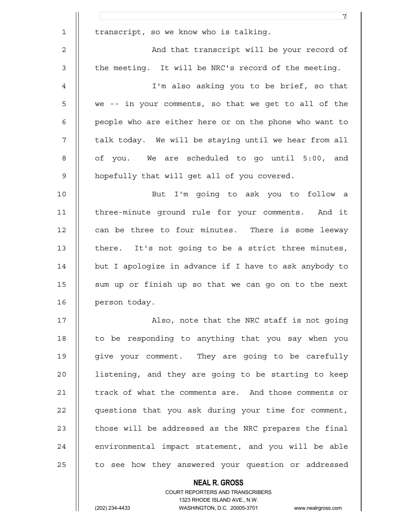|              | $\overline{7}$                                         |
|--------------|--------------------------------------------------------|
| $\mathbf{1}$ | transcript, so we know who is talking.                 |
| $\mathbf{2}$ | And that transcript will be your record of             |
| 3            | the meeting. It will be NRC's record of the meeting.   |
| 4            | I'm also asking you to be brief, so that               |
| 5            | we -- in your comments, so that we get to all of the   |
| 6            | people who are either here or on the phone who want to |
| 7            | talk today. We will be staying until we hear from all  |
| 8            | of you. We are scheduled to go until 5:00, and         |
| 9            | hopefully that will get all of you covered.            |
| 10           | But I'm going to ask you to follow a                   |
| 11           | three-minute ground rule for your comments. And it     |
| 12           | can be three to four minutes. There is some leeway     |
| 13           | there. It's not going to be a strict three minutes,    |
| 14           | but I apologize in advance if I have to ask anybody to |
| 15           | sum up or finish up so that we can go on to the next   |
| 16           | person today.                                          |
| 17           | Also, note that the NRC staff is not going             |
| 18           | to be responding to anything that you say when you     |
| 19           | give your comment. They are going to be carefully      |
| 20           | listening, and they are going to be starting to keep   |
| 21           | track of what the comments are. And those comments or  |
| 22           | questions that you ask during your time for comment,   |
| 23           | those will be addressed as the NRC prepares the final  |
| 24           | environmental impact statement, and you will be able   |
| 25           | to see how they answered your question or addressed    |
|              | <b>NEAL R. GROSS</b>                                   |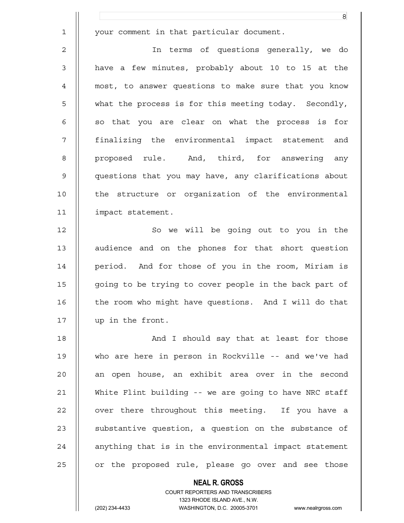|                | 8                                                      |
|----------------|--------------------------------------------------------|
| $\mathbf 1$    | your comment in that particular document.              |
| $\overline{2}$ | In terms of questions generally, we do                 |
| 3              | have a few minutes, probably about 10 to 15 at the     |
| $\overline{4}$ | most, to answer questions to make sure that you know   |
| 5              | what the process is for this meeting today. Secondly,  |
| 6              | so that you are clear on what the process is for       |
| 7              | finalizing the environmental impact statement and      |
| 8              | proposed rule. And, third, for answering any           |
| $\mathsf 9$    | questions that you may have, any clarifications about  |
| 10             | the structure or organization of the environmental     |
| 11             | impact statement.                                      |
| 12             | So we will be going out to you in the                  |
| 13             | audience and on the phones for that short question     |
| 14             | period. And for those of you in the room, Miriam is    |
| 15             | going to be trying to cover people in the back part of |
| 16             | the room who might have questions. And I will do that  |
| 17             | up in the front.                                       |
| 18             | And I should say that at least for those               |
| 19             | who are here in person in Rockville -- and we've had   |
| 20             | an open house, an exhibit area over in the second      |
| 21             | White Flint building -- we are going to have NRC staff |
| 22             | over there throughout this meeting. If you have a      |
| 23             | substantive question, a question on the substance of   |
| 24             | anything that is in the environmental impact statement |
| 25             | or the proposed rule, please go over and see those     |
|                | <b>NEAL R. GROSS</b>                                   |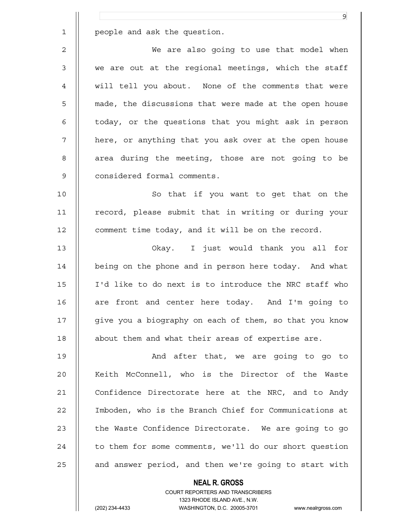|             | 9                                                      |
|-------------|--------------------------------------------------------|
| $\mathbf 1$ | people and ask the question.                           |
| 2           | We are also going to use that model when               |
| 3           | we are out at the regional meetings, which the staff   |
| 4           | will tell you about. None of the comments that were    |
| 5           | made, the discussions that were made at the open house |
| 6           | today, or the questions that you might ask in person   |
| 7           | here, or anything that you ask over at the open house  |
| 8           | area during the meeting, those are not going to be     |
| 9           | considered formal comments.                            |
| 10          | So that if you want to get that on the                 |
| 11          | record, please submit that in writing or during your   |
| 12          | comment time today, and it will be on the record.      |
| 13          | Okay. I just would thank you all for                   |
| 14          | being on the phone and in person here today. And what  |
| 15          | I'd like to do next is to introduce the NRC staff who  |
| 16          | are front and center here today. And I'm going to      |
| 17          | give you a biography on each of them, so that you know |
| 18          | about them and what their areas of expertise are.      |
| 19          | And after that, we are going to go to                  |
| 20          | Keith McConnell, who is the Director of the Waste      |
| 21          | Confidence Directorate here at the NRC, and to Andy    |
| 22          | Imboden, who is the Branch Chief for Communications at |
| 23          | the Waste Confidence Directorate. We are going to go   |
| 24          | to them for some comments, we'll do our short question |
| 25          | and answer period, and then we're going to start with  |
|             | <b>NEAL R. GROSS</b>                                   |

 $\mathsf{II}$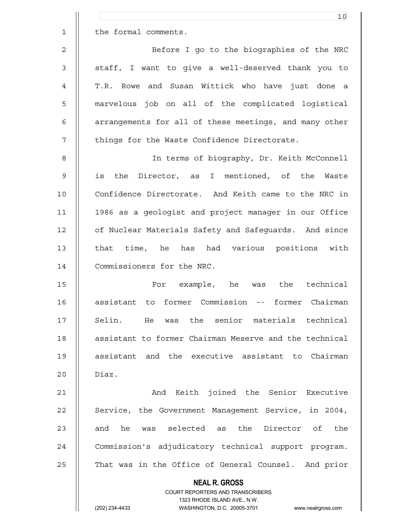|                | 10                                                                      |
|----------------|-------------------------------------------------------------------------|
| $\mathbf 1$    | the formal comments.                                                    |
| $\overline{2}$ | Before I go to the biographies of the NRC                               |
| 3              | staff, I want to give a well-deserved thank you to                      |
| 4              | T.R. Rowe and Susan Wittick who have just done a                        |
| 5              | marvelous job on all of the complicated logistical                      |
| 6              | arrangements for all of these meetings, and many other                  |
| 7              | things for the Waste Confidence Directorate.                            |
| 8              | In terms of biography, Dr. Keith McConnell                              |
| 9              | the<br>Director, as I mentioned, of the Waste<br>is                     |
| 10             | Confidence Directorate. And Keith came to the NRC in                    |
| 11             | 1986 as a geologist and project manager in our Office                   |
| 12             | of Nuclear Materials Safety and Safeguards. And since                   |
| 13             | that time, he has had various positions with                            |
| 14             | Commissioners for the NRC.                                              |
| 15             | was the technical<br>For example, he                                    |
| 16             | assistant to former Commission -- former Chairman                       |
| 17             | Selin. He was the senior materials technical                            |
| 18             | assistant to former Chairman Meserve and the technical                  |
| 19             | assistant and the executive assistant to Chairman                       |
| 20             | Diaz.                                                                   |
| 21             | And Keith joined the Senior Executive                                   |
| 22             | Service, the Government Management Service, in 2004,                    |
| 23             | and he was selected as the Director of the                              |
| 24             | Commission's adjudicatory technical support program.                    |
| 25             | That was in the Office of General Counsel. And prior                    |
|                | <b>NEAL R. GROSS</b>                                                    |
|                | <b>COURT REPORTERS AND TRANSCRIBERS</b><br>1323 RHODE ISLAND AVE., N.W. |
|                | (202) 234-4433<br>WASHINGTON, D.C. 20005-3701<br>www.nealrgross.com     |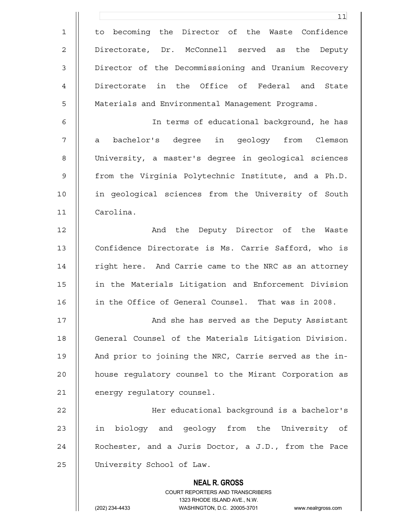|                | 11                                                                  |
|----------------|---------------------------------------------------------------------|
| $\mathbf 1$    | to becoming the Director of the Waste Confidence                    |
| 2              | Directorate, Dr. McConnell served as the Deputy                     |
| $\mathfrak{Z}$ | Director of the Decommissioning and Uranium Recovery                |
| 4              | Directorate in the Office of Federal and<br>State                   |
| 5              | Materials and Environmental Management Programs.                    |
| 6              | In terms of educational background, he has                          |
| 7              | a bachelor's degree in geology from Clemson                         |
| 8              | University, a master's degree in geological sciences                |
| 9              | from the Virginia Polytechnic Institute, and a Ph.D.                |
| 10             | in geological sciences from the University of South                 |
| 11             | Carolina.                                                           |
| 12             | And the Deputy Director of the Waste                                |
| 13             | Confidence Directorate is Ms. Carrie Safford, who is                |
| 14             | right here. And Carrie came to the NRC as an attorney               |
| 15             | in the Materials Litigation and Enforcement Division                |
| 16             | in the Office of General Counsel. That was in 2008.                 |
| 17             | And she has served as the Deputy Assistant                          |
| 18             | General Counsel of the Materials Litigation Division.               |
| 19             | And prior to joining the NRC, Carrie served as the in-              |
| 20             | house regulatory counsel to the Mirant Corporation as               |
| 21             | energy regulatory counsel.                                          |
| 22             | Her educational background is a bachelor's                          |
| 23             | biology and geology from the University of<br>in                    |
| 24             | Rochester, and a Juris Doctor, a J.D., from the Pace                |
| 25             | University School of Law.                                           |
|                | <b>NEAL R. GROSS</b><br>COURT REPORTERS AND TRANSCRIBERS            |
|                | 1323 RHODE ISLAND AVE., N.W.                                        |
|                | (202) 234-4433<br>WASHINGTON, D.C. 20005-3701<br>www.nealrgross.com |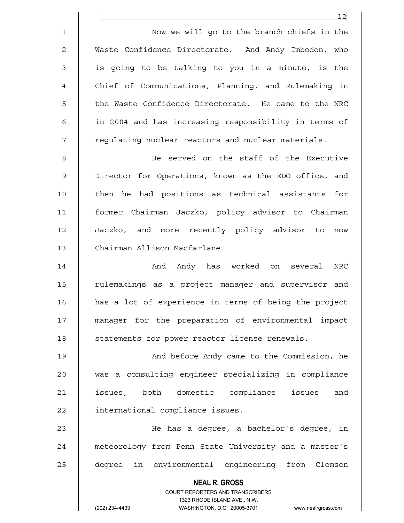2 Waste Confidence Directorate. And Andy Imboden, who 3 || is going to be talking to you in a minute, is the 4 Chief of Communications, Planning, and Rulemaking in 5 || the Waste Confidence Directorate. He came to the NRC 6 in 2004 and has increasing responsibility in terms of 7 | regulating nuclear reactors and nuclear materials.

8 He served on the staff of the Executive 9 || Director for Operations, known as the EDO office, and 10 || then he had positions as technical assistants for 11 former Chairman Jaczko, policy advisor to Chairman 12 Jaczko, and more recently policy advisor to now 13 Chairman Allison Macfarlane.

14 **And And Andy has worked on several NRC** 15 || rulemakings as a project manager and supervisor and 16 has a lot of experience in terms of being the project 17 manager for the preparation of environmental impact 18 | statements for power reactor license renewals.

19 || And before Andy came to the Commission, he 20 was a consulting engineer specializing in compliance 21 || issues, both domestic compliance issues and 22 | international compliance issues.

23 He has a degree, a bachelor's degree, in 24 || meteorology from Penn State University and a master's 25 degree in environmental engineering from Clemson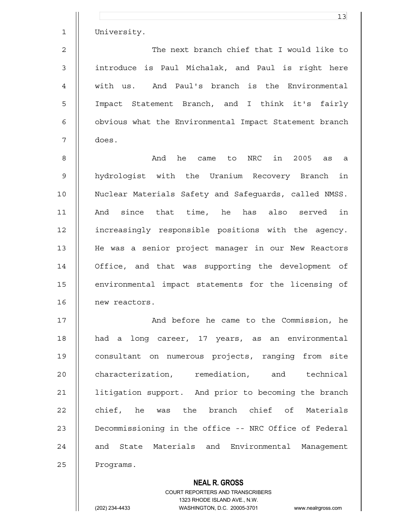|              | 13                                                     |
|--------------|--------------------------------------------------------|
| $\mathbf{1}$ | University.                                            |
| 2            | The next branch chief that I would like to             |
| 3            | introduce is Paul Michalak, and Paul is right here     |
| 4            | with us. And Paul's branch is the Environmental        |
| 5            | Impact Statement Branch, and I think it's fairly       |
| 6            | obvious what the Environmental Impact Statement branch |
| 7            | does.                                                  |
| 8            | he came to NRC in 2005 as a<br>And                     |
| 9            | hydrologist with the Uranium Recovery Branch in        |
| 0            | Nuclear Materials Safety and Safeguards, called NMSS.  |
| $\mathbf{1}$ | And since that time, he has also served<br>in          |

10 Nuclear Materials Safety and Safeguards, called NMSS. 11 And since that time, he has also served in 12 increasingly responsible positions with the agency. 13 He was a senior project manager in our New Reactors 14 Office, and that was supporting the development of 15 environmental impact statements for the licensing of 16 | new reactors.

17 || And before he came to the Commission, he 18 || had a long career, 17 years, as an environmental 19 || consultant on numerous projects, ranging from site 20 **characterization,** remediation, and technical 21 litigation support. And prior to becoming the branch  $22$  | chief, he was the branch chief of Materials 23 | Decommissioning in the office -- NRC Office of Federal 24 || and State Materials and Environmental Management 25 | Programs.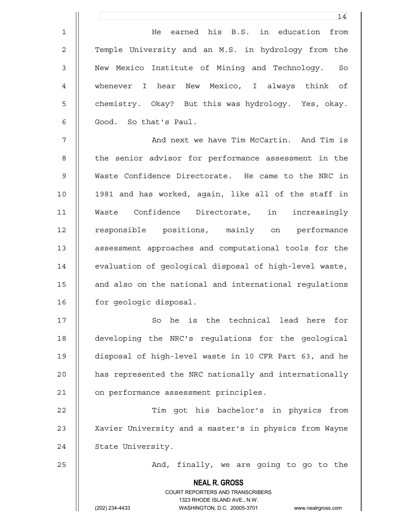1 He earned his B.S. in education from 2 || Temple University and an M.S. in hydrology from the 3 || New Mexico Institute of Mining and Technology. So 4 whenever I hear New Mexico, I always think of 5 || chemistry. Okay? But this was hydrology. Yes, okay. 6 || Good. So that's Paul.

7 And next we have Tim McCartin. And Tim is 8 || the senior advisor for performance assessment in the 9 Waste Confidence Directorate. He came to the NRC in 10 1981 and has worked, again, like all of the staff in 11 Waste Confidence Directorate, in increasingly 12 || responsible positions, mainly on performance 13 || assessment approaches and computational tools for the 14 | evaluation of geological disposal of high-level waste, 15 | and also on the national and international regulations 16 | for geologic disposal.

17 || So he is the technical lead here for 18 developing the NRC's regulations for the geological 19 disposal of high-level waste in 10 CFR Part 63, and he 20 **has represented the NRC nationally and internationally** 21 | on performance assessment principles.

22 Tim got his bachelor's in physics from 23 || Xavier University and a master's in physics from Wayne 24 | State University.

 **NEAL R. GROSS**

25 | And, finally, we are going to go to the

 COURT REPORTERS AND TRANSCRIBERS 1323 RHODE ISLAND AVE., N.W.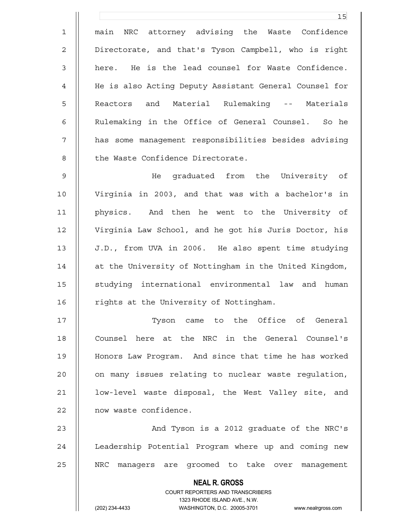1 main NRC attorney advising the Waste Confidence 2 | Directorate, and that's Tyson Campbell, who is right  $3$   $\parallel$  here. He is the lead counsel for Waste Confidence. 4 He is also Acting Deputy Assistant General Counsel for 5 || Reactors and Material Rulemaking -- Materials 6 || Rulemaking in the Office of General Counsel. So he 7 has some management responsibilities besides advising 8 || the Waste Confidence Directorate.

9 He graduated from the University of 10 Virginia in 2003, and that was with a bachelor's in 11 physics. And then he went to the University of 12 Virginia Law School, and he got his Juris Doctor, his 13 J.D., from UVA in 2006. He also spent time studying 14 || at the University of Nottingham in the United Kingdom, 15 || studying international environmental law and human 16 | rights at the University of Nottingham.

17 Tyson came to the Office of General 18 || Counsel here at the NRC in the General Counsel's 19 Honors Law Program. And since that time he has worked 20 || on many issues relating to nuclear waste regulation, 21 | low-level waste disposal, the West Valley site, and 22 | now waste confidence.

23 || And Tyson is a 2012 graduate of the NRC's 24 || Leadership Potential Program where up and coming new 25 || NRC managers are groomed to take over management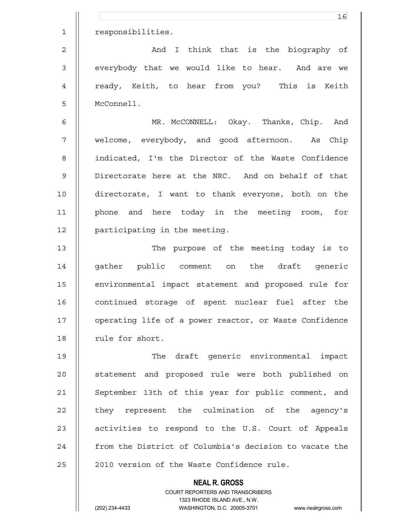|                | 16                                                     |
|----------------|--------------------------------------------------------|
| $\mathbf{1}$   | responsibilities.                                      |
| $\overline{2}$ | And I think that is the biography of                   |
| $\mathfrak{Z}$ | everybody that we would like to hear. And are we       |
| $\overline{4}$ | ready, Keith, to hear from you? This is Keith          |
| 5              | McConnell.                                             |
| $\epsilon$     | MR. McCONNELL: Okay. Thanks, Chip. And                 |
| $\overline{7}$ | welcome, everybody, and good afternoon. As Chip        |
| 8              | indicated, I'm the Director of the Waste Confidence    |
| $\mathsf 9$    | Directorate here at the NRC. And on behalf of that     |
| 10             | directorate, I want to thank everyone, both on the     |
| 11             | phone and here today in the meeting room, for          |
| 12             | participating in the meeting.                          |
| 13             | The purpose of the meeting today is to                 |
| 14             | gather public comment on the draft generic             |
| 15             | environmental impact statement and proposed rule for   |
| 16             | continued storage of spent nuclear fuel after the      |
| 17             | operating life of a power reactor, or Waste Confidence |
| 18             | rule for short.                                        |
| 19             | The draft generic environmental impact                 |
| 20             | statement and proposed rule were both published on     |
| 21             | September 13th of this year for public comment, and    |
| 22             | they represent the culmination of the agency's         |
| 23             | activities to respond to the U.S. Court of Appeals     |
| 24             | from the District of Columbia's decision to vacate the |
| 25             | 2010 version of the Waste Confidence rule.             |
|                | <b>NEAL R. GROSS</b>                                   |

 $\mathsf{II}$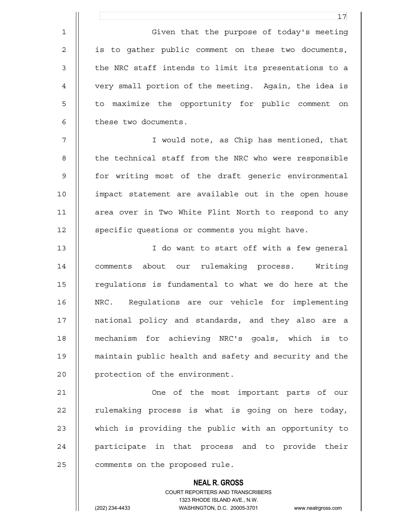1 | Given that the purpose of today's meeting 2 || is to gather public comment on these two documents, 3 || the NRC staff intends to limit its presentations to a 4 very small portion of the meeting. Again, the idea is 5 || to maximize the opportunity for public comment on 6 | these two documents.

7 I would note, as Chip has mentioned, that 8 || the technical staff from the NRC who were responsible 9 || for writing most of the draft generic environmental 10 impact statement are available out in the open house 11 || area over in Two White Flint North to respond to any 12 | specific questions or comments you might have.

13 || I do want to start off with a few general 14 comments about our rulemaking process. Writing 15 | requiations is fundamental to what we do here at the 16 NRC. Regulations are our vehicle for implementing 17 || national policy and standards, and they also are a 18 mechanism for achieving NRC's goals, which is to 19 maintain public health and safety and security and the 20 | protection of the environment.

21 || Che of the most important parts of our 22 || rulemaking process is what is going on here today, 23 || which is providing the public with an opportunity to 24 || participate in that process and to provide their 25 | comments on the proposed rule.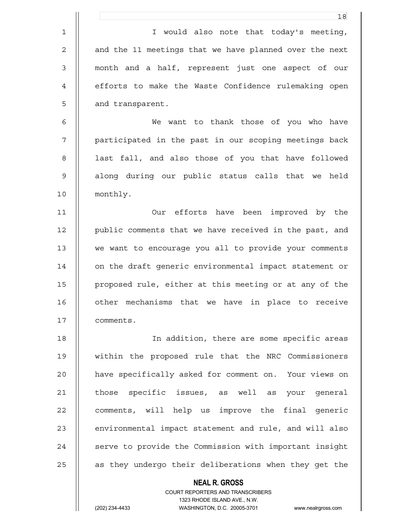|                | 18                                                                  |
|----------------|---------------------------------------------------------------------|
| $\mathbf 1$    | I would also note that today's meeting,                             |
| $\overline{2}$ | and the 11 meetings that we have planned over the next              |
| $\mathsf 3$    | month and a half, represent just one aspect of our                  |
| 4              | efforts to make the Waste Confidence rulemaking open                |
| 5              | and transparent.                                                    |
| 6              | want to thank those of you who have<br>We                           |
| 7              | participated in the past in our scoping meetings back               |
| 8              | last fall, and also those of you that have followed                 |
| $\mathsf 9$    | along during our public status calls that we held                   |
| 10             | monthly.                                                            |
| 11             | Our efforts have been improved by the                               |
| 12             | public comments that we have received in the past, and              |
| 13             | we want to encourage you all to provide your comments               |
| 14             | on the draft generic environmental impact statement or              |
| 15             | proposed rule, either at this meeting or at any of the              |
| 16             | other mechanisms that we have in place to receive                   |
| 17             | comments.                                                           |
| 18             | In addition, there are some specific areas                          |
| 19             | within the proposed rule that the NRC Commissioners                 |
| 20             | have specifically asked for comment on. Your views on               |
| 21             | those specific issues, as well as your general                      |
| 22             | comments, will help us improve the final generic                    |
| 23             | environmental impact statement and rule, and will also              |
| 24             | serve to provide the Commission with important insight              |
| 25             | as they undergo their deliberations when they get the               |
|                | <b>NEAL R. GROSS</b>                                                |
|                | COURT REPORTERS AND TRANSCRIBERS<br>1323 RHODE ISLAND AVE., N.W.    |
|                | (202) 234-4433<br>WASHINGTON, D.C. 20005-3701<br>www.nealrgross.com |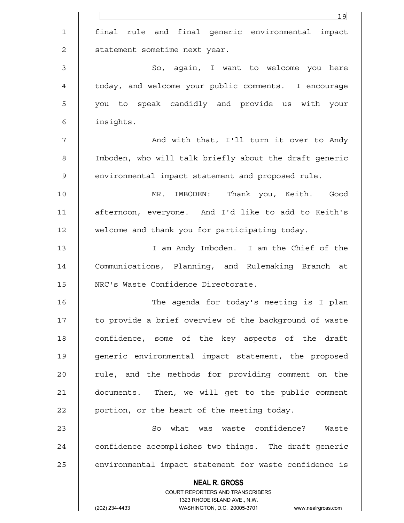|             | 19                                                                                                  |
|-------------|-----------------------------------------------------------------------------------------------------|
| $\mathbf 1$ | rule and final generic environmental impact<br>final                                                |
| 2           | statement sometime next year.                                                                       |
| 3           | So, again, I want to welcome you here                                                               |
| 4           | today, and welcome your public comments. I encourage                                                |
| 5           | you to speak candidly and provide us with your                                                      |
| 6           | insights.                                                                                           |
| 7           | And with that, I'll turn it over to Andy                                                            |
| 8           | Imboden, who will talk briefly about the draft generic                                              |
| 9           | environmental impact statement and proposed rule.                                                   |
| 10          | MR.<br>IMBODEN: Thank you, Keith. Good                                                              |
| 11          | afternoon, everyone. And I'd like to add to Keith's                                                 |
| 12          | welcome and thank you for participating today.                                                      |
| 13          | I am Andy Imboden. I am the Chief of the                                                            |
| 14          | Communications, Planning, and Rulemaking Branch at                                                  |
| 15          | NRC's Waste Confidence Directorate.                                                                 |
| 16          | The agenda for today's meeting is I plan                                                            |
| 17          | to provide a brief overview of the background of waste                                              |
| 18          | confidence, some of the key aspects of the draft                                                    |
| 19          | generic environmental impact statement, the proposed                                                |
| 20          | rule, and the methods for providing comment on the                                                  |
| 21          | documents. Then, we will get to the public comment                                                  |
| 22          | portion, or the heart of the meeting today.                                                         |
| 23          | So what was waste confidence? Waste                                                                 |
| 24          | confidence accomplishes two things. The draft generic                                               |
| 25          | environmental impact statement for waste confidence is                                              |
|             | <b>NEAL R. GROSS</b>                                                                                |
|             | COURT REPORTERS AND TRANSCRIBERS                                                                    |
|             | 1323 RHODE ISLAND AVE., N.W.<br>(202) 234-4433<br>WASHINGTON, D.C. 20005-3701<br>www.nealrgross.com |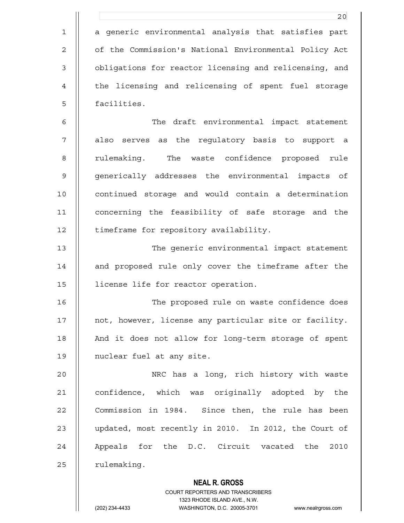|             | 20                                                       |
|-------------|----------------------------------------------------------|
| $\mathbf 1$ | a generic environmental analysis that satisfies part     |
| $\mathbf 2$ | of the Commission's National Environmental Policy Act    |
| 3           | obligations for reactor licensing and relicensing, and   |
| 4           | the licensing and relicensing of spent fuel storage      |
| 5           | facilities.                                              |
| 6           | The draft environmental impact statement                 |
| 7           | also serves as the regulatory basis to support a         |
| 8           | The waste confidence proposed rule<br>rulemaking.        |
| 9           | generically addresses the environmental impacts of       |
| 10          | continued storage and would contain a determination      |
| 11          | concerning the feasibility of safe storage and the       |
| 12          | timeframe for repository availability.                   |
| 13          | The generic environmental impact statement               |
| 14          | and proposed rule only cover the timeframe after the     |
| 15          | license life for reactor operation.                      |
| 16          | The proposed rule on waste confidence does               |
| 17          | not, however, license any particular site or facility.   |
| 18          | And it does not allow for long-term storage of spent     |
| 19          | nuclear fuel at any site.                                |
| 20          | NRC has a long, rich history with waste                  |
| 21          | confidence, which was originally adopted by the          |
| 22          | Commission in 1984. Since then, the rule has been        |
| 23          | updated, most recently in 2010. In 2012, the Court of    |
| 24          | Appeals for the D.C. Circuit vacated the 2010            |
| 25          | rulemaking.                                              |
|             | <b>NEAL R. GROSS</b><br>COURT REPORTERS AND TRANSCRIBERS |

1323 RHODE ISLAND AVE., N.W.

 $\prod_{i=1}^{n}$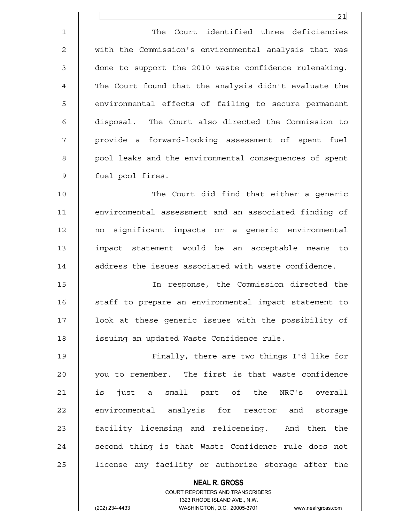|                | 21                                                     |
|----------------|--------------------------------------------------------|
| $\mathbf 1$    | Court identified three deficiencies<br>The             |
| $\overline{2}$ | with the Commission's environmental analysis that was  |
| 3              | done to support the 2010 waste confidence rulemaking.  |
| 4              | The Court found that the analysis didn't evaluate the  |
| 5              | environmental effects of failing to secure permanent   |
| 6              | disposal. The Court also directed the Commission to    |
| 7              | provide a forward-looking assessment of spent fuel     |
| 8              | pool leaks and the environmental consequences of spent |
| $\mathcal{G}$  | fuel pool fires.                                       |
| 10             | The Court did find that either a generic               |
| 11             | environmental assessment and an associated finding of  |
| 12             | significant impacts or a generic environmental<br>no   |
| 13             | impact statement would be an acceptable means to       |
| 14             | address the issues associated with waste confidence.   |
| 15             | In response, the Commission directed the               |
| 16             | staff to prepare an environmental impact statement to  |
| 17             | look at these generic issues with the possibility of   |
| 18             | issuing an updated Waste Confidence rule.              |
| 19             | Finally, there are two things I'd like for             |
| 20             | you to remember. The first is that waste confidence    |
| 21             | is just a small part of the NRC's overall              |
| 22             | environmental analysis for reactor and storage         |
| 23             | facility licensing and relicensing. And then the       |
| 24             | second thing is that Waste Confidence rule does not    |
| 25             | license any facility or authorize storage after the    |
|                | <b>NEAL R. GROSS</b>                                   |

(202) 234-4433 WASHINGTON, D.C. 20005-3701 www.nealrgross.com

 $\mathsf{II}$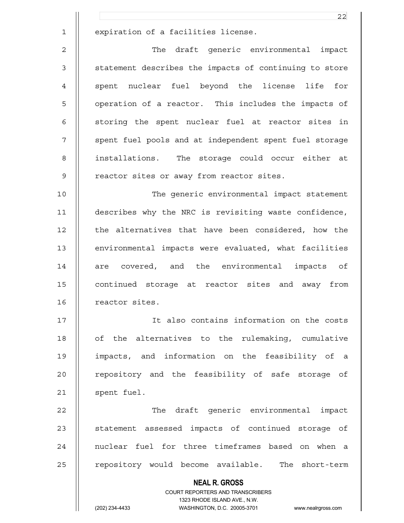1 | expiration of a facilities license.

2 || The draft generic environmental impact 3 | statement describes the impacts of continuing to store 4 || spent nuclear fuel beyond the license life for 5 || operation of a reactor. This includes the impacts of 6 || storing the spent nuclear fuel at reactor sites in 7 || spent fuel pools and at independent spent fuel storage 8 || installations. The storage could occur either at 9 || reactor sites or away from reactor sites.

10 The generic environmental impact statement 11 describes why the NRC is revisiting waste confidence, 12 | the alternatives that have been considered, how the 13 environmental impacts were evaluated, what facilities 14 || are covered, and the environmental impacts of 15 || continued storage at reactor sites and away from 16 | reactor sites.

17 It also contains information on the costs 18 || of the alternatives to the rulemaking, cumulative 19 impacts, and information on the feasibility of a 20 || repository and the feasibility of safe storage of 21 | spent fuel.

22 || The draft generic environmental impact 23 || statement assessed impacts of continued storage of 24 || nuclear fuel for three timeframes based on when a 25 | repository would become available. The short-term

> **NEAL R. GROSS** COURT REPORTERS AND TRANSCRIBERS 1323 RHODE ISLAND AVE., N.W. (202) 234-4433 WASHINGTON, D.C. 20005-3701 www.nealrgross.com

22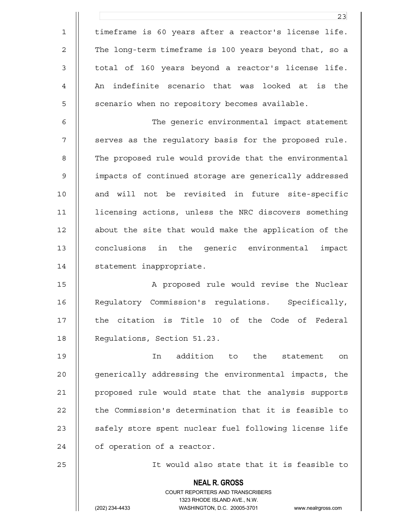**NEAL R. GROSS** COURT REPORTERS AND TRANSCRIBERS 1323 RHODE ISLAND AVE., N.W. 23 1 timeframe is 60 years after a reactor's license life. 2 | The long-term timeframe is 100 years beyond that, so a 3 || total of 160 years beyond a reactor's license life. 4 || An indefinite scenario that was looked at is the 5 | scenario when no repository becomes available. 6 The generic environmental impact statement 7 || serves as the regulatory basis for the proposed rule. 8 | The proposed rule would provide that the environmental 9 impacts of continued storage are generically addressed 10 || and will not be revisited in future site-specific 11 licensing actions, unless the NRC discovers something 12 about the site that would make the application of the 13 conclusions in the generic environmental impact 14 | statement inappropriate. 15 || A proposed rule would revise the Nuclear 16 | Regulatory Commission's regulations. Specifically, 17 || the citation is Title 10 of the Code of Federal 18 | Requlations, Section 51.23. 19 In addition to the statement on 20 || generically addressing the environmental impacts, the 21 proposed rule would state that the analysis supports 22 | the Commission's determination that it is feasible to 23 || safely store spent nuclear fuel following license life 24 | of operation of a reactor. 25 It would also state that it is feasible to

<sup>(202) 234-4433</sup> WASHINGTON, D.C. 20005-3701 www.nealrgross.com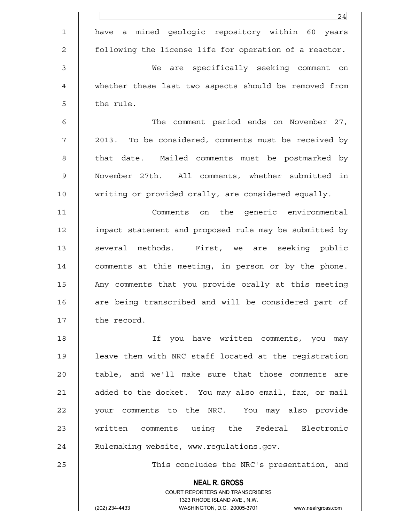|                | 24                                                                  |
|----------------|---------------------------------------------------------------------|
| $\mathbf 1$    | have a mined geologic repository within 60 years                    |
| $\overline{c}$ | following the license life for operation of a reactor.              |
| 3              | are specifically seeking comment on<br>We                           |
| 4              | whether these last two aspects should be removed from               |
| 5              | the rule.                                                           |
| 6              | The comment period ends on November 27,                             |
| 7              | 2013. To be considered, comments must be received by                |
| 8              | that date. Mailed comments must be postmarked by                    |
| $\mathsf 9$    | November 27th. All comments, whether submitted in                   |
| 10             | writing or provided orally, are considered equally.                 |
| 11             | Comments on the generic environmental                               |
| 12             | impact statement and proposed rule may be submitted by              |
| 13             | several methods. First, we are seeking public                       |
| 14             | comments at this meeting, in person or by the phone.                |
| 15             | Any comments that you provide orally at this meeting                |
| 16             | are being transcribed and will be considered part of                |
| 17             | the record.                                                         |
| 18             | If you have written comments, you may                               |
| 19             | leave them with NRC staff located at the registration               |
| 20             | table, and we'll make sure that those comments are                  |
| 21             | added to the docket. You may also email, fax, or mail               |
| 22             | your comments to the NRC. You may also provide                      |
| 23             | written comments using the Federal Electronic                       |
| 24             | Rulemaking website, www.regulations.gov.                            |
| 25             | This concludes the NRC's presentation, and                          |
|                | <b>NEAL R. GROSS</b><br>COURT REPORTERS AND TRANSCRIBERS            |
|                | 1323 RHODE ISLAND AVE., N.W.                                        |
|                | (202) 234-4433<br>WASHINGTON, D.C. 20005-3701<br>www.nealrgross.com |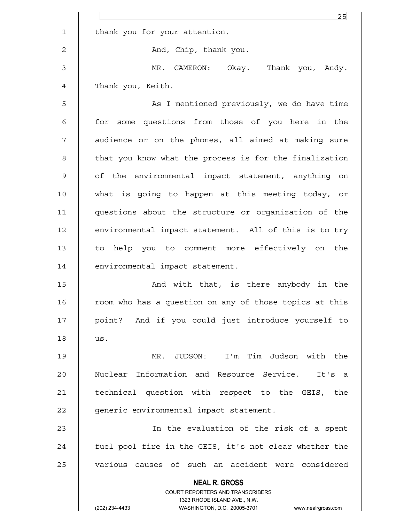|                | 25                                                                                                  |
|----------------|-----------------------------------------------------------------------------------------------------|
| $\mathbf 1$    | thank you for your attention.                                                                       |
| $\overline{c}$ | And, Chip, thank you.                                                                               |
| 3              | MR. CAMERON: Okay. Thank you, Andy.                                                                 |
| 4              | Thank you, Keith.                                                                                   |
| 5              | As I mentioned previously, we do have time                                                          |
| 6              | for some questions from those of you here in the                                                    |
| 7              | audience or on the phones, all aimed at making sure                                                 |
| 8              | that you know what the process is for the finalization                                              |
| 9              | of the environmental impact statement, anything on                                                  |
| 10             | what is going to happen at this meeting today, or                                                   |
| 11             | questions about the structure or organization of the                                                |
| 12             | environmental impact statement. All of this is to try                                               |
| 13             | to help you to comment more effectively on the                                                      |
| 14             | environmental impact statement.                                                                     |
| 15             | And with that, is there anybody in the                                                              |
| 16             | room who has a question on any of those topics at this                                              |
| 17             | point? And if you could just introduce yourself to                                                  |
| 18             | us.                                                                                                 |
| 19             | MR. JUDSON: I'm Tim Judson with the                                                                 |
| 20             | Nuclear Information and Resource Service. It's a                                                    |
| 21             | technical question with respect to the GEIS, the                                                    |
| 22             | generic environmental impact statement.                                                             |
| 23             | In the evaluation of the risk of a spent                                                            |
| 24             | fuel pool fire in the GEIS, it's not clear whether the                                              |
| 25             | various causes of such an accident were considered                                                  |
|                | <b>NEAL R. GROSS</b>                                                                                |
|                | <b>COURT REPORTERS AND TRANSCRIBERS</b>                                                             |
|                | 1323 RHODE ISLAND AVE., N.W.<br>(202) 234-4433<br>WASHINGTON, D.C. 20005-3701<br>www.nealrgross.com |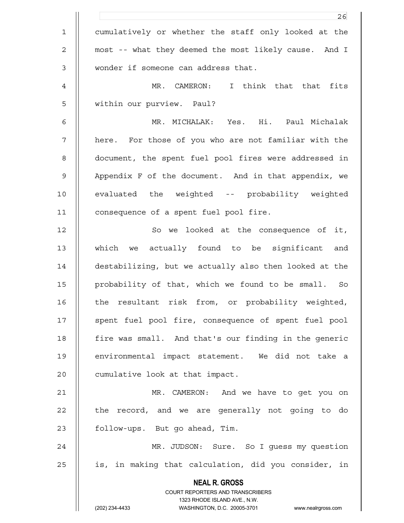|                | 26                                                                                                  |
|----------------|-----------------------------------------------------------------------------------------------------|
| $\mathbf 1$    | cumulatively or whether the staff only looked at the                                                |
| $\overline{c}$ | most -- what they deemed the most likely cause. And I                                               |
| 3              | wonder if someone can address that.                                                                 |
| $\overline{4}$ | MR. CAMERON: I think that that<br>fits                                                              |
| 5              | within our purview. Paul?                                                                           |
| 6              | MR. MICHALAK: Yes. Hi. Paul Michalak                                                                |
| $\overline{7}$ | here. For those of you who are not familiar with the                                                |
| 8              | document, the spent fuel pool fires were addressed in                                               |
| $\mathsf 9$    | Appendix F of the document. And in that appendix, we                                                |
| 10             | evaluated the weighted -- probability weighted                                                      |
| 11             | consequence of a spent fuel pool fire.                                                              |
| 12             | So we looked at the consequence of it,                                                              |
| 13             | which we actually found to be significant<br>and                                                    |
| 14             | destabilizing, but we actually also then looked at the                                              |
| 15             | probability of that, which we found to be small. So                                                 |
| 16             | the resultant risk from, or probability weighted,                                                   |
| 17             | spent fuel pool fire, consequence of spent fuel pool                                                |
| 18             | fire was small. And that's our finding in the generic                                               |
| 19             | environmental impact statement. We did not take a                                                   |
| 20             | cumulative look at that impact.                                                                     |
| 21             | MR. CAMERON: And we have to get you on                                                              |
| 22             | the record, and we are generally not going to do                                                    |
| 23             | follow-ups. But go ahead, Tim.                                                                      |
| 24             | MR. JUDSON: Sure. So I guess my question                                                            |
| 25             | is, in making that calculation, did you consider, in                                                |
|                | <b>NEAL R. GROSS</b>                                                                                |
|                | COURT REPORTERS AND TRANSCRIBERS                                                                    |
|                | 1323 RHODE ISLAND AVE., N.W.<br>(202) 234-4433<br>WASHINGTON, D.C. 20005-3701<br>www.nealrgross.com |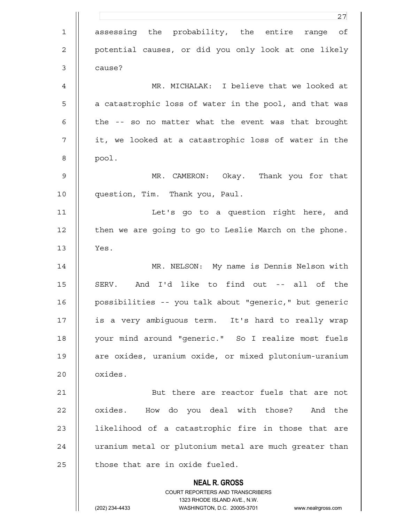|             | 27                                                                                                  |
|-------------|-----------------------------------------------------------------------------------------------------|
| $\mathbf 1$ | assessing the probability, the entire range of                                                      |
| 2           | potential causes, or did you only look at one likely                                                |
| 3           | cause?                                                                                              |
| 4           | MR. MICHALAK: I believe that we looked at                                                           |
| 5           | a catastrophic loss of water in the pool, and that was                                              |
| 6           | the -- so no matter what the event was that brought                                                 |
| 7           | it, we looked at a catastrophic loss of water in the                                                |
| 8           | pool.                                                                                               |
| 9           | MR. CAMERON: Okay. Thank you for that                                                               |
| 10          | question, Tim. Thank you, Paul.                                                                     |
| 11          | Let's go to a question right here, and                                                              |
| 12          | then we are going to go to Leslie March on the phone.                                               |
| 13          | Yes.                                                                                                |
| 14          | MR. NELSON: My name is Dennis Nelson with                                                           |
| 15          | And I'd like to find out -- all of the<br>SERV.                                                     |
| 16          | possibilities -- you talk about "generic," but generic                                              |
| 17          | is a very ambiguous term. It's hard to really wrap                                                  |
| 18          | your mind around "generic." So I realize most fuels                                                 |
| 19          | are oxides, uranium oxide, or mixed plutonium-uranium                                               |
| 20          | oxides.                                                                                             |
| 21          | But there are reactor fuels that are not                                                            |
| 22          | oxides. How do you deal with those? And the                                                         |
| 23          | likelihood of a catastrophic fire in those that are                                                 |
| 24          | uranium metal or plutonium metal are much greater than                                              |
| 25          | those that are in oxide fueled.                                                                     |
|             | <b>NEAL R. GROSS</b>                                                                                |
|             | COURT REPORTERS AND TRANSCRIBERS                                                                    |
|             | 1323 RHODE ISLAND AVE., N.W.<br>(202) 234-4433<br>WASHINGTON, D.C. 20005-3701<br>www.nealrgross.com |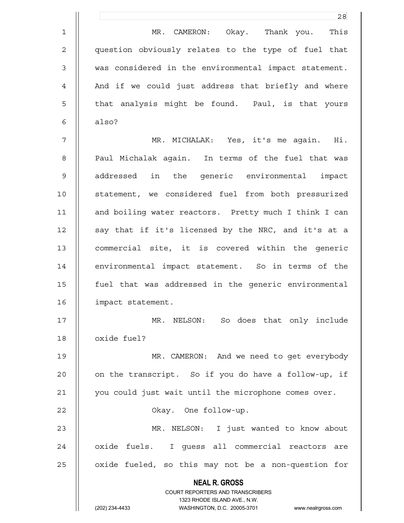|              | 28                                                                      |
|--------------|-------------------------------------------------------------------------|
| $\mathbf 1$  | MR. CAMERON: Okay. Thank you. This                                      |
| $\mathbf{2}$ | question obviously relates to the type of fuel that                     |
| 3            | was considered in the environmental impact statement.                   |
| 4            | And if we could just address that briefly and where                     |
| 5            | that analysis might be found. Paul, is that yours                       |
| 6            | also?                                                                   |
| 7            | MR. MICHALAK: Yes, it's me again. Hi.                                   |
| 8            | Paul Michalak again. In terms of the fuel that was                      |
| $\mathsf 9$  | addressed in the generic environmental impact                           |
| 10           | statement, we considered fuel from both pressurized                     |
| 11           | and boiling water reactors. Pretty much I think I can                   |
| 12           | say that if it's licensed by the NRC, and it's at a                     |
| 13           | commercial site, it is covered within the generic                       |
| 14           | environmental impact statement. So in terms of the                      |
| 15           | fuel that was addressed in the generic environmental                    |
| 16           | impact statement.                                                       |
| 17           | MR. NELSON: So does that only include                                   |
| 18           | oxide fuel?                                                             |
| 19           | MR. CAMERON: And we need to get everybody                               |
| 20           | on the transcript. So if you do have a follow-up, if                    |
| 21           | you could just wait until the microphone comes over.                    |
| 22           | Okay. One follow-up.                                                    |
| 23           | MR. NELSON: I just wanted to know about                                 |
| 24           | oxide<br>fuels. I guess all commercial reactors are                     |
| 25           | oxide fueled, so this may not be a non-question for                     |
|              | <b>NEAL R. GROSS</b>                                                    |
|              | <b>COURT REPORTERS AND TRANSCRIBERS</b><br>1323 RHODE ISLAND AVE., N.W. |
|              | (202) 234-4433<br>WASHINGTON, D.C. 20005-3701<br>www.nealrgross.com     |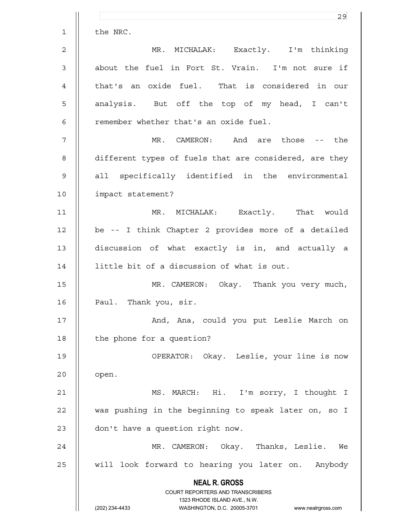|                | 29                                                                  |
|----------------|---------------------------------------------------------------------|
| $\mathbf 1$    | the NRC.                                                            |
| $\overline{c}$ | MR. MICHALAK: Exactly. I'm thinking                                 |
| 3              | about the fuel in Fort St. Vrain. I'm not sure if                   |
| 4              | that's an oxide fuel. That is considered in our                     |
| 5              | analysis. But off the top of my head, I can't                       |
| 6              | remember whether that's an oxide fuel.                              |
| 7              | MR. CAMERON: And are those -- the                                   |
| 8              | different types of fuels that are considered, are they              |
| 9              | all specifically identified in the environmental                    |
| 10             | impact statement?                                                   |
| 11             | MR. MICHALAK: Exactly. That would                                   |
| 12             | be -- I think Chapter 2 provides more of a detailed                 |
| 13             | discussion of what exactly is in, and actually a                    |
| 14             | little bit of a discussion of what is out.                          |
| 15             | MR. CAMERON: Okay. Thank you very much,                             |
| 16             | Paul. Thank you, sir.                                               |
| 17             | And, Ana, could you put Leslie March on                             |
| 18             | the phone for a question?                                           |
| 19             | OPERATOR: Okay. Leslie, your line is now                            |
| 20             | open.                                                               |
| 21             | MS. MARCH: Hi. I'm sorry, I thought I                               |
| 22             | was pushing in the beginning to speak later on, so I                |
| 23             | don't have a question right now.                                    |
| 24             | MR. CAMERON: Okay. Thanks, Leslie. We                               |
| 25             | will look forward to hearing you later on. Anybody                  |
|                | <b>NEAL R. GROSS</b>                                                |
|                | COURT REPORTERS AND TRANSCRIBERS<br>1323 RHODE ISLAND AVE., N.W.    |
|                | (202) 234-4433<br>WASHINGTON, D.C. 20005-3701<br>www.nealrgross.com |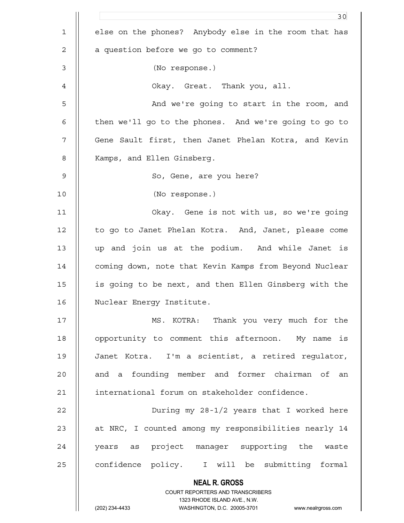|              | 30                                                                                                  |
|--------------|-----------------------------------------------------------------------------------------------------|
| $\mathbf{1}$ | else on the phones? Anybody else in the room that has                                               |
| 2            | a question before we go to comment?                                                                 |
| 3            | (No response.)                                                                                      |
| 4            | Okay. Great. Thank you, all.                                                                        |
| 5            | And we're going to start in the room, and                                                           |
| 6            | then we'll go to the phones. And we're going to go to                                               |
| 7            | Gene Sault first, then Janet Phelan Kotra, and Kevin                                                |
| 8            | Kamps, and Ellen Ginsberg.                                                                          |
| $\mathsf 9$  | So, Gene, are you here?                                                                             |
| 10           | (No response.)                                                                                      |
| 11           | Okay. Gene is not with us, so we're going                                                           |
| 12           | to go to Janet Phelan Kotra. And, Janet, please come                                                |
| 13           | up and join us at the podium. And while Janet is                                                    |
| 14           | coming down, note that Kevin Kamps from Beyond Nuclear                                              |
| 15           | is going to be next, and then Ellen Ginsberg with the                                               |
| 16           | Nuclear Energy Institute.                                                                           |
| 17           | MS. KOTRA: Thank you very much for the                                                              |
| 18           | opportunity to comment this afternoon. My name is                                                   |
| 19           | Janet Kotra. I'm a scientist, a retired regulator,                                                  |
| 20           | and a founding member and former chairman of an                                                     |
| 21           | international forum on stakeholder confidence.                                                      |
| 22           | During my 28-1/2 years that I worked here                                                           |
| 23           | at NRC, I counted among my responsibilities nearly 14                                               |
| 24           | years as project manager supporting the waste                                                       |
| 25           | confidence policy. I will be submitting formal                                                      |
|              | <b>NEAL R. GROSS</b>                                                                                |
|              | COURT REPORTERS AND TRANSCRIBERS                                                                    |
|              | 1323 RHODE ISLAND AVE., N.W.<br>(202) 234-4433<br>WASHINGTON, D.C. 20005-3701<br>www.nealrgross.com |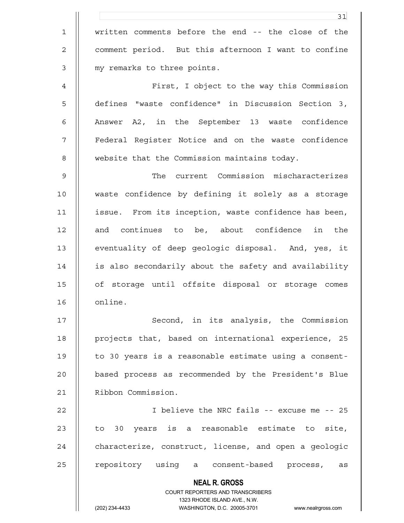|               | 31                                                                                               |
|---------------|--------------------------------------------------------------------------------------------------|
| $\mathbf{1}$  | written comments before the end -- the close of the                                              |
| 2             | comment period. But this afternoon I want to confine                                             |
| 3             | my remarks to three points.                                                                      |
| 4             | First, I object to the way this Commission                                                       |
| 5             | defines "waste confidence" in Discussion Section 3,                                              |
| 6             | Answer A2, in the September 13 waste confidence                                                  |
| 7             | Federal Reqister Notice and on the waste confidence                                              |
| 8             | website that the Commission maintains today.                                                     |
| $\mathcal{G}$ | The current Commission mischaracterizes                                                          |
| 10            | waste confidence by defining it solely as a storage                                              |
| 11            | issue. From its inception, waste confidence has been,                                            |
| 12            | and continues to be, about confidence in the                                                     |
| 13            | eventuality of deep geologic disposal. And, yes, it                                              |
| 14            | is also secondarily about the safety and availability                                            |
| 15            | of storage until offsite disposal or storage comes                                               |
| 16            | online.                                                                                          |
| 17            | Second, in its analysis, the Commission                                                          |
| 18            | projects that, based on international experience, 25                                             |
| 19            | to 30 years is a reasonable estimate using a consent-                                            |
| 20            | based process as recommended by the President's Blue                                             |
| 21            | Ribbon Commission.                                                                               |
| 22            | I believe the NRC fails -- excuse me -- 25                                                       |
| 23            | to 30 years is a reasonable estimate to site,                                                    |
| 24            | characterize, construct, license, and open a geologic                                            |
| 25            | repository using a consent-based process, as                                                     |
|               | <b>NEAL R. GROSS</b>                                                                             |
|               | <b>COURT REPORTERS AND TRANSCRIBERS</b>                                                          |
|               | 1323 RHODE ISLAND AVE., N.W.<br>(202) 234-4433<br>WASHINGTON, D.C. 20005-3701 www.nealrgross.com |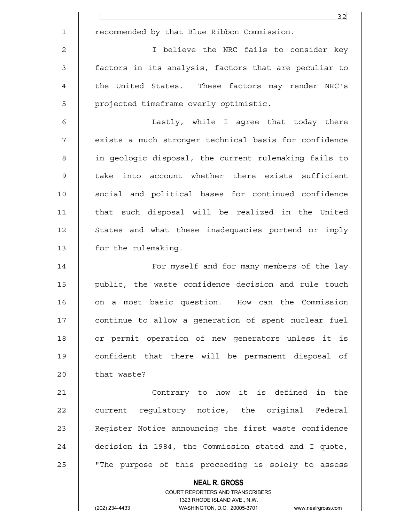|                | 32                                                                  |
|----------------|---------------------------------------------------------------------|
| $\mathbf 1$    | recommended by that Blue Ribbon Commission.                         |
| $\mathbf 2$    | I believe the NRC fails to consider key                             |
| $\mathsf 3$    | factors in its analysis, factors that are peculiar to               |
| $\overline{4}$ | the United States. These factors may render NRC's                   |
| 5              | projected timeframe overly optimistic.                              |
| 6              | Lastly, while I agree that today there                              |
| 7              | exists a much stronger technical basis for confidence               |
| 8              | in geologic disposal, the current rulemaking fails to               |
| $\mathsf 9$    | take into account whether there exists sufficient                   |
| 10             | social and political bases for continued confidence                 |
| 11             | that such disposal will be realized in the United                   |
| 12             | States and what these inadequacies portend or imply                 |
| 13             | for the rulemaking.                                                 |
| 14             | For myself and for many members of the lay                          |
| 15             | public, the waste confidence decision and rule touch                |
| 16             | on a most basic question.<br>How can the Commission                 |
| 17             | continue to allow a generation of spent nuclear fuel                |
| 18             | or permit operation of new generators unless it is                  |
| 19             | confident that there will be permanent disposal of                  |
| 20             | that waste?                                                         |
| 21             | Contrary to how it is defined in the                                |
| 22             | current regulatory notice, the original Federal                     |
| 23             | Register Notice announcing the first waste confidence               |
| 24             | decision in 1984, the Commission stated and I quote,                |
| 25             | "The purpose of this proceeding is solely to assess                 |
|                | <b>NEAL R. GROSS</b>                                                |
|                | COURT REPORTERS AND TRANSCRIBERS<br>1323 RHODE ISLAND AVE., N.W.    |
|                | (202) 234-4433<br>WASHINGTON, D.C. 20005-3701<br>www.nealrgross.com |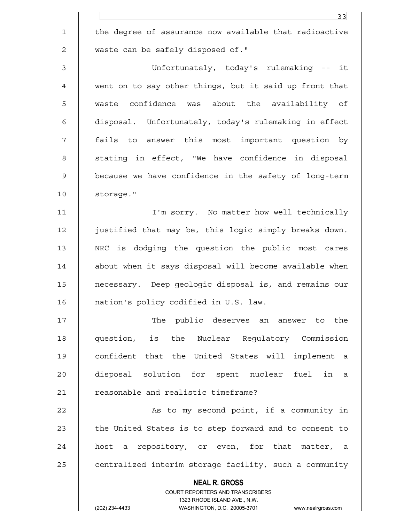|                | 33                                                                                                  |
|----------------|-----------------------------------------------------------------------------------------------------|
| $\mathbf 1$    | the degree of assurance now available that radioactive                                              |
| $\mathbf 2$    | waste can be safely disposed of."                                                                   |
| $\mathfrak{Z}$ | Unfortunately, today's rulemaking -- it                                                             |
| $\overline{4}$ | went on to say other things, but it said up front that                                              |
| 5              | waste confidence was about the availability of                                                      |
| 6              | disposal. Unfortunately, today's rulemaking in effect                                               |
| 7              | fails to answer this most important question by                                                     |
| 8              | stating in effect, "We have confidence in disposal                                                  |
| 9              | because we have confidence in the safety of long-term                                               |
| 10             | storage."                                                                                           |
| 11             | I'm sorry. No matter how well technically                                                           |
| 12             | justified that may be, this logic simply breaks down.                                               |
| 13             | NRC is dodging the question the public most cares                                                   |
| 14             | about when it says disposal will become available when                                              |
| 15             | necessary. Deep geologic disposal is, and remains our                                               |
| 16             | nation's policy codified in U.S. law.                                                               |
| 17             | The public deserves an answer to the                                                                |
| 18             | question, is the Nuclear Requlatory Commission                                                      |
| 19             | confident that the United States will implement a                                                   |
| 20             | disposal solution for spent nuclear fuel in a                                                       |
| 21             | reasonable and realistic timeframe?                                                                 |
| 22             | As to my second point, if a community in                                                            |
| 23             | the United States is to step forward and to consent to                                              |
| 24             | host a repository, or even, for that matter, a                                                      |
| 25             | centralized interim storage facility, such a community                                              |
|                | <b>NEAL R. GROSS</b>                                                                                |
|                | COURT REPORTERS AND TRANSCRIBERS                                                                    |
|                | 1323 RHODE ISLAND AVE., N.W.<br>(202) 234-4433<br>WASHINGTON, D.C. 20005-3701<br>www.nealrgross.com |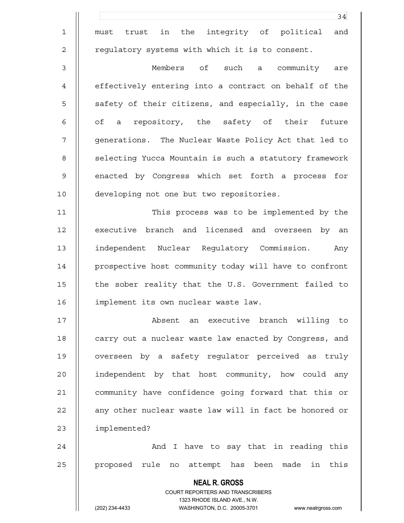|             | 34                                                                      |
|-------------|-------------------------------------------------------------------------|
| $\mathbf 1$ | trust in the<br>integrity of political<br>and<br>must                   |
| 2           | regulatory systems with which it is to consent.                         |
| 3           | Members of such a community<br>are                                      |
| 4           | effectively entering into a contract on behalf of the                   |
| 5           | safety of their citizens, and especially, in the case                   |
| 6           | of a repository, the safety of their future                             |
| 7           | generations. The Nuclear Waste Policy Act that led to                   |
| 8           | selecting Yucca Mountain is such a statutory framework                  |
| 9           | enacted by Congress which set forth a process for                       |
| 10          | developing not one but two repositories.                                |
| 11          | This process was to be implemented by the                               |
| 12          | executive branch and licensed and overseen by an                        |
| 13          | independent Nuclear Regulatory Commission.<br>Any                       |
| 14          | prospective host community today will have to confront                  |
| 15          | the sober reality that the U.S. Government failed to                    |
| 16          | implement its own nuclear waste law.                                    |
| 17          | Absent an executive branch willing to                                   |
| 18          | carry out a nuclear waste law enacted by Congress, and                  |
| 19          | overseen by a safety requlator perceived as truly                       |
| 20          | independent by that host community, how could any                       |
| 21          | community have confidence going forward that this or                    |
| 22          | any other nuclear waste law will in fact be honored or                  |
| 23          | implemented?                                                            |
| 24          | And I have to say that in reading this                                  |
| 25          | proposed rule no attempt has been made in this                          |
|             | <b>NEAL R. GROSS</b>                                                    |
|             | <b>COURT REPORTERS AND TRANSCRIBERS</b><br>1323 RHODE ISLAND AVE., N.W. |
|             | (202) 234-4433<br>WASHINGTON, D.C. 20005-3701<br>www.nealrgross.com     |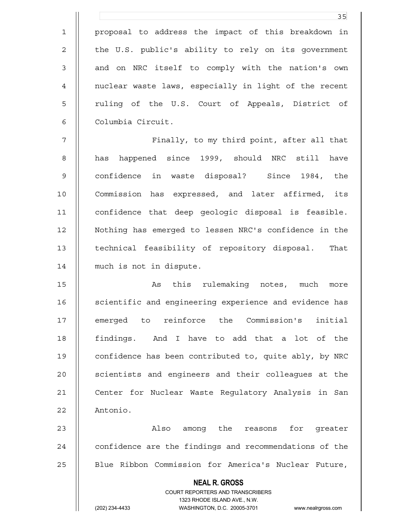<u>35</u> 1 proposal to address the impact of this breakdown in 2 || the U.S. public's ability to rely on its government 3 || and on NRC itself to comply with the nation's own 4 nuclear waste laws, especially in light of the recent 5 || ruling of the U.S. Court of Appeals, District of 6 Columbia Circuit. 7 || Finally, to my third point, after all that 8 || has happened since 1999, should NRC still have 9 confidence in waste disposal? Since 1984, the 10 || Commission has expressed, and later affirmed, its 11 confidence that deep geologic disposal is feasible. 12 Nothing has emerged to lessen NRC's confidence in the 13 | technical feasibility of repository disposal. That 14 | much is not in dispute. 15 || As this rulemaking notes, much more 16 | scientific and engineering experience and evidence has

17 || emerged to reinforce the Commission's initial 18 findings. And I have to add that a lot of the 19 | confidence has been contributed to, quite ably, by NRC 20 || scientists and engineers and their colleagues at the 21 | Center for Nuclear Waste Regulatory Analysis in San 22 | Antonio.

23 Also among the reasons for greater  $24$   $\parallel$  confidence are the findings and recommendations of the 25 | Blue Ribbon Commission for America's Nuclear Future,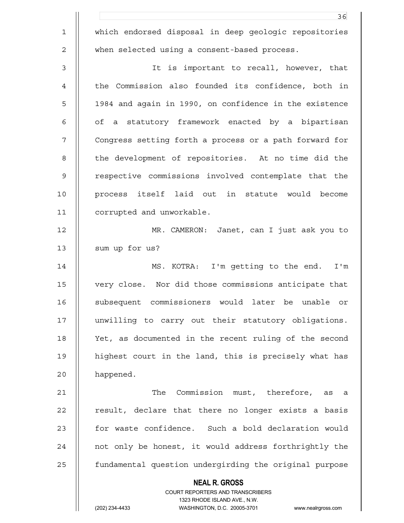|             | 36                                                                      |
|-------------|-------------------------------------------------------------------------|
| $\mathbf 1$ | which endorsed disposal in deep geologic repositories                   |
| 2           | when selected using a consent-based process.                            |
| 3           | It is important to recall, however, that                                |
| 4           | the Commission also founded its confidence, both in                     |
| 5           | 1984 and again in 1990, on confidence in the existence                  |
| 6           | of a statutory framework enacted by a bipartisan                        |
| 7           | Congress setting forth a process or a path forward for                  |
| 8           | the development of repositories. At no time did the                     |
| 9           | respective commissions involved contemplate that the                    |
| 10          | process itself laid out in statute would become                         |
| 11          | corrupted and unworkable.                                               |
| 12          | MR. CAMERON: Janet, can I just ask you to                               |
| 13          | sum up for us?                                                          |
| 14          | MS. KOTRA: I'm getting to the end. I'm                                  |
| 15          | very close. Nor did those commissions anticipate that                   |
| 16          | subsequent commissioners would later be unable or                       |
| 17          | unwilling to carry out their statutory obligations.                     |
| 18          | Yet, as documented in the recent ruling of the second                   |
| 19          | highest court in the land, this is precisely what has                   |
| 20          | happened.                                                               |
| 21          | The Commission must, therefore, as a                                    |
| 22          | result, declare that there no longer exists a basis                     |
| 23          | for waste confidence. Such a bold declaration would                     |
| 24          | not only be honest, it would address forthrightly the                   |
| 25          | fundamental question undergirding the original purpose                  |
|             | <b>NEAL R. GROSS</b>                                                    |
|             | <b>COURT REPORTERS AND TRANSCRIBERS</b><br>1323 RHODE ISLAND AVE., N.W. |
|             | (202) 234-4433<br>WASHINGTON, D.C. 20005-3701<br>www.nealrgross.com     |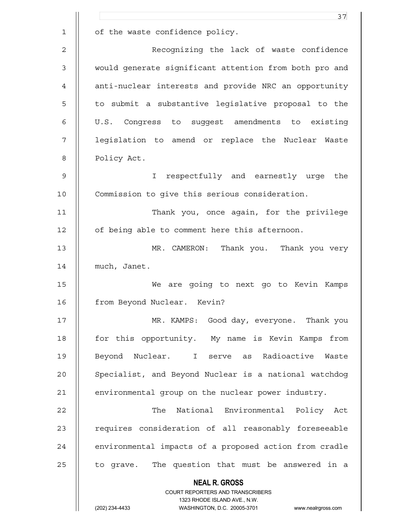|              | 37                                                                                                  |
|--------------|-----------------------------------------------------------------------------------------------------|
| $\mathbf{1}$ | of the waste confidence policy.                                                                     |
| 2            | Recognizing the lack of waste confidence                                                            |
| 3            | would generate significant attention from both pro and                                              |
| 4            | anti-nuclear interests and provide NRC an opportunity                                               |
| 5            | to submit a substantive legislative proposal to the                                                 |
| 6            | U.S. Congress to suggest amendments to existing                                                     |
| 7            | legislation to amend or replace the Nuclear Waste                                                   |
| 8            | Policy Act.                                                                                         |
| 9            | respectfully and earnestly urge the<br>$\mathbf{I}$                                                 |
| 10           | Commission to give this serious consideration.                                                      |
| 11           | Thank you, once again, for the privilege                                                            |
| 12           | of being able to comment here this afternoon.                                                       |
| 13           | Thank you. Thank you very<br>MR. CAMERON:                                                           |
| 14           | much, Janet.                                                                                        |
| 15           | We are going to next go to Kevin Kamps                                                              |
| 16           | from Beyond Nuclear. Kevin?                                                                         |
| 17           | MR. KAMPS: Good day, everyone. Thank you                                                            |
| 18           | for this opportunity. My name is Kevin Kamps from                                                   |
| 19           | Beyond Nuclear. I serve as Radioactive Waste                                                        |
| 20           | Specialist, and Beyond Nuclear is a national watchdog                                               |
| 21           | environmental group on the nuclear power industry.                                                  |
| 22           | The National Environmental Policy Act                                                               |
| 23           | requires consideration of all reasonably foreseeable                                                |
| 24           | environmental impacts of a proposed action from cradle                                              |
| 25           | to grave. The question that must be answered in a                                                   |
|              | <b>NEAL R. GROSS</b>                                                                                |
|              | COURT REPORTERS AND TRANSCRIBERS                                                                    |
|              | 1323 RHODE ISLAND AVE., N.W.<br>(202) 234-4433<br>WASHINGTON, D.C. 20005-3701<br>www.nealrgross.com |
|              |                                                                                                     |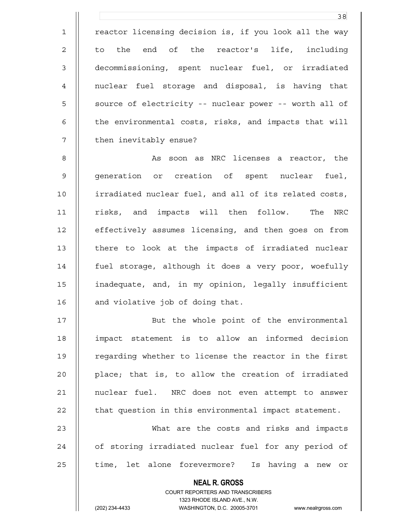1 || reactor licensing decision is, if you look all the way 2 || to the end of the reactor's life, including 3 decommissioning, spent nuclear fuel, or irradiated 4 nuclear fuel storage and disposal, is having that 5 | source of electricity -- nuclear power -- worth all of 6 | the environmental costs, risks, and impacts that will 7 | then inevitably ensue?

8 || As soon as NRC licenses a reactor, the 9 || generation or creation of spent nuclear fuel, 10 irradiated nuclear fuel, and all of its related costs, 11 || risks, and impacts will then follow. The NRC 12 | effectively assumes licensing, and then goes on from 13 || there to look at the impacts of irradiated nuclear 14 | fuel storage, although it does a very poor, woefully 15 inadequate, and, in my opinion, legally insufficient 16 | and violative job of doing that.

17 || But the whole point of the environmental 18 impact statement is to allow an informed decision 19 || regarding whether to license the reactor in the first 20 **place;** that is, to allow the creation of irradiated 21 || nuclear fuel. NRC does not even attempt to answer  $22$   $\parallel$  that question in this environmental impact statement.

23 What are the costs and risks and impacts 24 || of storing irradiated nuclear fuel for any period of 25 || time, let alone forevermore? Is having a new or

 **NEAL R. GROSS**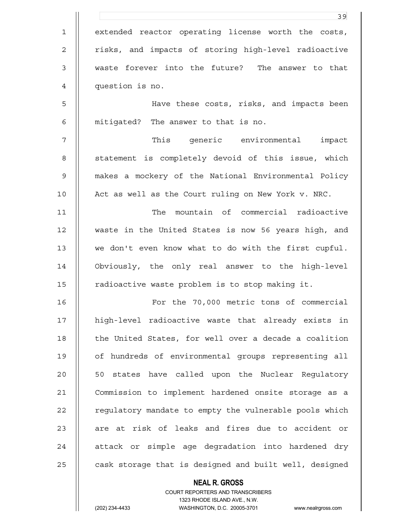|                | 39                                                     |
|----------------|--------------------------------------------------------|
| $\mathbf 1$    | extended reactor operating license worth the costs,    |
| $\mathbf{2}$   | risks, and impacts of storing high-level radioactive   |
| $\mathfrak{Z}$ | waste forever into the future? The answer to that      |
| $\overline{4}$ | question is no.                                        |
| 5              | Have these costs, risks, and impacts been              |
| $\epsilon$     | mitigated? The answer to that is no.                   |
| 7              | This generic environmental impact                      |
| 8              | statement is completely devoid of this issue, which    |
| $\mathsf 9$    | makes a mockery of the National Environmental Policy   |
| 10             | Act as well as the Court ruling on New York v. NRC.    |
| 11             | The mountain of commercial radioactive                 |
| 12             | waste in the United States is now 56 years high, and   |
| 13             | we don't even know what to do with the first cupful.   |
| 14             | Obviously, the only real answer to the high-level      |
| 15             | radioactive waste problem is to stop making it.        |
| 16             | For the 70,000 metric tons of commercial               |
| 17             | high-level radioactive waste that already exists in    |
| 18             | the United States, for well over a decade a coalition  |
| 19             | of hundreds of environmental groups representing all   |
| 20             | 50 states have called upon the Nuclear Regulatory      |
| 21             | Commission to implement hardened onsite storage as a   |
| 22             | regulatory mandate to empty the vulnerable pools which |
| 23             | are at risk of leaks and fires due to accident or      |
| 24             | attack or simple age degradation into hardened dry     |
| 25             | cask storage that is designed and built well, designed |

 COURT REPORTERS AND TRANSCRIBERS 1323 RHODE ISLAND AVE., N.W. (202) 234-4433 WASHINGTON, D.C. 20005-3701 www.nealrgross.com

 **NEAL R. GROSS**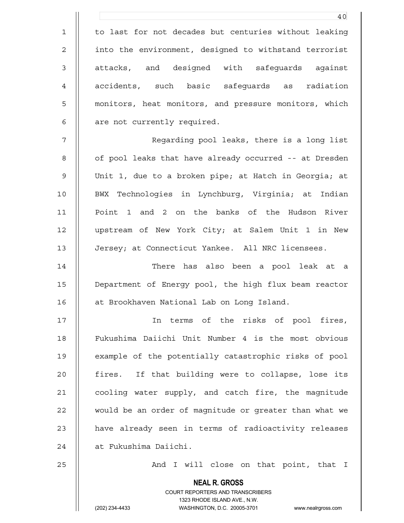1 to last for not decades but centuries without leaking 2 | into the environment, designed to withstand terrorist 3 || attacks, and designed with safeguards against 4 || accidents, such basic safequards as radiation 5 | monitors, heat monitors, and pressure monitors, which  $6 \parallel$  are not currently required.

7 Regarding pool leaks, there is a long list 8 | of pool leaks that have already occurred -- at Dresden 9 Unit 1, due to a broken pipe; at Hatch in Georgia; at 10 || BWX Technologies in Lynchburg, Virginia; at Indian 11 Point 1 and 2 on the banks of the Hudson River 12 upstream of New York City; at Salem Unit 1 in New 13 Jersey; at Connecticut Yankee. All NRC licensees.

14 There has also been a pool leak at a 15 Department of Energy pool, the high flux beam reactor 16 | at Brookhaven National Lab on Long Island.

17 In terms of the risks of pool fires, 18 Fukushima Daiichi Unit Number 4 is the most obvious 19 example of the potentially catastrophic risks of pool 20 || fires. If that building were to collapse, lose its 21 | cooling water supply, and catch fire, the magnitude 22 | would be an order of magnitude or greater than what we 23 || have already seen in terms of radioactivity releases 24 || at Fukushima Daiichi.

25 And I will close on that point, that I

 COURT REPORTERS AND TRANSCRIBERS 1323 RHODE ISLAND AVE., N.W.

 **NEAL R. GROSS**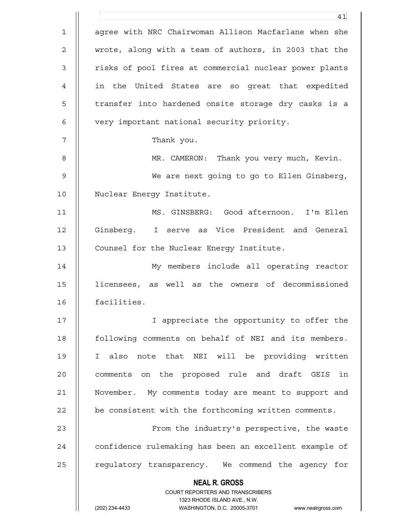|             | 41                                                                      |
|-------------|-------------------------------------------------------------------------|
| $\mathbf 1$ | agree with NRC Chairwoman Allison Macfarlane when she                   |
| 2           | wrote, along with a team of authors, in 2003 that the                   |
| 3           | risks of pool fires at commercial nuclear power plants                  |
| 4           | in the United States are so great that expedited                        |
| 5           | transfer into hardened onsite storage dry casks is a                    |
| 6           | very important national security priority.                              |
| 7           | Thank you.                                                              |
| 8           | MR. CAMERON: Thank you very much, Kevin.                                |
| 9           | We are next going to go to Ellen Ginsberg,                              |
| 10          | Nuclear Energy Institute.                                               |
| 11          | MS. GINSBERG: Good afternoon. I'm Ellen                                 |
| 12          | Ginsberg. I serve as Vice President and General                         |
| 13          | Counsel for the Nuclear Energy Institute.                               |
| 14          | My members include all operating reactor                                |
| 15          | licensees, as well as the owners of decommissioned                      |
| 16          | facilities.                                                             |
| 17          | I appreciate the opportunity to offer the                               |
| 18          | following comments on behalf of NEI and its members.                    |
| 19          | I also note that NEI will be providing written                          |
| 20          | comments on the proposed rule and draft GEIS<br>in                      |
| 21          | November. My comments today are meant to support and                    |
| 22          | be consistent with the forthcoming written comments.                    |
| 23          | From the industry's perspective, the waste                              |
| 24          | confidence rulemaking has been an excellent example of                  |
| 25          | requlatory transparency. We commend the agency for                      |
|             | <b>NEAL R. GROSS</b>                                                    |
|             | <b>COURT REPORTERS AND TRANSCRIBERS</b><br>1323 RHODE ISLAND AVE., N.W. |
|             | (202) 234-4433<br>WASHINGTON, D.C. 20005-3701<br>www.nealrgross.com     |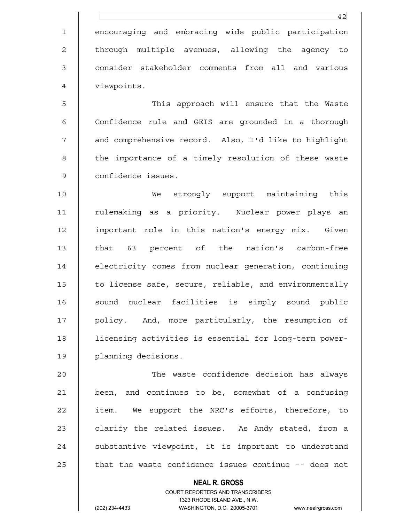1 encouraging and embracing wide public participation 2 || through multiple avenues, allowing the agency to 3 || consider stakeholder comments from all and various 4 | viewpoints.

5 This approach will ensure that the Waste 6 | Confidence rule and GEIS are grounded in a thorough 7 and comprehensive record. Also, I'd like to highlight 8 || the importance of a timely resolution of these waste 9 confidence issues.

10 We strongly support maintaining this 11 || rulemaking as a priority. Nuclear power plays an 12 important role in this nation's energy mix. Given 13 || that 63 percent of the nation's carbon-free 14 **electricity comes from nuclear generation, continuing** 15 | to license safe, secure, reliable, and environmentally 16 || sound nuclear facilities is simply sound public 17 || policy. And, more particularly, the resumption of 18 licensing activities is essential for long-term power-19 planning decisions.

20 The waste confidence decision has always 21 been, and continues to be, somewhat of a confusing 22 | item. We support the NRC's efforts, therefore, to 23  $\parallel$  clarify the related issues. As Andy stated, from a 24 || substantive viewpoint, it is important to understand 25  $\parallel$  that the waste confidence issues continue -- does not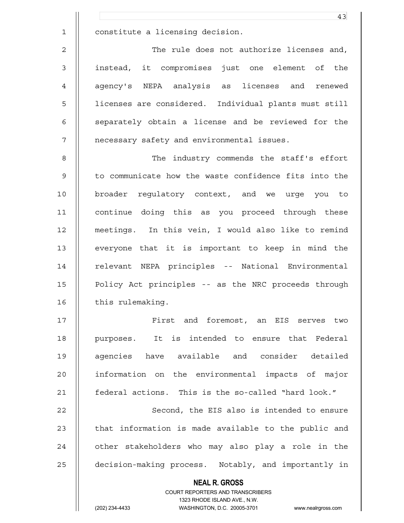1 constitute a licensing decision.

2 The rule does not authorize licenses and, 3 instead, it compromises just one element of the 4 || aqency's NEPA analysis as licenses and renewed 5 licenses are considered. Individual plants must still 6 || separately obtain a license and be reviewed for the 7 | | necessary safety and environmental issues.

8 || The industry commends the staff's effort 9 || to communicate how the waste confidence fits into the 10 broader regulatory context, and we urge you to 11 continue doing this as you proceed through these 12 meetings. In this vein, I would also like to remind 13 || everyone that it is important to keep in mind the 14 || relevant NEPA principles -- National Environmental 15 Policy Act principles -- as the NRC proceeds through 16 | this rulemaking.

17 First and foremost, an EIS serves two 18 || purposes. It is intended to ensure that Federal 19 || agencies have available and consider detailed 20 || information on the environmental impacts of major 21 **federal actions.** This is the so-called "hard look."

22 | Second, the EIS also is intended to ensure  $23$   $\parallel$  that information is made available to the public and 24 || other stakeholders who may also play a role in the 25 decision-making process. Notably, and importantly in

> **NEAL R. GROSS** COURT REPORTERS AND TRANSCRIBERS 1323 RHODE ISLAND AVE., N.W. (202) 234-4433 WASHINGTON, D.C. 20005-3701 www.nealrgross.com

43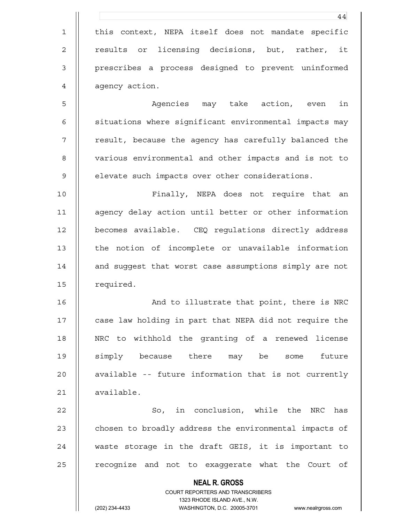|                | 44                                                                  |
|----------------|---------------------------------------------------------------------|
| $\mathbf 1$    | this context, NEPA itself does not mandate specific                 |
| $\overline{c}$ | licensing decisions, but, rather, it<br>results or                  |
| 3              | prescribes a process designed to prevent uninformed                 |
| 4              | agency action.                                                      |
| 5              | Agencies may take action, even<br>in                                |
| 6              | situations where significant environmental impacts may              |
| 7              | result, because the agency has carefully balanced the               |
| 8              | various environmental and other impacts and is not to               |
| $\mathsf 9$    | elevate such impacts over other considerations.                     |
| 10             | Finally, NEPA does not require that an                              |
| 11             | agency delay action until better or other information               |
| 12             | becomes available. CEQ regulations directly address                 |
| 13             | the notion of incomplete or unavailable information                 |
| 14             | and suggest that worst case assumptions simply are not              |
| 15             | required.                                                           |
| 16             | And to illustrate that point, there is NRC                          |
| 17             | case law holding in part that NEPA did not require the              |
| 18             | NRC to withhold the granting of a renewed license                   |
| 19             | simply because there may be some future                             |
| 20             | available -- future information that is not currently               |
| 21             | available.                                                          |
| 22             | So, in conclusion, while the NRC has                                |
| 23             | chosen to broadly address the environmental impacts of              |
| 24             | waste storage in the draft GEIS, it is important to                 |
| 25             | recognize and not to exaggerate what the Court of                   |
|                | <b>NEAL R. GROSS</b>                                                |
|                | COURT REPORTERS AND TRANSCRIBERS<br>1323 RHODE ISLAND AVE., N.W.    |
|                | (202) 234-4433<br>WASHINGTON, D.C. 20005-3701<br>www.nealrgross.com |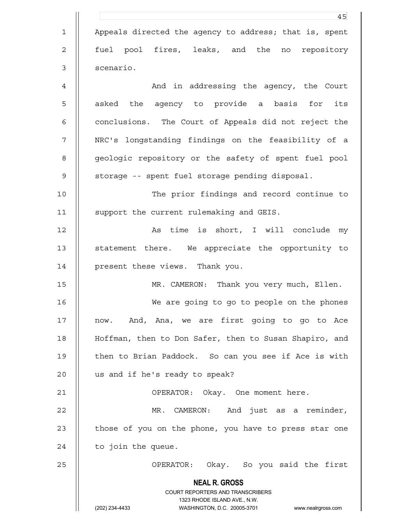|             | 45                                                                  |
|-------------|---------------------------------------------------------------------|
| $\mathbf 1$ | Appeals directed the agency to address; that is, spent              |
| 2           | fuel pool fires, leaks, and the no repository                       |
| 3           | scenario.                                                           |
| 4           | And in addressing the agency, the Court                             |
| 5           | asked the agency to provide a basis for its                         |
| 6           | conclusions. The Court of Appeals did not reject the                |
| 7           | NRC's longstanding findings on the feasibility of a                 |
| 8           | geologic repository or the safety of spent fuel pool                |
| 9           | storage -- spent fuel storage pending disposal.                     |
| 10          | The prior findings and record continue to                           |
| 11          | support the current rulemaking and GEIS.                            |
| 12          | As time is short, I will conclude my                                |
| 13          | statement there. We appreciate the opportunity to                   |
| 14          | present these views. Thank you.                                     |
| 15          | MR. CAMERON: Thank you very much, Ellen.                            |
| 16          | We are going to go to people on the phones                          |
| 17          | now. And, Ana, we are first going to go to Ace                      |
| 18          | Hoffman, then to Don Safer, then to Susan Shapiro, and              |
| 19          | then to Brian Paddock. So can you see if Ace is with                |
| 20          | us and if he's ready to speak?                                      |
| 21          | OPERATOR: Okay. One moment here.                                    |
| 22          | MR. CAMERON: And just as a reminder,                                |
| 23          | those of you on the phone, you have to press star one               |
| 24          | to join the queue.                                                  |
| 25          | OPERATOR: Okay. So you said the first                               |
|             | <b>NEAL R. GROSS</b>                                                |
|             | COURT REPORTERS AND TRANSCRIBERS<br>1323 RHODE ISLAND AVE., N.W.    |
|             | (202) 234-4433<br>WASHINGTON, D.C. 20005-3701<br>www.nealrgross.com |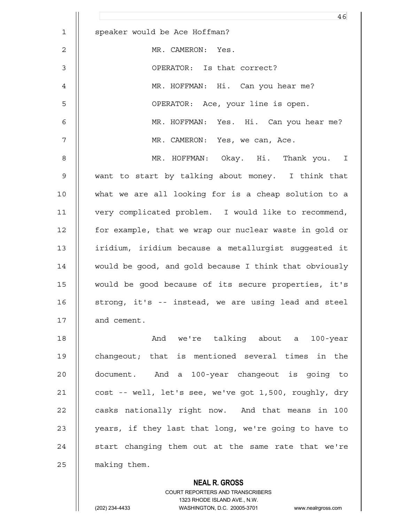|                | 46                                                     |
|----------------|--------------------------------------------------------|
| $\mathbf 1$    | speaker would be Ace Hoffman?                          |
| $\overline{c}$ | MR. CAMERON: Yes.                                      |
| 3              | OPERATOR: Is that correct?                             |
| 4              | MR. HOFFMAN: Hi. Can you hear me?                      |
| 5              | OPERATOR: Ace, your line is open.                      |
| 6              | MR. HOFFMAN: Yes. Hi. Can you hear me?                 |
| 7              | MR. CAMERON: Yes, we can, Ace.                         |
| 8              | MR. HOFFMAN: Okay. Hi. Thank you. I                    |
| $\mathsf 9$    | want to start by talking about money. I think that     |
| 10             | what we are all looking for is a cheap solution to a   |
| 11             | very complicated problem. I would like to recommend,   |
| 12             | for example, that we wrap our nuclear waste in gold or |
| 13             | iridium, iridium because a metallurgist suggested it   |
| 14             | would be good, and gold because I think that obviously |
| 15             | would be good because of its secure properties, it's   |
| 16             | strong, it's -- instead, we are using lead and steel   |
| 17             | and cement.                                            |
| 18             | And we're talking about a 100-year                     |
| 19             | changeout; that is mentioned several times in the      |
| 20             | document. And a 100-year changeout is going to         |
| 21             | cost -- well, let's see, we've got 1,500, roughly, dry |
| 22             | casks nationally right now. And that means in 100      |
| 23             | years, if they last that long, we're going to have to  |
| 24             | start changing them out at the same rate that we're    |
| 25             | making them.                                           |
|                | <b>NEAL R. GROSS</b>                                   |

 COURT REPORTERS AND TRANSCRIBERS 1323 RHODE ISLAND AVE., N.W.

 $\mathsf{II}$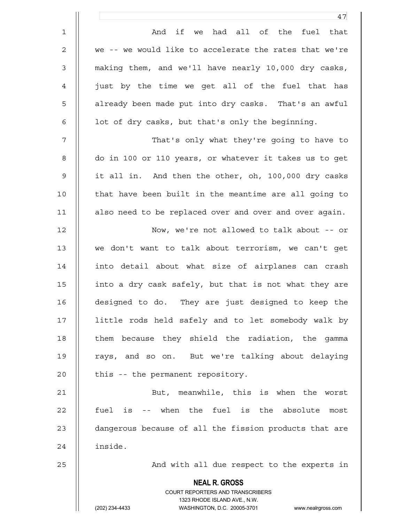|                     | 47                                                     |
|---------------------|--------------------------------------------------------|
| $\mathbf{1}$        | And if we had all of the fuel that                     |
| $\overline{2}$      | we -- we would like to accelerate the rates that we're |
| 3                   | making them, and we'll have nearly 10,000 dry casks,   |
| $\overline{4}$      | just by the time we get all of the fuel that has       |
| 5                   | already been made put into dry casks. That's an awful  |
| 6                   | lot of dry casks, but that's only the beginning.       |
| 7                   | That's only what they're going to have to              |
| 8                   | do in 100 or 110 years, or whatever it takes us to get |
| 9                   | it all in. And then the other, oh, 100,000 dry casks   |
| $\mathbf{0}$        | that have been built in the meantime are all going to  |
| $\mathbf{1}$        | also need to be replaced over and over and over again. |
| $\overline{2}$      | Now, we're not allowed to talk about -- or             |
| 3                   | we don't want to talk about terrorism, we can't get    |
| $4\overline{ }$     | into detail about what size of airplanes can crash     |
| 5                   | into a dry cask safely, but that is not what they are  |
| 6                   | designed to do. They are just designed to keep the     |
| $\overline{7}$      | little rods held safely and to let somebody walk by    |
| 8                   | them because they shield the radiation, the gamma      |
| 9                   | rays, and so on. But we're talking about delaying      |
| $\mathsf{O}\xspace$ | this -- the permanent repository.                      |
| $\mathbf{1}$        | But, meanwhile, this is when the worst                 |
| 2                   | fuel is -- when the fuel is the absolute most          |
| ς                   | dangerous because of all the fission products that are |

21 | But, meanwhile, this is when the worst  $22$  | fuel is -- when the fuel is the absolute most 23 | dangerous because of all the fission products that are 24 | inside.

25 || And with all due respect to the experts in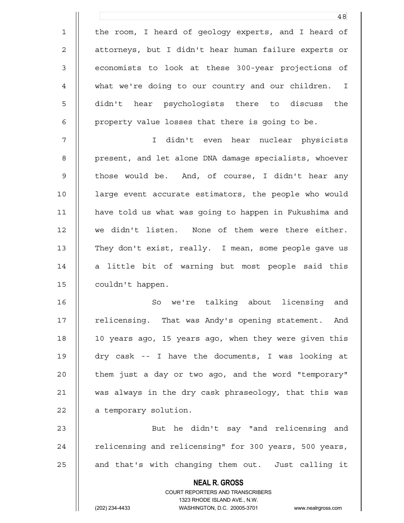|                | 48                                                                  |
|----------------|---------------------------------------------------------------------|
| $\mathbf 1$    | the room, I heard of geology experts, and I heard of                |
| $\overline{c}$ | attorneys, but I didn't hear human failure experts or               |
| $\mathsf 3$    | economists to look at these 300-year projections of                 |
| 4              | what we're doing to our country and our children. I                 |
| 5              | didn't hear psychologists there to discuss the                      |
| 6              | property value losses that there is going to be.                    |
| 7              | I didn't even hear nuclear physicists                               |
| 8              | present, and let alone DNA damage specialists, whoever              |
| 9              | those would be. And, of course, I didn't hear any                   |
| 10             | large event accurate estimators, the people who would               |
| 11             | have told us what was going to happen in Fukushima and              |
| 12             | we didn't listen. None of them were there either.                   |
| 13             | They don't exist, really. I mean, some people gave us               |
| 14             | a little bit of warning but most people said this                   |
| 15             | couldn't happen.                                                    |
| 16             | we're talking about licensing<br>So<br>and                          |
| 17             | relicensing. That was Andy's opening statement. And                 |
| 18             | 10 years ago, 15 years ago, when they were given this               |
| 19             | dry cask -- I have the documents, I was looking at                  |
| 20             | them just a day or two ago, and the word "temporary"                |
| 21             | was always in the dry cask phraseology, that this was               |
| 22             | a temporary solution.                                               |
| 23             | But he didn't say "and relicensing and                              |
| 24             | relicensing and relicensing" for 300 years, 500 years,              |
| 25             | and that's with changing them out. Just calling it                  |
|                | <b>NEAL R. GROSS</b>                                                |
|                | COURT REPORTERS AND TRANSCRIBERS<br>1323 RHODE ISLAND AVE., N.W.    |
|                | (202) 234-4433<br>WASHINGTON, D.C. 20005-3701<br>www.nealrgross.com |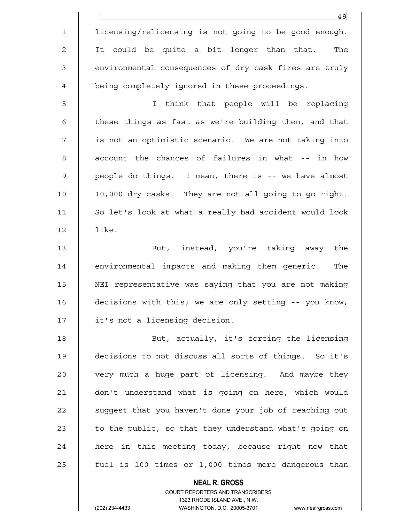|             | 49                                                     |
|-------------|--------------------------------------------------------|
| $\mathbf 1$ | licensing/relicensing is not going to be good enough.  |
| 2           | It could be quite a bit longer than that.<br>The       |
| 3           | environmental consequences of dry cask fires are truly |
| 4           | being completely ignored in these proceedings.         |
| 5           | I think that people will be replacing                  |
| 6           | these things as fast as we're building them, and that  |
| 7           | is not an optimistic scenario. We are not taking into  |
| 8           | account the chances of failures in what -- in how      |
| 9           | people do things. I mean, there is -- we have almost   |
| 10          | 10,000 dry casks. They are not all going to go right.  |
| 11          | So let's look at what a really bad accident would look |
| 12          | like.                                                  |
| 13          | But, instead, you're taking away the                   |
| 14          | environmental impacts and making them generic.<br>The  |
| 15          | NEI representative was saying that you are not making  |
| 16          | decisions with this; we are only setting -- you know,  |
| 17          | it's not a licensing decision.                         |
| 18          | But, actually, it's forcing the licensing              |
| 19          | decisions to not discuss all sorts of things. So it's  |
| 20          | very much a huge part of licensing. And maybe they     |
| 21          | don't understand what is going on here, which would    |
| 22          | suggest that you haven't done your job of reaching out |
| 23          | to the public, so that they understand what's going on |
| 24          | here in this meeting today, because right now that     |
| 25          | fuel is 100 times or 1,000 times more dangerous than   |
|             | <b>NEAL R. GROSS</b>                                   |

 COURT REPORTERS AND TRANSCRIBERS 1323 RHODE ISLAND AVE., N.W. (202) 234-4433 WASHINGTON, D.C. 20005-3701 www.nealrgross.com

 $\mathsf{II}$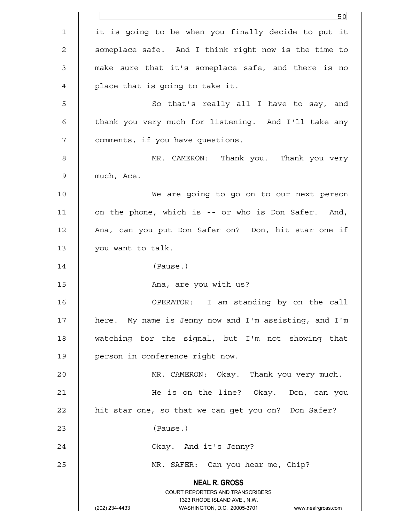|              | 50                                                                                                  |
|--------------|-----------------------------------------------------------------------------------------------------|
| $\mathbf{1}$ | it is going to be when you finally decide to put it                                                 |
| $\mathbf 2$  | someplace safe. And I think right now is the time to                                                |
| 3            | make sure that it's someplace safe, and there is no                                                 |
| 4            | place that is going to take it.                                                                     |
| 5            | So that's really all I have to say, and                                                             |
| 6            | thank you very much for listening. And I'll take any                                                |
| 7            | comments, if you have questions.                                                                    |
| 8            | MR. CAMERON: Thank you. Thank you very                                                              |
| $\mathsf 9$  | much, Ace.                                                                                          |
| 10           | We are going to go on to our next person                                                            |
| 11           | on the phone, which is -- or who is Don Safer. And,                                                 |
| 12           | Ana, can you put Don Safer on? Don, hit star one if                                                 |
| 13           | you want to talk.                                                                                   |
| 14           | (Pause.)                                                                                            |
| 15           | Ana, are you with us?                                                                               |
| 16           | I am standing by on the call<br>OPERATOR:                                                           |
| 17           | here. My name is Jenny now and I'm assisting, and I'm                                               |
| 18           | watching for the signal, but I'm not showing that                                                   |
| 19           | person in conference right now.                                                                     |
| 20           | MR. CAMERON: Okay. Thank you very much.                                                             |
| 21           | He is on the line? Okay. Don, can you                                                               |
| 22           | hit star one, so that we can get you on? Don Safer?                                                 |
| 23           | (Pause.)                                                                                            |
| 24           | Okay. And it's Jenny?                                                                               |
| 25           | MR. SAFER: Can you hear me, Chip?                                                                   |
|              | <b>NEAL R. GROSS</b>                                                                                |
|              | COURT REPORTERS AND TRANSCRIBERS                                                                    |
|              | 1323 RHODE ISLAND AVE., N.W.<br>(202) 234-4433<br>WASHINGTON, D.C. 20005-3701<br>www.nealrgross.com |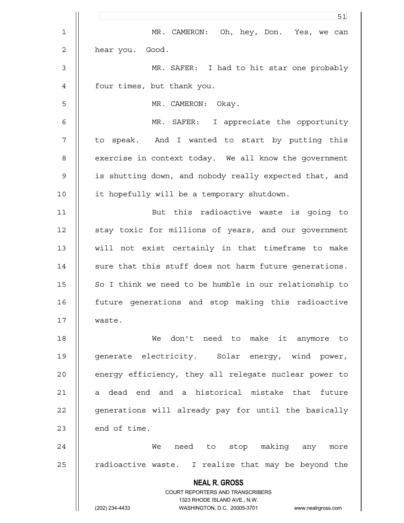|                | 51                                                                      |
|----------------|-------------------------------------------------------------------------|
| $\mathbf{1}$   | MR. CAMERON: Oh, hey, Don. Yes, we can                                  |
| $\overline{2}$ | hear you. Good.                                                         |
| $\mathfrak{Z}$ | MR. SAFER: I had to hit star one probably                               |
| 4              | four times, but thank you.                                              |
| 5              | MR. CAMERON: Okay.                                                      |
| 6              | MR. SAFER: I appreciate the opportunity                                 |
| 7              | to speak. And I wanted to start by putting this                         |
| 8              | exercise in context today. We all know the government                   |
| $\mathcal{G}$  | is shutting down, and nobody really expected that, and                  |
| 10             | it hopefully will be a temporary shutdown.                              |
| 11             | But this radioactive waste is going to                                  |
| 12             | stay toxic for millions of years, and our government                    |
| 13             | will not exist certainly in that timeframe to make                      |
| 14             | sure that this stuff does not harm future generations.                  |
| 15             | So I think we need to be humble in our relationship to                  |
| 16             | future generations and stop making this radioactive                     |
| 17             | waste.                                                                  |
| 18             | We don't need to make it anymore to                                     |
| 19             | generate electricity. Solar energy, wind power,                         |
| 20             | energy efficiency, they all relegate nuclear power to                   |
| 21             | dead end and a historical mistake that future<br>а                      |
| 22             | generations will already pay for until the basically                    |
| 23             | end of time.                                                            |
| 24             | stop making any<br>We<br>need to<br>more                                |
| 25             | radioactive waste. I realize that may be beyond the                     |
|                | <b>NEAL R. GROSS</b>                                                    |
|                | <b>COURT REPORTERS AND TRANSCRIBERS</b><br>1323 RHODE ISLAND AVE., N.W. |
|                | (202) 234-4433<br>WASHINGTON, D.C. 20005-3701<br>www.nealrgross.com     |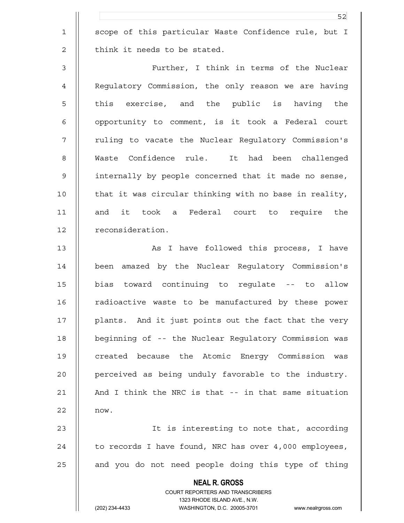1 || scope of this particular Waste Confidence rule, but I  $2 \parallel$  think it needs to be stated.

3 Further, I think in terms of the Nuclear 4 | Regulatory Commission, the only reason we are having 5 || this exercise, and the public is having the 6 || opportunity to comment, is it took a Federal court 7 || ruling to vacate the Nuclear Regulatory Commission's 8 Waste Confidence rule. It had been challenged 9 internally by people concerned that it made no sense, 10 || that it was circular thinking with no base in reality, 11 || and it took a Federal court to require the 12 | reconsideration.

13 || As I have followed this process, I have 14 been amazed by the Nuclear Regulatory Commission's 15 bias toward continuing to regulate -- to allow 16 | radioactive waste to be manufactured by these power 17 || plants. And it just points out the fact that the very 18 beginning of -- the Nuclear Regulatory Commission was 19 || created because the Atomic Energy Commission was 20 || perceived as being unduly favorable to the industry. 21  $\parallel$  And I think the NRC is that  $-$  in that same situation  $22 \parallel$  now.

23 It is interesting to note that, according 24  $\parallel$  to records I have found, NRC has over 4,000 employees,  $25$  | and you do not need people doing this type of thing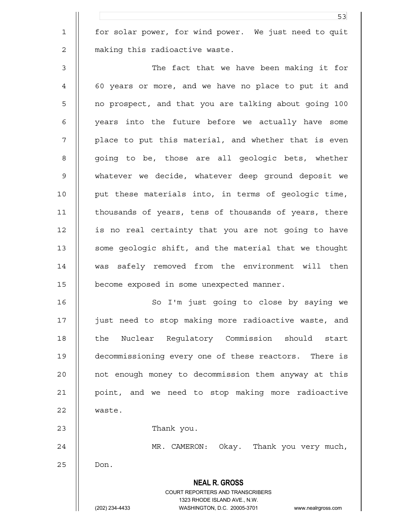1 | for solar power, for wind power. We just need to quit 2 | making this radioactive waste.

3 The fact that we have been making it for 4 60 years or more, and we have no place to put it and 5 no prospect, and that you are talking about going 100 6 || years into the future before we actually have some 7 || place to put this material, and whether that is even 8 || qoing to be, those are all geologic bets, whether 9 whatever we decide, whatever deep ground deposit we 10 put these materials into, in terms of geologic time, 11 | thousands of years, tens of thousands of years, there 12 is no real certainty that you are not going to have 13 | some geologic shift, and the material that we thought 14 was safely removed from the environment will then 15 become exposed in some unexpected manner.

16 || So I'm just going to close by saying we 17 just need to stop making more radioactive waste, and 18 || the Nuclear Requlatory Commission should start 19 decommissioning every one of these reactors. There is 20 | not enough money to decommission them anyway at this 21 point, and we need to stop making more radioactive 22 | waste.

23 || Thank you.

24 || MR. CAMERON: Okay. Thank you very much,

 $25$  || Don.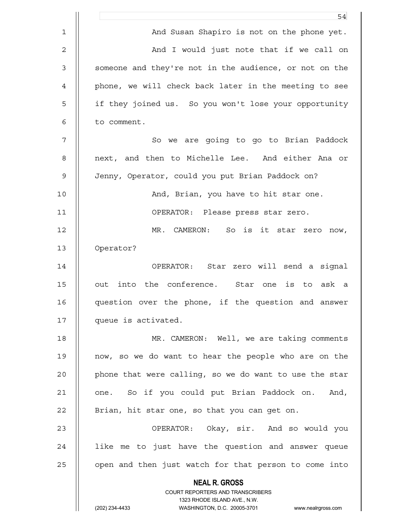|    | 54                                                                      |
|----|-------------------------------------------------------------------------|
| 1  | And Susan Shapiro is not on the phone yet.                              |
| 2  | And I would just note that if we call on                                |
| 3  | someone and they're not in the audience, or not on the                  |
| 4  | phone, we will check back later in the meeting to see                   |
| 5  | if they joined us. So you won't lose your opportunity                   |
| 6  | to comment.                                                             |
| 7  | So we are going to go to Brian Paddock                                  |
| 8  | next, and then to Michelle Lee. And either Ana or                       |
| 9  | Jenny, Operator, could you put Brian Paddock on?                        |
| 10 | And, Brian, you have to hit star one.                                   |
| 11 | OPERATOR: Please press star zero.                                       |
| 12 | So is it star zero now,<br>MR. CAMERON:                                 |
| 13 | Operator?                                                               |
| 14 | OPERATOR: Star zero will send a signal                                  |
| 15 | out into the conference. Star one is to ask a                           |
| 16 | question over the phone, if the question and answer                     |
| 17 | queue is activated.                                                     |
| 18 | MR. CAMERON: Well, we are taking comments                               |
| 19 | now, so we do want to hear the people who are on the                    |
| 20 | phone that were calling, so we do want to use the star                  |
| 21 | one. So if you could put Brian Paddock on.<br>And,                      |
| 22 | Brian, hit star one, so that you can get on.                            |
| 23 | OPERATOR: Okay, sir. And so would you                                   |
| 24 | like me to just have the question and answer queue                      |
| 25 | open and then just watch for that person to come into                   |
|    | <b>NEAL R. GROSS</b>                                                    |
|    | <b>COURT REPORTERS AND TRANSCRIBERS</b><br>1323 RHODE ISLAND AVE., N.W. |
|    | (202) 234-4433<br>WASHINGTON, D.C. 20005-3701<br>www.nealrgross.com     |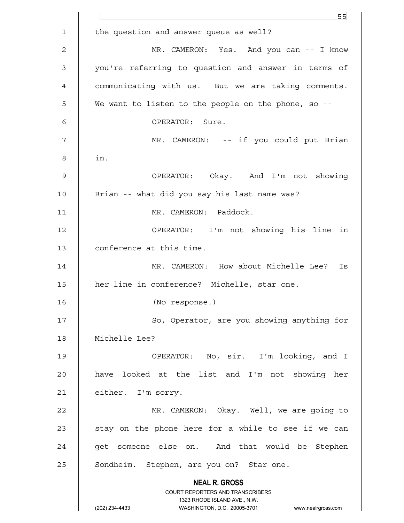|    | 55                                                                                                  |
|----|-----------------------------------------------------------------------------------------------------|
| 1  | the question and answer queue as well?                                                              |
| 2  | MR. CAMERON: Yes. And you can -- I know                                                             |
| 3  | you're referring to question and answer in terms of                                                 |
| 4  | communicating with us. But we are taking comments.                                                  |
| 5  | We want to listen to the people on the phone, so --                                                 |
| 6  | OPERATOR: Sure.                                                                                     |
| 7  | MR. CAMERON: -- if you could put Brian                                                              |
| 8  | in.                                                                                                 |
| 9  | OPERATOR: Okay. And I'm not showing                                                                 |
| 10 | Brian -- what did you say his last name was?                                                        |
| 11 | MR. CAMERON: Paddock.                                                                               |
| 12 | OPERATOR: I'm not showing his line in                                                               |
| 13 | conference at this time.                                                                            |
| 14 | MR. CAMERON: How about Michelle Lee? Is                                                             |
| 15 | her line in conference? Michelle, star one.                                                         |
| 16 | (No response.)                                                                                      |
| 17 | So, Operator, are you showing anything for                                                          |
| 18 | Michelle Lee?                                                                                       |
| 19 | OPERATOR: No, sir. I'm looking, and I                                                               |
| 20 | have looked at the list and I'm not showing her                                                     |
| 21 | either. I'm sorry.                                                                                  |
| 22 | MR. CAMERON: Okay. Well, we are going to                                                            |
| 23 | stay on the phone here for a while to see if we can                                                 |
| 24 | get someone else on. And that would be Stephen                                                      |
| 25 | Sondheim. Stephen, are you on? Star one.                                                            |
|    | <b>NEAL R. GROSS</b>                                                                                |
|    | COURT REPORTERS AND TRANSCRIBERS                                                                    |
|    | 1323 RHODE ISLAND AVE., N.W.<br>(202) 234-4433<br>WASHINGTON, D.C. 20005-3701<br>www.nealrgross.com |
|    |                                                                                                     |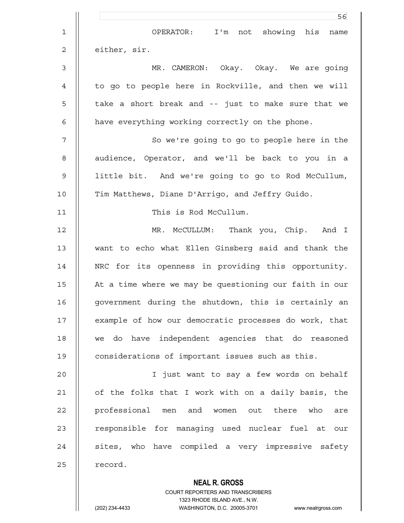|                | 56                                                                                                  |
|----------------|-----------------------------------------------------------------------------------------------------|
| $\mathbf 1$    | I'm not showing his<br>OPERATOR:<br>name                                                            |
| $\mathbf 2$    | either, sir.                                                                                        |
| $\mathfrak{Z}$ | MR. CAMERON: Okay. Okay. We are going                                                               |
| 4              | to go to people here in Rockville, and then we will                                                 |
| 5              | take a short break and -- just to make sure that we                                                 |
| 6              | have everything working correctly on the phone.                                                     |
| 7              | So we're going to go to people here in the                                                          |
| 8              | audience, Operator, and we'll be back to you in a                                                   |
| 9              | little bit. And we're going to go to Rod McCullum,                                                  |
| 10             | Tim Matthews, Diane D'Arrigo, and Jeffry Guido.                                                     |
| 11             | This is Rod McCullum.                                                                               |
| 12             | MR. McCULLUM: Thank you, Chip. And I                                                                |
| 13             | want to echo what Ellen Ginsberg said and thank the                                                 |
| 14             | NRC for its openness in providing this opportunity.                                                 |
| 15             | At a time where we may be questioning our faith in our                                              |
| 16             | government during the shutdown, this is certainly an                                                |
| 17             | example of how our democratic processes do work, that                                               |
| 18             | we do have independent agencies that do reasoned                                                    |
| 19             | considerations of important issues such as this.                                                    |
| 20             | I just want to say a few words on behalf                                                            |
| 21             | of the folks that I work with on a daily basis, the                                                 |
| 22             | professional men and women out there who<br>are                                                     |
| 23             | responsible for managing used nuclear fuel at our                                                   |
| 24             | sites, who have compiled a very impressive safety                                                   |
| 25             | record.                                                                                             |
|                | <b>NEAL R. GROSS</b>                                                                                |
|                | COURT REPORTERS AND TRANSCRIBERS                                                                    |
|                | 1323 RHODE ISLAND AVE., N.W.<br>WASHINGTON, D.C. 20005-3701<br>(202) 234-4433<br>www.nealrgross.com |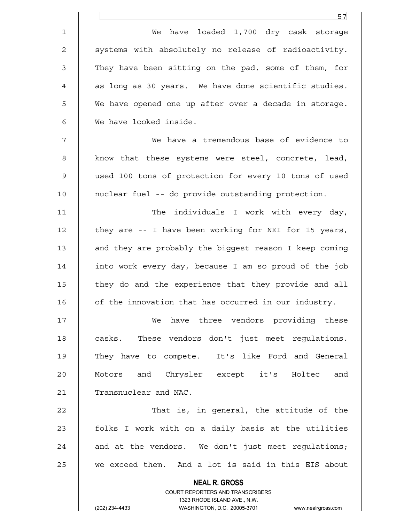|                | 57                                                                      |
|----------------|-------------------------------------------------------------------------|
| $\mathbf 1$    | have loaded 1,700 dry cask storage<br>We                                |
| $\overline{2}$ | systems with absolutely no release of radioactivity.                    |
| $\mathfrak{Z}$ | They have been sitting on the pad, some of them, for                    |
| $\overline{4}$ | as long as 30 years. We have done scientific studies.                   |
| 5              | We have opened one up after over a decade in storage.                   |
| 6              | We have looked inside.                                                  |
| $\overline{7}$ | We have a tremendous base of evidence to                                |
| $\,8\,$        | know that these systems were steel, concrete, lead,                     |
| $\mathsf 9$    | used 100 tons of protection for every 10 tons of used                   |
| 10             | nuclear fuel -- do provide outstanding protection.                      |
| 11             | The individuals I work with every day,                                  |
| 12             | they are -- I have been working for NEI for 15 years,                   |
| 13             | and they are probably the biggest reason I keep coming                  |
| 14             | into work every day, because I am so proud of the job                   |
| 15             | they do and the experience that they provide and all                    |
| 16             | of the innovation that has occurred in our industry.                    |
| 17             | have three vendors providing these<br>We                                |
| 18             | These vendors don't just meet regulations.<br>casks.                    |
| 19             | They have to compete. It's like Ford and General                        |
| 20             | Motors and Chrysler except it's Holtec and                              |
| 21             | Transnuclear and NAC.                                                   |
| 22             | That is, in general, the attitude of the                                |
| 23             | folks I work with on a daily basis at the utilities                     |
| 24             | and at the vendors. We don't just meet regulations;                     |
| 25             | we exceed them. And a lot is said in this EIS about                     |
|                | <b>NEAL R. GROSS</b>                                                    |
|                | <b>COURT REPORTERS AND TRANSCRIBERS</b><br>1323 RHODE ISLAND AVE., N.W. |
|                | (202) 234-4433<br>WASHINGTON, D.C. 20005-3701<br>www.nealrgross.com     |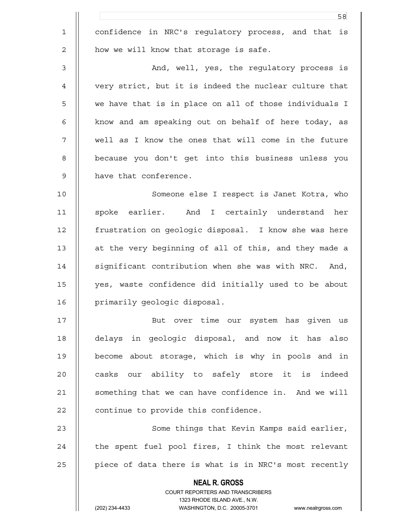|             | 58                                                                                                  |
|-------------|-----------------------------------------------------------------------------------------------------|
| $\mathbf 1$ | confidence in NRC's regulatory process, and that is                                                 |
| 2           | how we will know that storage is safe.                                                              |
| 3           | And, well, yes, the regulatory process is                                                           |
| 4           | very strict, but it is indeed the nuclear culture that                                              |
| 5           | we have that is in place on all of those individuals I                                              |
| 6           | know and am speaking out on behalf of here today, as                                                |
| 7           | well as I know the ones that will come in the future                                                |
| 8           | because you don't get into this business unless you                                                 |
| 9           | have that conference.                                                                               |
| 10          | Someone else I respect is Janet Kotra, who                                                          |
| 11          | spoke earlier. And I certainly understand<br>her                                                    |
| 12          | frustration on geologic disposal. I know she was here                                               |
| 13          | at the very beginning of all of this, and they made a                                               |
| 14          | significant contribution when she was with NRC. And,                                                |
| 15          | yes, waste confidence did initially used to be about                                                |
| 16          | primarily geologic disposal.                                                                        |
| 17          | But over time our system has given us                                                               |
| 18          | delays in geologic disposal, and now it has also                                                    |
| 19          | become about storage, which is why in pools and in                                                  |
| 20          | casks our ability to safely store it is indeed                                                      |
| 21          | something that we can have confidence in. And we will                                               |
| 22          | continue to provide this confidence.                                                                |
| 23          | Some things that Kevin Kamps said earlier,                                                          |
| 24          | the spent fuel pool fires, I think the most relevant                                                |
| 25          | piece of data there is what is in NRC's most recently                                               |
|             | <b>NEAL R. GROSS</b>                                                                                |
|             | COURT REPORTERS AND TRANSCRIBERS                                                                    |
|             | 1323 RHODE ISLAND AVE., N.W.<br>(202) 234-4433<br>WASHINGTON, D.C. 20005-3701<br>www.nealrgross.com |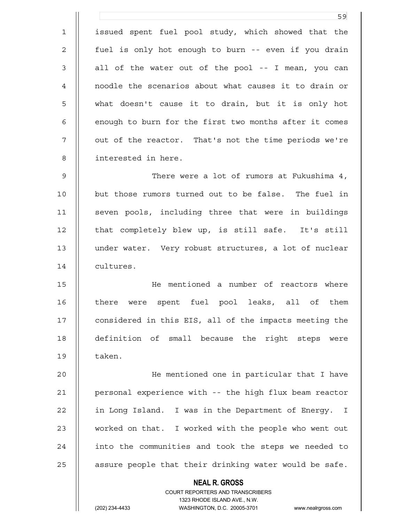<u>59 September 2005 September 2005 September 2005 September 2005 September 2005 September 2005 September 2005 S</u> 1 || issued spent fuel pool study, which showed that the 2 || fuel is only hot enough to burn -- even if you drain  $3 \parallel$  all of the water out of the pool -- I mean, you can 4 noodle the scenarios about what causes it to drain or 5 what doesn't cause it to drain, but it is only hot  $6$  || enough to burn for the first two months after it comes 7 || out of the reactor. That's not the time periods we're 8 interested in here. 9 There were a lot of rumors at Fukushima 4, 10 || but those rumors turned out to be false. The fuel in 11 || seven pools, including three that were in buildings 12 || that completely blew up, is still safe. It's still 13 under water. Very robust structures, a lot of nuclear 14 | cultures. 15 He mentioned a number of reactors where 16 || there were spent fuel pool leaks, all of them 17 || considered in this EIS, all of the impacts meeting the 18 definition of small because the right steps were 19 II taken.

20 He mentioned one in particular that I have 21 | personal experience with -- the high flux beam reactor 22 | in Long Island. I was in the Department of Energy. I 23 || worked on that. I worked with the people who went out 24 || into the communities and took the steps we needed to 25  $\parallel$  assure people that their drinking water would be safe.

 **NEAL R. GROSS**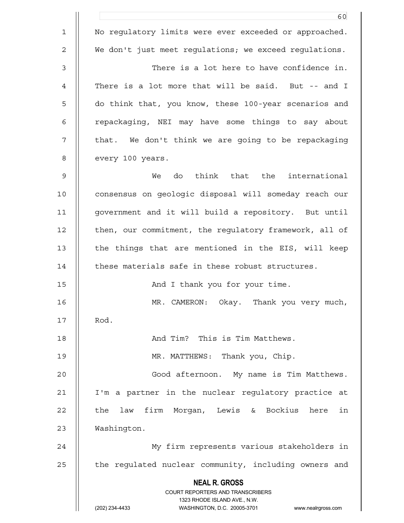|    | 60                                                                                                  |
|----|-----------------------------------------------------------------------------------------------------|
| 1  | No regulatory limits were ever exceeded or approached.                                              |
| 2  | We don't just meet requlations; we exceed requlations.                                              |
| 3  | There is a lot here to have confidence in.                                                          |
| 4  | There is a lot more that will be said. But -- and I                                                 |
| 5  | do think that, you know, these 100-year scenarios and                                               |
| 6  | repackaging, NEI may have some things to say about                                                  |
| 7  | that. We don't think we are going to be repackaging                                                 |
| 8  | every 100 years.                                                                                    |
| 9  | think that the international<br>do<br>We                                                            |
| 10 | consensus on geologic disposal will someday reach our                                               |
| 11 | government and it will build a repository. But until                                                |
| 12 | then, our commitment, the regulatory framework, all of                                              |
| 13 | the things that are mentioned in the EIS, will keep                                                 |
| 14 | these materials safe in these robust structures.                                                    |
| 15 | And I thank you for your time.                                                                      |
| 16 | Thank you very much,<br>MR. CAMERON:<br>Okay.                                                       |
| 17 | Rod.                                                                                                |
| 18 | And Tim? This is Tim Matthews.                                                                      |
| 19 | MR. MATTHEWS: Thank you, Chip.                                                                      |
| 20 | Good afternoon. My name is Tim Matthews.                                                            |
| 21 | I'm a partner in the nuclear regulatory practice at                                                 |
| 22 | law firm Morgan, Lewis & Bockius<br>in<br>the<br>here                                               |
| 23 | Washington.                                                                                         |
| 24 | My firm represents various stakeholders in                                                          |
| 25 | the regulated nuclear community, including owners and                                               |
|    | <b>NEAL R. GROSS</b>                                                                                |
|    | COURT REPORTERS AND TRANSCRIBERS                                                                    |
|    | 1323 RHODE ISLAND AVE., N.W.<br>(202) 234-4433<br>WASHINGTON, D.C. 20005-3701<br>www.nealrgross.com |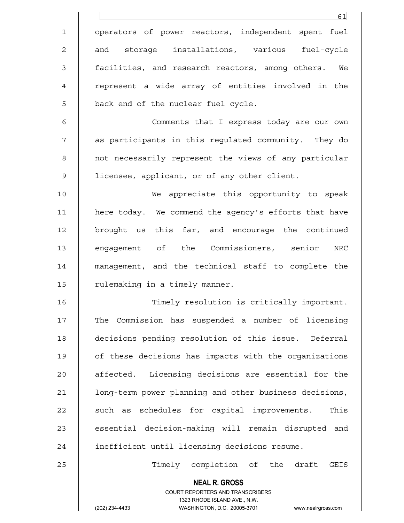|                | 61                                                                  |
|----------------|---------------------------------------------------------------------|
| $\mathbf 1$    | operators of power reactors, independent spent fuel                 |
| $\overline{c}$ | and storage installations, various fuel-cycle                       |
| 3              | facilities, and research reactors, among others. We                 |
| 4              | represent a wide array of entities involved in the                  |
| 5              | back end of the nuclear fuel cycle.                                 |
| 6              | Comments that I express today are our own                           |
| 7              | as participants in this regulated community. They do                |
| 8              | not necessarily represent the views of any particular               |
| 9              | licensee, applicant, or of any other client.                        |
| 10             | We appreciate this opportunity to speak                             |
| 11             | here today. We commend the agency's efforts that have               |
| 12             | brought us this far, and encourage the continued                    |
| 13             | engagement of the Commissioners, senior<br>$\tt NRC$                |
| 14             | management, and the technical staff to complete the                 |
| 15             | rulemaking in a timely manner.                                      |
| 16             | Timely resolution is critically important.                          |
| 17             | The Commission has suspended a number of licensing                  |
| 18             | decisions pending resolution of this issue. Deferral                |
| 19             | of these decisions has impacts with the organizations               |
| 20             | affected. Licensing decisions are essential for the                 |
| 21             | long-term power planning and other business decisions,              |
| 22             | such as schedules for capital improvements.<br>This                 |
| 23             | essential decision-making will remain disrupted and                 |
| 24             | inefficient until licensing decisions resume.                       |
| 25             | Timely completion of the draft GEIS                                 |
|                | <b>NEAL R. GROSS</b><br><b>COURT REPORTERS AND TRANSCRIBERS</b>     |
|                | 1323 RHODE ISLAND AVE., N.W.                                        |
|                | (202) 234-4433<br>WASHINGTON, D.C. 20005-3701<br>www.nealrgross.com |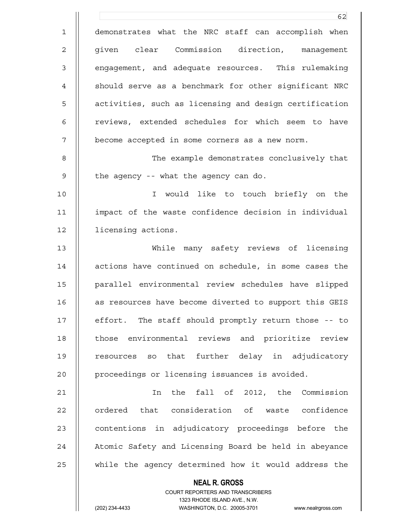**NEAL R. GROSS** <u>62</u> 1 demonstrates what the NRC staff can accomplish when 2 || given clear Commission direction, management 3 || engagement, and adequate resources. This rulemaking 4 || should serve as a benchmark for other significant NRC 5  $\parallel$  activities, such as licensing and design certification 6 || reviews, extended schedules for which seem to have 7 | become accepted in some corners as a new norm. 8 The example demonstrates conclusively that 9  $\parallel$  the agency -- what the agency can do. 10 I would like to touch briefly on the 11 impact of the waste confidence decision in individual 12 | licensing actions. 13 While many safety reviews of licensing 14 || actions have continued on schedule, in some cases the 15 parallel environmental review schedules have slipped 16 | as resources have become diverted to support this GEIS 17 || effort. The staff should promptly return those -- to 18 || those environmental reviews and prioritize review 19 || resources so that further delay in adjudicatory 20 | proceedings or licensing issuances is avoided. 21 In the fall of 2012, the Commission 22 || ordered that consideration of waste confidence 23 || contentions in adjudicatory proceedings before the 24 || Atomic Safety and Licensing Board be held in abeyance 25 || while the agency determined how it would address the

> COURT REPORTERS AND TRANSCRIBERS 1323 RHODE ISLAND AVE., N.W.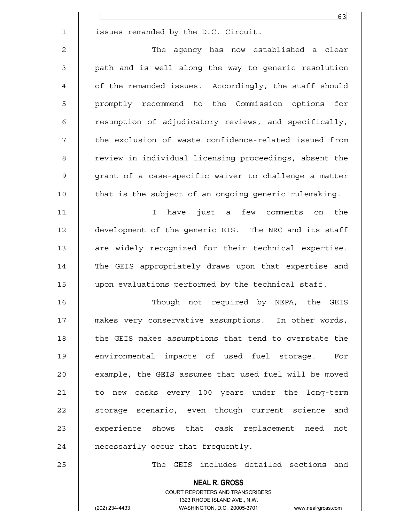|              | 63                                                     |
|--------------|--------------------------------------------------------|
| $\mathbf{1}$ | issues remanded by the D.C. Circuit.                   |
| 2            | The agency has now established a clear                 |
| 3            | path and is well along the way to generic resolution   |
| 4            | of the remanded issues. Accordingly, the staff should  |
| 5            | promptly recommend to the Commission options for       |
| 6            | resumption of adjudicatory reviews, and specifically,  |
| 7            | the exclusion of waste confidence-related issued from  |
| 8            | review in individual licensing proceedings, absent the |
| 9            | grant of a case-specific waiver to challenge a matter  |
| 10           | that is the subject of an ongoing generic rulemaking.  |
| 11           | have just a few comments on<br>the<br>$\mathbf I$      |
| 12           | development of the generic EIS. The NRC and its staff  |
| 13           | are widely recognized for their technical expertise.   |
| 14           | The GEIS appropriately draws upon that expertise and   |
| 15           | upon evaluations performed by the technical staff.     |
| 16           | Though not required by NEPA, the GEIS                  |
| 17           | makes very conservative assumptions. In other words,   |
| 18           | the GEIS makes assumptions that tend to overstate the  |
| 19           | environmental impacts of used fuel storage. For        |
| 20           | example, the GEIS assumes that used fuel will be moved |
| 21           | to new casks every 100 years under the long-term       |
| 22           | storage scenario, even though current science and      |
| 23           | experience shows that cask replacement need not        |
| 24           | necessarily occur that frequently.                     |
| 25           | The GEIS includes detailed sections and                |
|              | <b>NEAL R. GROSS</b>                                   |

 COURT REPORTERS AND TRANSCRIBERS 1323 RHODE ISLAND AVE., N.W. (202) 234-4433 WASHINGTON, D.C. 20005-3701 www.nealrgross.com

 $\mathsf{II}$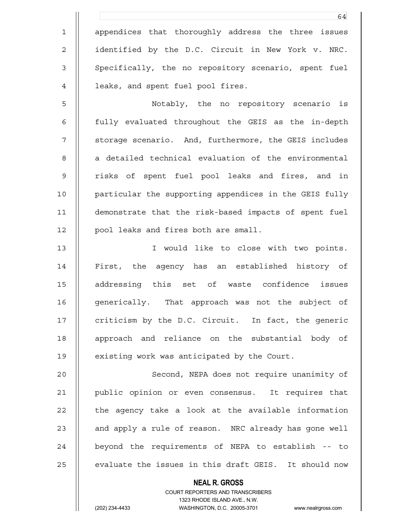1 || appendices that thoroughly address the three issues 2 | identified by the D.C. Circuit in New York v. NRC. 3 || Specifically, the no repository scenario, spent fuel 4 | leaks, and spent fuel pool fires.

5 Notably, the no repository scenario is 6 fully evaluated throughout the GEIS as the in-depth 7 || storage scenario. And, furthermore, the GEIS includes 8 || a detailed technical evaluation of the environmental 9 || risks of spent fuel pool leaks and fires, and in 10 || particular the supporting appendices in the GEIS fully 11 demonstrate that the risk-based impacts of spent fuel 12 || pool leaks and fires both are small.

13 I would like to close with two points. 14 || First, the agency has an established history of 15 addressing this set of waste confidence issues 16 | generically. That approach was not the subject of 17 || criticism by the D.C. Circuit. In fact, the generic 18 || approach and reliance on the substantial body of 19 || existing work was anticipated by the Court.

20 || Second, NEPA does not require unanimity of 21 public opinion or even consensus. It requires that  $22$   $\parallel$  the agency take a look at the available information 23 || and apply a rule of reason. NRC already has gone well 24 || beyond the requirements of NEPA to establish -- to  $25$   $\parallel$  evaluate the issues in this draft GEIS. It should now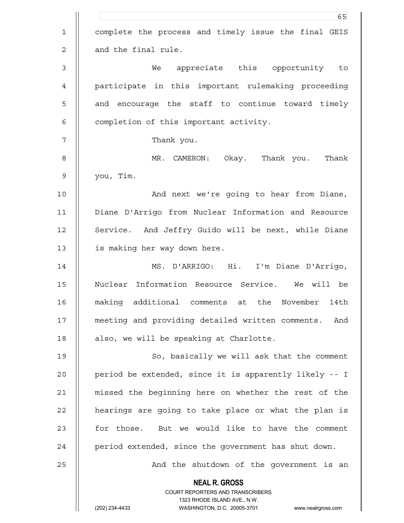|                | 65                                                                                                  |
|----------------|-----------------------------------------------------------------------------------------------------|
| $\mathbf 1$    | complete the process and timely issue the final GEIS                                                |
| $\overline{c}$ | and the final rule.                                                                                 |
| $\mathsf 3$    | appreciate this opportunity to<br>We                                                                |
| 4              | participate in this important rulemaking proceeding                                                 |
| 5              | and encourage the staff to continue toward timely                                                   |
| 6              | completion of this important activity.                                                              |
| 7              | Thank you.                                                                                          |
| 8              | MR. CAMERON: Okay. Thank you.<br>Thank                                                              |
| $\mathsf 9$    | you, Tim.                                                                                           |
| 10             | And next we're going to hear from Diane,                                                            |
| 11             | Diane D'Arrigo from Nuclear Information and Resource                                                |
| 12             | Service. And Jeffry Guido will be next, while Diane                                                 |
| 13             | is making her way down here.                                                                        |
| 14             | MS. D'ARRIGO: Hi. I'm Diane D'Arrigo,                                                               |
| 15             | Nuclear Information Resource Service.<br>We will be                                                 |
| 16             | making additional comments<br>the November<br>14th<br>at                                            |
| 17             | meeting and providing detailed written comments. And                                                |
| 18             | also, we will be speaking at Charlotte.                                                             |
| 19             | So, basically we will ask that the comment                                                          |
| 20             | period be extended, since it is apparently likely -- I                                              |
| 21             | missed the beginning here on whether the rest of the                                                |
| 22             | hearings are going to take place or what the plan is                                                |
| 23             | for those. But we would like to have the comment                                                    |
| 24             | period extended, since the government has shut down.                                                |
| 25             | And the shutdown of the government is an                                                            |
|                | <b>NEAL R. GROSS</b>                                                                                |
|                | COURT REPORTERS AND TRANSCRIBERS                                                                    |
|                | 1323 RHODE ISLAND AVE., N.W.<br>(202) 234-4433<br>WASHINGTON, D.C. 20005-3701<br>www.nealrgross.com |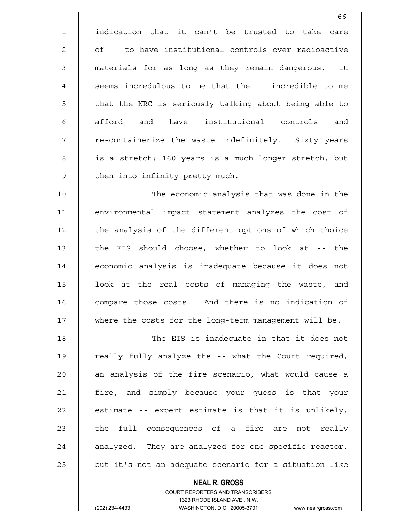1 indication that it can't be trusted to take care 2 || of -- to have institutional controls over radioactive 3 materials for as long as they remain dangerous. It 4 || seems incredulous to me that the -- incredible to me 5 || that the NRC is seriously talking about being able to 6  $\parallel$  afford and have institutional controls and 7 || re-containerize the waste indefinitely. Sixty years 8 || is a stretch; 160 years is a much longer stretch, but  $9$   $\parallel$  then into infinity pretty much.

10 The economic analysis that was done in the 11 environmental impact statement analyzes the cost of 12 || the analysis of the different options of which choice 13 || the EIS should choose, whether to look at -- the 14 economic analysis is inadequate because it does not 15 || look at the real costs of managing the waste, and 16 | compare those costs. And there is no indication of 17 where the costs for the long-term management will be.

18 The EIS is inadequate in that it does not 19 || really fully analyze the -- what the Court required, 20 || an analysis of the fire scenario, what would cause a 21 fire, and simply because your guess is that your  $22$  || estimate -- expert estimate is that it is unlikely,  $23$   $\parallel$  the full consequences of a fire are not really 24  $\parallel$  analyzed. They are analyzed for one specific reactor,  $25$   $\parallel$  but it's not an adequate scenario for a situation like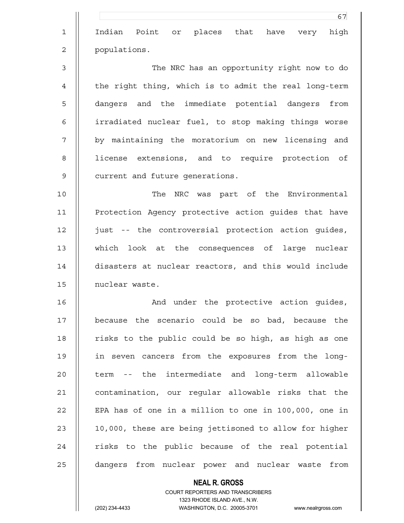**NEAL R. GROSS** <u>67 and 2001 and 2001 and 2001 and 2001 and 2001 and 2001 and 2001 and 2001 and 2001 and 2001 and 2001 and 200</u> 1 Indian Point or places that have very high 2 populations. 3 The NRC has an opportunity right now to do 4 || the right thing, which is to admit the real long-term 5 || dangers and the immediate potential dangers from 6 irradiated nuclear fuel, to stop making things worse 7 || by maintaining the moratorium on new licensing and 8 || license extensions, and to require protection of 9 | current and future generations. 10 The NRC was part of the Environmental 11 Protection Agency protective action guides that have 12 just -- the controversial protection action guides, 13 which look at the consequences of large nuclear 14 disasters at nuclear reactors, and this would include 15 nuclear waste. 16 || The Book and under the protective action guides, 17 because the scenario could be so bad, because the 18 || risks to the public could be so high, as high as one 19 in seven cancers from the exposures from the long-20 || term -- the intermediate and long-term allowable 21 | contamination, our regular allowable risks that the 22  $\parallel$  EPA has of one in a million to one in 100,000, one in 23  $\parallel$  10,000, these are being jettisoned to allow for higher  $24$  || risks to the public because of the real potential 25 || dangers from nuclear power and nuclear waste from

> COURT REPORTERS AND TRANSCRIBERS 1323 RHODE ISLAND AVE., N.W.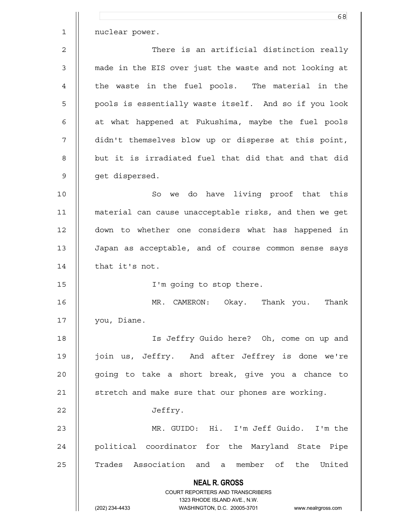|                | 68                                                                      |
|----------------|-------------------------------------------------------------------------|
| $\mathbf{1}$   | nuclear power.                                                          |
| $\overline{c}$ | There is an artificial distinction really                               |
| 3              | made in the EIS over just the waste and not looking at                  |
| 4              | the waste in the fuel pools. The material in the                        |
| 5              | pools is essentially waste itself. And so if you look                   |
| 6              | at what happened at Fukushima, maybe the fuel pools                     |
| 7              | didn't themselves blow up or disperse at this point,                    |
| 8              | but it is irradiated fuel that did that and that did                    |
| $\mathsf 9$    | get dispersed.                                                          |
| 10             | So we do have living proof that this                                    |
| 11             | material can cause unacceptable risks, and then we get                  |
| 12             | down to whether one considers what has happened in                      |
| 13             | Japan as acceptable, and of course common sense says                    |
| 14             | that it's not.                                                          |
| 15             | I'm going to stop there.                                                |
| 16             | MR. CAMERON: Okay. Thank you.<br>Thank                                  |
| 17             | you, Diane.                                                             |
| 18             | Is Jeffry Guido here? Oh, come on up and                                |
| 19             | join us, Jeffry. And after Jeffrey is done we're                        |
| 20             | going to take a short break, give you a chance to                       |
| 21             | stretch and make sure that our phones are working.                      |
| 22             | Jeffry.                                                                 |
| 23             | MR. GUIDO: Hi. I'm Jeff Guido. I'm the                                  |
| 24             | political coordinator for the Maryland State Pipe                       |
| 25             | Trades Association and a member of the United                           |
|                | <b>NEAL R. GROSS</b>                                                    |
|                | <b>COURT REPORTERS AND TRANSCRIBERS</b><br>1323 RHODE ISLAND AVE., N.W. |
|                | (202) 234-4433<br>WASHINGTON, D.C. 20005-3701 www.nealrgross.com        |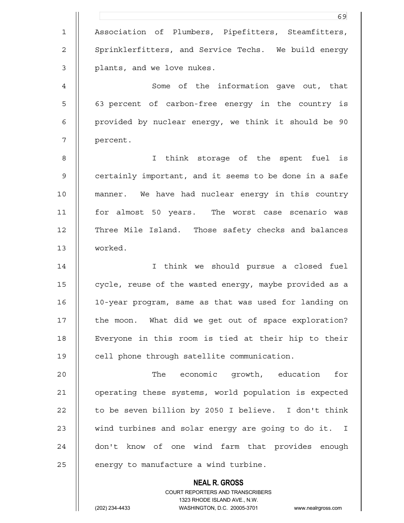**NEAL R. GROSS** COURT REPORTERS AND TRANSCRIBERS <u>69 and 2001 and 2001 and 2001 and 2001 and 2001 and 2001 and 2001 and 2001 and 2001 and 2001 and 200</u> 1 Association of Plumbers, Pipefitters, Steamfitters, 2 | Sprinklerfitters, and Service Techs. We build energy 3 || plants, and we love nukes. 4 | Some of the information gave out, that 5 || 63 percent of carbon-free energy in the country is 6 provided by nuclear energy, we think it should be 90 7 percent. 8 || I think storage of the spent fuel is 9 || certainly important, and it seems to be done in a safe 10 manner. We have had nuclear energy in this country 11 for almost 50 years. The worst case scenario was 12 || Three Mile Island. Those safety checks and balances 13 worked. 14 I think we should pursue a closed fuel 15 | cycle, reuse of the wasted energy, maybe provided as a 16 10-year program, same as that was used for landing on 17 || the moon. What did we get out of space exploration? 18 Everyone in this room is tied at their hip to their 19 || cell phone through satellite communication. 20 The economic growth, education for 21 operating these systems, world population is expected 22  $\parallel$  to be seven billion by 2050 I believe. I don't think 23 || wind turbines and solar energy are going to do it. I 24 || don't know of one wind farm that provides enough  $25$  || energy to manufacture a wind turbine.

1323 RHODE ISLAND AVE., N.W.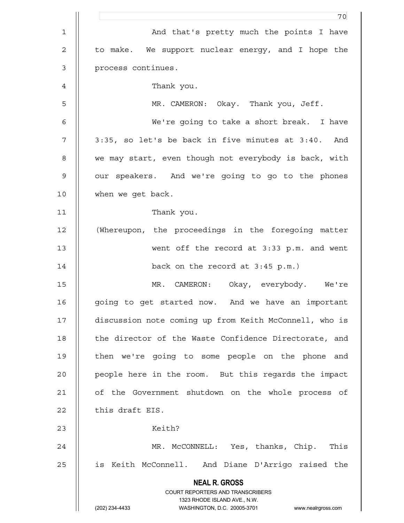|             | 70                                                                  |
|-------------|---------------------------------------------------------------------|
| $\mathbf 1$ | And that's pretty much the points I have                            |
| $\mathbf 2$ | to make. We support nuclear energy, and I hope the                  |
| $\mathsf 3$ | process continues.                                                  |
| 4           | Thank you.                                                          |
| 5           | MR. CAMERON: Okay. Thank you, Jeff.                                 |
| 6           | We're going to take a short break. I have                           |
| 7           | 3:35, so let's be back in five minutes at 3:40. And                 |
| 8           | we may start, even though not everybody is back, with               |
| $\mathsf 9$ | our speakers. And we're going to go to the phones                   |
| 10          | when we get back.                                                   |
| 11          | Thank you.                                                          |
| 12          | (Whereupon, the proceedings in the foregoing matter                 |
| 13          | went off the record at 3:33 p.m. and went                           |
| 14          | back on the record at $3:45$ p.m.)                                  |
| 15          | MR. CAMERON: Okay, everybody. We're                                 |
| 16          | going to get started now. And we have an important                  |
| 17          | discussion note coming up from Keith McConnell, who is              |
| 18          | the director of the Waste Confidence Directorate, and               |
| 19          | then we're going to some people on the phone and                    |
| 20          | people here in the room. But this regards the impact                |
| 21          | of the Government shutdown on the whole process of                  |
| 22          | this draft EIS.                                                     |
| 23          | Keith?                                                              |
| 24          | MR. McCONNELL: Yes, thanks, Chip. This                              |
| 25          | is Keith McConnell. And Diane D'Arrigo raised the                   |
|             | <b>NEAL R. GROSS</b>                                                |
|             | COURT REPORTERS AND TRANSCRIBERS<br>1323 RHODE ISLAND AVE., N.W.    |
|             | (202) 234-4433<br>WASHINGTON, D.C. 20005-3701<br>www.nealrgross.com |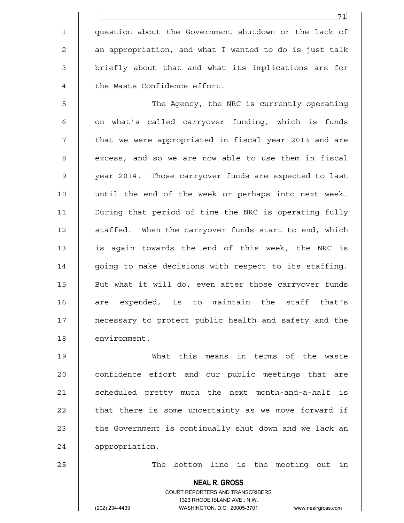1 question about the Government shutdown or the lack of 2 | an appropriation, and what I wanted to do is just talk 3 || briefly about that and what its implications are for 4 || the Waste Confidence effort.

5 The Agency, the NRC is currently operating 6 || on what's called carryover funding, which is funds 7 || that we were appropriated in fiscal year 2013 and are 8 | excess, and so we are now able to use them in fiscal 9 || year 2014. Those carryover funds are expected to last 10 until the end of the week or perhaps into next week. 11 During that period of time the NRC is operating fully 12 | staffed. When the carryover funds start to end, which 13 is again towards the end of this week, the NRC is 14 | going to make decisions with respect to its staffing. 15 || But what it will do, even after those carryover funds 16 || are expended, is to maintain the staff that's 17 || necessary to protect public health and safety and the 18 | environment.

19 What this means in terms of the waste 20 **confidence effort and our public meetings that are** 21 | scheduled pretty much the next month-and-a-half is  $22$   $\parallel$  that there is some uncertainty as we move forward if  $23$   $\parallel$  the Government is continually shut down and we lack an 24 | appropriation.

25 || The bottom line is the meeting out in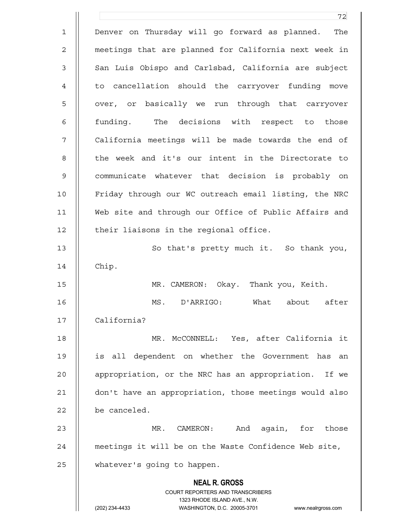|             | 72                                                                  |
|-------------|---------------------------------------------------------------------|
| $\mathbf 1$ | Denver on Thursday will go forward as planned.<br>The               |
| 2           | meetings that are planned for California next week in               |
| 3           | San Luis Obispo and Carlsbad, California are subject                |
| 4           | to cancellation should the carryover funding move                   |
| 5           | over, or basically we run through that carryover                    |
| 6           | funding. The decisions with respect to those                        |
| 7           | California meetings will be made towards the end of                 |
| 8           | the week and it's our intent in the Directorate to                  |
| 9           | communicate whatever that decision is probably on                   |
| 10          | Friday through our WC outreach email listing, the NRC               |
| 11          | Web site and through our Office of Public Affairs and               |
| 12          | their liaisons in the regional office.                              |
| 13          | So that's pretty much it. So thank you,                             |
| 14          | Chip.                                                               |
| 15          | MR. CAMERON: Okay. Thank you, Keith.                                |
| 16          | MS. D'ARRIGO: What about after                                      |
| 17          | California?                                                         |
| 18          | MR. McCONNELL: Yes, after California it                             |
| 19          | is all dependent on whether the Government has<br>an                |
| 20          | appropriation, or the NRC has an appropriation. If we               |
| 21          | don't have an appropriation, those meetings would also              |
| 22          | be canceled.                                                        |
| 23          | again, for those<br>MR.<br>CAMERON:<br>And                          |
| 24          | meetings it will be on the Waste Confidence Web site,               |
| 25          | whatever's going to happen.                                         |
|             | <b>NEAL R. GROSS</b>                                                |
|             | COURT REPORTERS AND TRANSCRIBERS                                    |
|             | 1323 RHODE ISLAND AVE., N.W.                                        |
|             | (202) 234-4433<br>WASHINGTON, D.C. 20005-3701<br>www.nealrgross.com |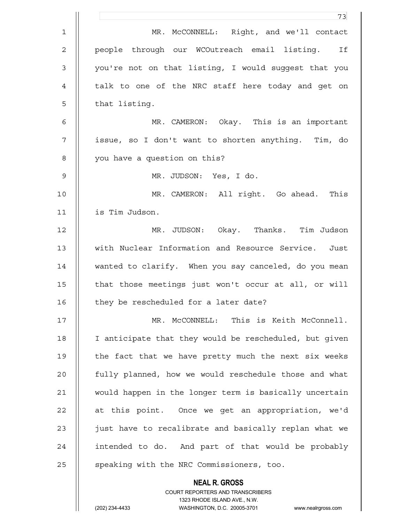|                | 73                                                       |
|----------------|----------------------------------------------------------|
| $\mathbf{1}$   | MR. McCONNELL: Right, and we'll contact                  |
| $\overline{2}$ | people through our WCOutreach email listing. If          |
| $\mathsf 3$    | you're not on that listing, I would suggest that you     |
| 4              | talk to one of the NRC staff here today and get on       |
| 5              | that listing.                                            |
| 6              | MR. CAMERON: Okay. This is an important                  |
| 7              | issue, so I don't want to shorten anything. Tim, do      |
| 8              | you have a question on this?                             |
| $\mathsf 9$    | MR. JUDSON: Yes, I do.                                   |
| 10             | MR. CAMERON: All right. Go ahead. This                   |
| 11             | is Tim Judson.                                           |
| 12             | MR. JUDSON: Okay. Thanks. Tim Judson                     |
| 13             | with Nuclear Information and Resource Service. Just      |
| 14             | wanted to clarify. When you say canceled, do you mean    |
| 15             | that those meetings just won't occur at all, or will     |
| 16             | they be rescheduled for a later date?                    |
| 17             | MR. McCONNELL: This is Keith McConnell.                  |
| 18             | I anticipate that they would be rescheduled, but given   |
| 19             | the fact that we have pretty much the next six weeks     |
| 20             | fully planned, how we would reschedule those and what    |
| 21             | would happen in the longer term is basically uncertain   |
| 22             | at this point. Once we get an appropriation, we'd        |
| 23             | just have to recalibrate and basically replan what we    |
| 24             | intended to do. And part of that would be probably       |
| 25             | speaking with the NRC Commissioners, too.                |
|                | <b>NEAL R. GROSS</b><br>COURT REPORTERS AND TRANSCRIBERS |

1323 RHODE ISLAND AVE., N.W.

 $\mathsf{II}$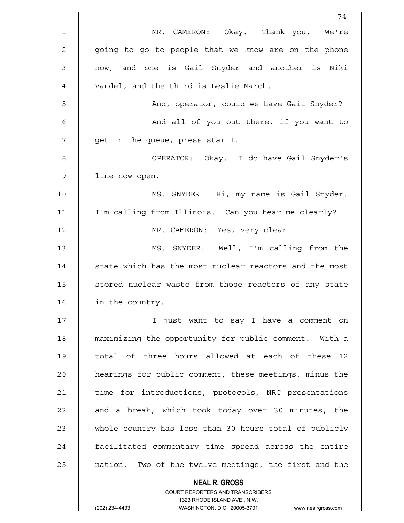|                | 74                                                     |
|----------------|--------------------------------------------------------|
| $\mathbf{1}$   | MR. CAMERON: Okay. Thank you. We're                    |
| $\overline{2}$ | going to go to people that we know are on the phone    |
| $\mathsf 3$    | now, and one is Gail Snyder and another is Niki        |
| 4              | Vandel, and the third is Leslie March.                 |
| 5              | And, operator, could we have Gail Snyder?              |
| 6              | And all of you out there, if you want to               |
| 7              | get in the queue, press star 1.                        |
| 8              | OPERATOR: Okay. I do have Gail Snyder's                |
| $\mathsf 9$    | line now open.                                         |
| 10             | MS. SNYDER: Hi, my name is Gail Snyder.                |
| 11             | I'm calling from Illinois. Can you hear me clearly?    |
| 12             | MR. CAMERON: Yes, very clear.                          |
| 13             | MS. SNYDER: Well, I'm calling from the                 |
| 14             | state which has the most nuclear reactors and the most |
| 15             | stored nuclear waste from those reactors of any state  |
| 16             | in the country.                                        |
| 17             | I just want to say I have a comment on                 |
| 18             | maximizing the opportunity for public comment. With a  |
| 19             | total of three hours allowed at each of these 12       |
| 20             | hearings for public comment, these meetings, minus the |
| 21             | time for introductions, protocols, NRC presentations   |
| 22             | and a break, which took today over 30 minutes, the     |
| 23             | whole country has less than 30 hours total of publicly |
| 24             | facilitated commentary time spread across the entire   |
| 25             | nation. Two of the twelve meetings, the first and the  |
|                | <b>NEAL R. GROSS</b>                                   |

 COURT REPORTERS AND TRANSCRIBERS 1323 RHODE ISLAND AVE., N.W.

 $\mathsf{II}$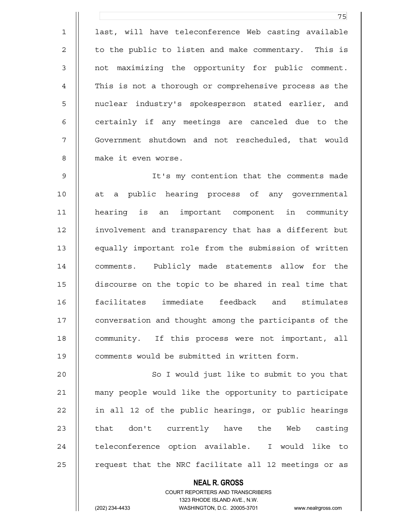1 || last, will have teleconference Web casting available 2 | to the public to listen and make commentary. This is 3 || not maximizing the opportunity for public comment. 4 This is not a thorough or comprehensive process as the 5 || nuclear industry's spokesperson stated earlier, and  $6$   $\parallel$  certainly if any meetings are canceled due to the 7 Government shutdown and not rescheduled, that would 8 make it even worse.

<u>75 and 2001 and 2002 and 2003 and 2003 and 2003 and 2003 and 2003 and 2003 and 2003 and 2003 and 200</u>

9 It's my contention that the comments made 10 at a public hearing process of any governmental 11 hearing is an important component in community 12 involvement and transparency that has a different but 13 equally important role from the submission of written 14 || comments. Publicly made statements allow for the 15 discourse on the topic to be shared in real time that 16 facilitates immediate feedback and stimulates 17 || conversation and thought among the participants of the 18 || community. If this process were not important, all 19 || comments would be submitted in written form.

20 || So I would just like to submit to you that 21 many people would like the opportunity to participate 22 || in all 12 of the public hearings, or public hearings 23 || that don't currently have the Web casting 24 || teleconference option available. I would like to  $25$  || request that the NRC facilitate all 12 meetings or as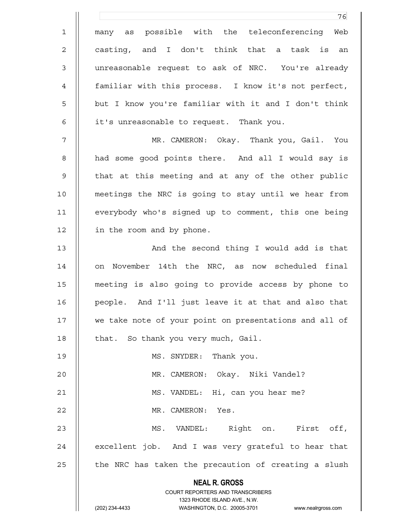|              | 76                                                                  |
|--------------|---------------------------------------------------------------------|
| $\mathbf 1$  | many as possible with the teleconferencing Web                      |
| $\mathbf{2}$ | casting, and I don't think that a task is an                        |
| $\mathsf 3$  | unreasonable request to ask of NRC. You're already                  |
| 4            | familiar with this process. I know it's not perfect,                |
| 5            | but I know you're familiar with it and I don't think                |
| 6            | it's unreasonable to request. Thank you.                            |
| 7            | MR. CAMERON: Okay. Thank you, Gail. You                             |
| 8            | had some good points there. And all I would say is                  |
| $\mathsf 9$  | that at this meeting and at any of the other public                 |
| 10           | meetings the NRC is going to stay until we hear from                |
| 11           | everybody who's signed up to comment, this one being                |
| 12           | in the room and by phone.                                           |
| 13           | And the second thing I would add is that                            |
| 14           | November 14th the NRC, as now scheduled final<br>on                 |
| 15           | meeting is also going to provide access by phone to                 |
| 16           | people. And I'll just leave it at that and also that                |
| 17           | we take note of your point on presentations and all of              |
| 18           | that. So thank you very much, Gail.                                 |
| 19           | MS. SNYDER: Thank you.                                              |
| 20           | MR. CAMERON: Okay. Niki Vandel?                                     |
| 21           | MS. VANDEL: Hi, can you hear me?                                    |
| 22           | MR. CAMERON: Yes.                                                   |
| 23           | MS. VANDEL: Right on. First off,                                    |
| 24           | excellent job. And I was very grateful to hear that                 |
| 25           | the NRC has taken the precaution of creating a slush                |
|              | <b>NEAL R. GROSS</b>                                                |
|              | COURT REPORTERS AND TRANSCRIBERS<br>1323 RHODE ISLAND AVE., N.W.    |
|              | (202) 234-4433<br>WASHINGTON, D.C. 20005-3701<br>www.nealrgross.com |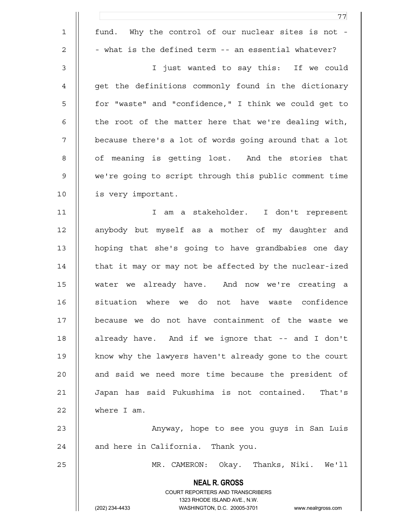|             | 77                                                                      |
|-------------|-------------------------------------------------------------------------|
| $\mathbf 1$ | fund. Why the control of our nuclear sites is not -                     |
| 2           | - what is the defined term -- an essential whatever?                    |
| 3           | I just wanted to say this: If we could                                  |
| 4           | get the definitions commonly found in the dictionary                    |
| 5           | for "waste" and "confidence," I think we could get to                   |
| 6           | the root of the matter here that we're dealing with,                    |
| 7           | because there's a lot of words going around that a lot                  |
| 8           | of meaning is getting lost. And the stories that                        |
| 9           | we're going to script through this public comment time                  |
| 10          | is very important.                                                      |
| 11          | I am a stakeholder. I don't represent                                   |
| 12          | anybody but myself as a mother of my daughter and                       |
| 13          | hoping that she's going to have grandbabies one day                     |
| 14          | that it may or may not be affected by the nuclear-ized                  |
| 15          | water we already have. And now we're creating a                         |
| 16          | situation where we do not have waste confidence                         |
| 17          | because we do not have containment of the waste we                      |
| 18          | already have. And if we ignore that -- and I don't                      |
| 19          | know why the lawyers haven't already gone to the court                  |
| 20          | and said we need more time because the president of                     |
| 21          | Japan has said Fukushima is not contained. That's                       |
| 22          | where I am.                                                             |
| 23          | Anyway, hope to see you guys in San Luis                                |
| 24          | and here in California. Thank you.                                      |
| 25          | MR. CAMERON: Okay. Thanks, Niki. We'll                                  |
|             | <b>NEAL R. GROSS</b>                                                    |
|             | <b>COURT REPORTERS AND TRANSCRIBERS</b><br>1323 RHODE ISLAND AVE., N.W. |
|             | (202) 234-4433<br>WASHINGTON, D.C. 20005-3701<br>www.nealrgross.com     |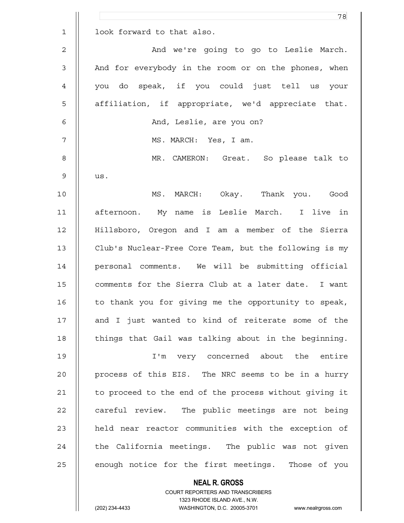|                | 78                                                       |
|----------------|----------------------------------------------------------|
| $\mathbf{1}$   | look forward to that also.                               |
| $\mathbf{2}$   | And we're going to go to Leslie March.                   |
| 3              | And for everybody in the room or on the phones, when     |
| $\overline{4}$ | you do speak, if you could just tell us your             |
| 5              | affiliation, if appropriate, we'd appreciate that.       |
| 6              | And, Leslie, are you on?                                 |
| 7              | MS. MARCH: Yes, I am.                                    |
| 8              | MR. CAMERON: Great. So please talk to                    |
| $\mathsf 9$    | us.                                                      |
| 10             | MS. MARCH: Okay. Thank you. Good                         |
| 11             | afternoon. My name is Leslie March. I live in            |
| 12             | Hillsboro, Oregon and I am a member of the Sierra        |
| 13             | Club's Nuclear-Free Core Team, but the following is my   |
| 14             | personal comments. We will be submitting official        |
| 15             | comments for the Sierra Club at a later date. I want     |
| 16             | to thank you for giving me the opportunity to speak,     |
| 17             | and I just wanted to kind of reiterate some of the       |
| 18             | things that Gail was talking about in the beginning.     |
| 19             | I'm very concerned about the entire                      |
| 20             | process of this EIS. The NRC seems to be in a hurry      |
| 21             | to proceed to the end of the process without giving it   |
| 22             | careful review. The public meetings are not being        |
| 23             | held near reactor communities with the exception of      |
| 24             | the California meetings. The public was not given        |
| 25             | enough notice for the first meetings. Those of you       |
|                | <b>NEAL R. GROSS</b><br>COURT REPORTERS AND TRANSCRIBERS |

1323 RHODE ISLAND AVE., N.W.

 $\prod$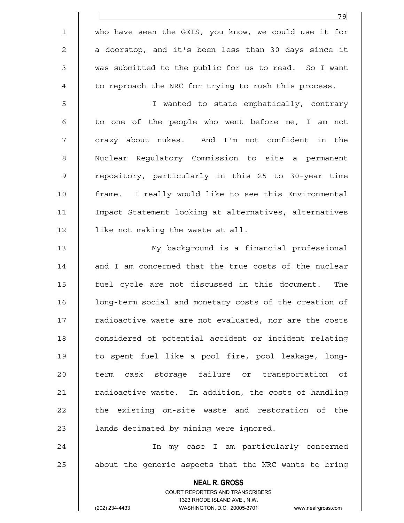1 who have seen the GEIS, you know, we could use it for 2 || a doorstop, and it's been less than 30 days since it 3 || was submitted to the public for us to read. So I want 4 | to reproach the NRC for trying to rush this process.

<u>79 - Johann Stein, amerikan bestemannten (</u>

5 I wanted to state emphatically, contrary 6 || to one of the people who went before me, I am not 7 || crazy about nukes. And I'm not confident in the 8 | Nuclear Regulatory Commission to site a permanent 9 || repository, particularly in this 25 to 30-year time 10 frame. I really would like to see this Environmental 11 Impact Statement looking at alternatives, alternatives 12 | like not making the waste at all.

13 My background is a financial professional 14 || and I am concerned that the true costs of the nuclear 15 fuel cycle are not discussed in this document. The 16 | long-term social and monetary costs of the creation of 17 || radioactive waste are not evaluated, nor are the costs 18 || considered of potential accident or incident relating 19 to spent fuel like a pool fire, pool leakage, long-20 || term cask storage failure or transportation of 21 | radioactive waste. In addition, the costs of handling  $22$   $\parallel$  the existing on-site waste and restoration of the 23 | lands decimated by mining were ignored.

24 In my case I am particularly concerned  $25$   $\parallel$  about the generic aspects that the NRC wants to bring

> COURT REPORTERS AND TRANSCRIBERS 1323 RHODE ISLAND AVE., N.W. (202) 234-4433 WASHINGTON, D.C. 20005-3701 www.nealrgross.com

 **NEAL R. GROSS**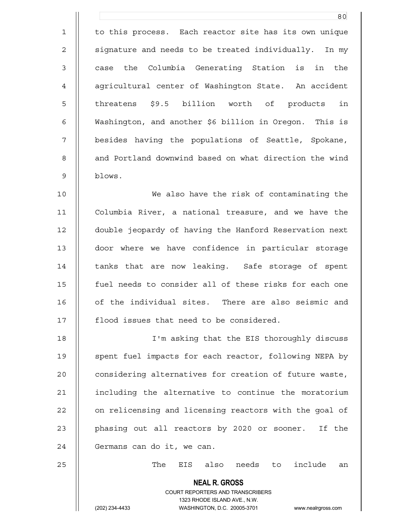1 | to this process. Each reactor site has its own unique 2 | signature and needs to be treated individually. In my 3 || case the Columbia Generating Station is in the 4 | aqricultural center of Washington State. An accident 5 || threatens \$9.5 billion worth of products in 6 Washington, and another \$6 billion in Oregon. This is 7 || besides having the populations of Seattle, Spokane, 8 || and Portland downwind based on what direction the wind 9 blows.

<u>80</u>

10 We also have the risk of contaminating the 11 Columbia River, a national treasure, and we have the 12 double jeopardy of having the Hanford Reservation next 13 door where we have confidence in particular storage 14 || tanks that are now leaking. Safe storage of spent 15 || fuel needs to consider all of these risks for each one 16 || of the individual sites. There are also seismic and 17 || flood issues that need to be considered.

18 I'm asking that the EIS thoroughly discuss 19 || spent fuel impacts for each reactor, following NEPA by 20 | considering alternatives for creation of future waste, 21 including the alternative to continue the moratorium 22 | on relicensing and licensing reactors with the goal of 23 || phasing out all reactors by 2020 or sooner. If the 24 | Germans can do it, we can.

25  $\parallel$  25 The EIS also needs to include an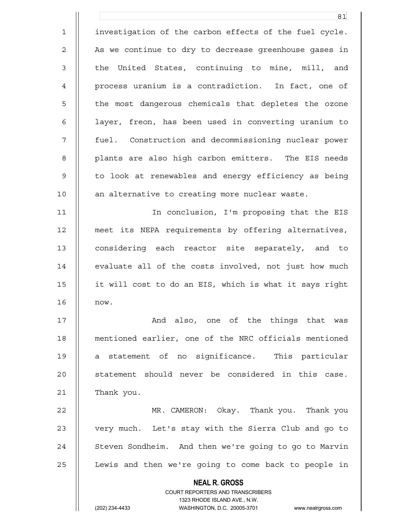**NEAL R. GROSS** COURT REPORTERS AND TRANSCRIBERS 1323 RHODE ISLAND AVE., N.W. 81 1 | investigation of the carbon effects of the fuel cycle. 2 | As we continue to dry to decrease greenhouse gases in 3 || the United States, continuing to mine, mill, and 4 process uranium is a contradiction. In fact, one of 5 || the most dangerous chemicals that depletes the ozone 6 || layer, freon, has been used in converting uranium to 7 fuel. Construction and decommissioning nuclear power 8 || plants are also high carbon emitters. The EIS needs 9 || to look at renewables and energy efficiency as being 10 || an alternative to creating more nuclear waste. 11 In conclusion, I'm proposing that the EIS 12 meet its NEPA requirements by offering alternatives, 13 || considering each reactor site separately, and to 14 | evaluate all of the costs involved, not just how much 15 it will cost to do an EIS, which is what it says right 16 now. 17 || And also, one of the things that was 18 mentioned earlier, one of the NRC officials mentioned 19 a statement of no significance. This particular 20 || statement should never be considered in this case.  $21$  | Thank you. 22 MR. CAMERON: Okay. Thank you. Thank you 23 || very much. Let's stay with the Sierra Club and go to 24 | Steven Sondheim. And then we're going to go to Marvin 25 | Lewis and then we're going to come back to people in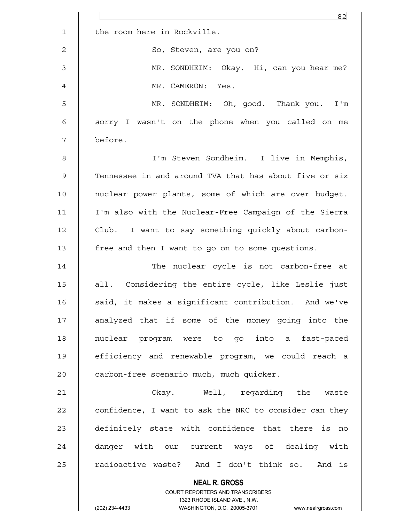|                | 82                                                                                                  |
|----------------|-----------------------------------------------------------------------------------------------------|
| $\mathbf 1$    | the room here in Rockville.                                                                         |
| $\mathbf{2}$   | So, Steven, are you on?                                                                             |
| $\mathfrak{Z}$ | MR. SONDHEIM: Okay. Hi, can you hear me?                                                            |
| 4              | MR. CAMERON: Yes.                                                                                   |
| 5              | MR. SONDHEIM: Oh, good. Thank you. I'm                                                              |
| 6              | sorry I wasn't on the phone when you called on me                                                   |
| 7              | before.                                                                                             |
| 8              | I'm Steven Sondheim. I live in Memphis,                                                             |
| $\mathsf 9$    | Tennessee in and around TVA that has about five or six                                              |
| 10             | nuclear power plants, some of which are over budget.                                                |
| 11             | I'm also with the Nuclear-Free Campaign of the Sierra                                               |
| 12             | Club. I want to say something quickly about carbon-                                                 |
| 13             | free and then I want to go on to some questions.                                                    |
| 14             | The nuclear cycle is not carbon-free at                                                             |
| 15             | all. Considering the entire cycle, like Leslie just                                                 |
| 16             | said, it makes a significant contribution. And we've                                                |
| 17             | analyzed that if some of the money going into the                                                   |
| 18             | nuclear program were to go into a fast-paced                                                        |
| 19             | efficiency and renewable program, we could reach a                                                  |
| 20             | carbon-free scenario much, much quicker.                                                            |
| 21             | Okay. Well, regarding the waste                                                                     |
| 22             | confidence, I want to ask the NRC to consider can they                                              |
| 23             | definitely state with confidence that there is no                                                   |
| 24             | danger with our current ways of dealing with                                                        |
| 25             | radioactive waste? And I don't think so. And is                                                     |
|                | <b>NEAL R. GROSS</b>                                                                                |
|                | COURT REPORTERS AND TRANSCRIBERS                                                                    |
|                | 1323 RHODE ISLAND AVE., N.W.<br>(202) 234-4433<br>WASHINGTON, D.C. 20005-3701<br>www.nealrgross.com |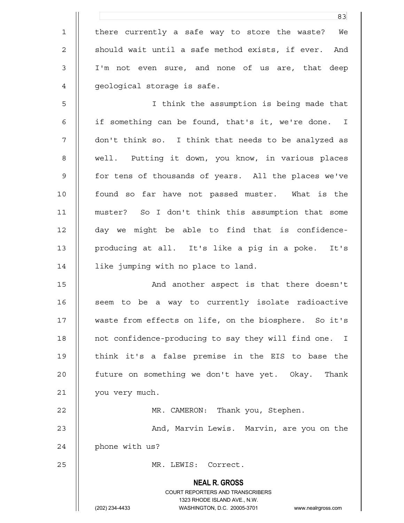1 || there currently a safe way to store the waste? We 2 || should wait until a safe method exists, if ever. And 3 I'm not even sure, and none of us are, that deep 4 | qeological storage is safe.

83

5 I think the assumption is being made that 6 | if something can be found, that's it, we're done. I 7 don't think so. I think that needs to be analyzed as 8 || well. Putting it down, you know, in various places 9 || for tens of thousands of years. All the places we've 10 || found so far have not passed muster. What is the 11 muster? So I don't think this assumption that some 12 day we might be able to find that is confidence-13 producing at all. It's like a pig in a poke. It's 14 | like jumping with no place to land.

15 || And another aspect is that there doesn't 16 || seem to be a way to currently isolate radioactive 17 || waste from effects on life, on the biosphere. So it's 18 || not confidence-producing to say they will find one. I 19 || think it's a false premise in the EIS to base the 20 | future on something we don't have yet. Okay. Thank 21 | you very much.

22 || MR. CAMERON: Thank you, Stephen.

23 || And, Marvin Lewis. Marvin, are you on the 24 | phone with us?

25 || MR. LEWIS: Correct.

 **NEAL R. GROSS** COURT REPORTERS AND TRANSCRIBERS 1323 RHODE ISLAND AVE., N.W.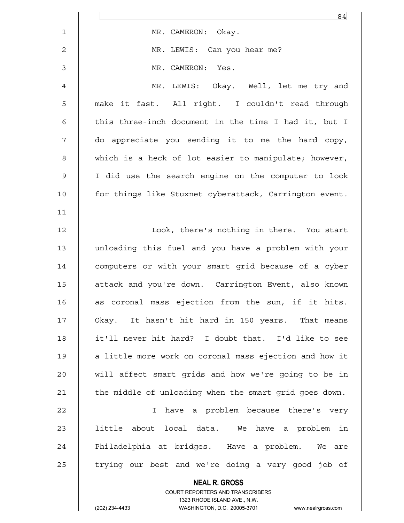|                | 84                                                                                                  |
|----------------|-----------------------------------------------------------------------------------------------------|
| $\mathbf{1}$   | MR. CAMERON: Okay.                                                                                  |
| $\mathbf{2}$   | MR. LEWIS: Can you hear me?                                                                         |
| $\mathfrak{Z}$ | MR. CAMERON: Yes.                                                                                   |
| 4              | MR. LEWIS: Okay. Well, let me try and                                                               |
| 5              | make it fast. All right. I couldn't read through                                                    |
| 6              | this three-inch document in the time I had it, but I                                                |
| 7              | do appreciate you sending it to me the hard copy,                                                   |
| 8              | which is a heck of lot easier to manipulate; however,                                               |
| $\mathsf 9$    | I did use the search engine on the computer to look                                                 |
| 10             | for things like Stuxnet cyberattack, Carrington event.                                              |
| 11             |                                                                                                     |
| 12             | Look, there's nothing in there. You start                                                           |
| 13             | unloading this fuel and you have a problem with your                                                |
| 14             | computers or with your smart grid because of a cyber                                                |
| 15             | attack and you're down. Carrington Event, also known                                                |
| 16             | as coronal mass ejection from the sun, if it hits.                                                  |
| 17             | Okay. It hasn't hit hard in 150 years. That means                                                   |
| 18             | it'll never hit hard? I doubt that. I'd like to see                                                 |
| 19             | a little more work on coronal mass ejection and how it                                              |
| 20             | will affect smart grids and how we're going to be in                                                |
| 21             | the middle of unloading when the smart grid goes down.                                              |
| 22             | have a problem because there's very<br>T.                                                           |
| 23             | little about local data. We have a problem in                                                       |
| 24             | Philadelphia at bridges. Have a problem. We are                                                     |
| 25             | trying our best and we're doing a very good job of                                                  |
|                | <b>NEAL R. GROSS</b>                                                                                |
|                | COURT REPORTERS AND TRANSCRIBERS                                                                    |
|                | 1323 RHODE ISLAND AVE., N.W.<br>(202) 234-4433<br>WASHINGTON, D.C. 20005-3701<br>www.nealrgross.com |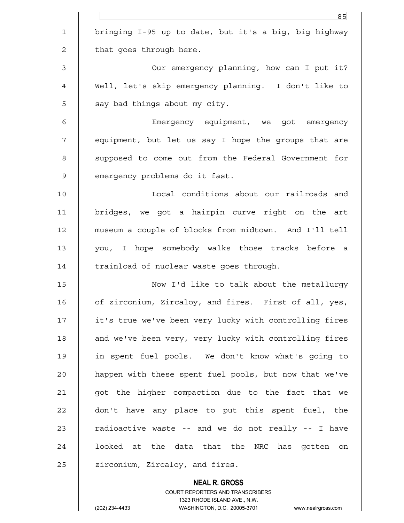|                | 85                                                     |
|----------------|--------------------------------------------------------|
| $\mathbf 1$    | bringing I-95 up to date, but it's a big, big highway  |
| $\overline{c}$ | that goes through here.                                |
| 3              | Our emergency planning, how can I put it?              |
| 4              | Well, let's skip emergency planning. I don't like to   |
| 5              | say bad things about my city.                          |
| 6              | Emergency equipment, we got emergency                  |
| $\overline{7}$ | equipment, but let us say I hope the groups that are   |
| 8              | supposed to come out from the Federal Government for   |
| $\mathsf 9$    | emergency problems do it fast.                         |
| 10             | Local conditions about our railroads and               |
| 11             | bridges, we got a hairpin curve right on the art       |
| 12             | museum a couple of blocks from midtown. And I'll tell  |
| 13             | you, I hope somebody walks those tracks before a       |
| 14             | trainload of nuclear waste goes through.               |
| 15             | Now I'd like to talk about the metallurgy              |
| 16             | of zirconium, Zircaloy, and fires. First of all, yes,  |
| 17             | it's true we've been very lucky with controlling fires |
| 18             | and we've been very, very lucky with controlling fires |
| 19             | in spent fuel pools. We don't know what's going to     |
| 20             | happen with these spent fuel pools, but now that we've |
| 21             | got the higher compaction due to the fact that we      |
| 22             | don't have any place to put this spent fuel, the       |
| 23             | radioactive waste -- and we do not really -- I have    |
| 24             | looked at the data that the NRC has gotten on          |
| 25             | zirconium, Zircaloy, and fires.                        |
|                |                                                        |

 **NEAL R. GROSS** COURT REPORTERS AND TRANSCRIBERS 1323 RHODE ISLAND AVE., N.W.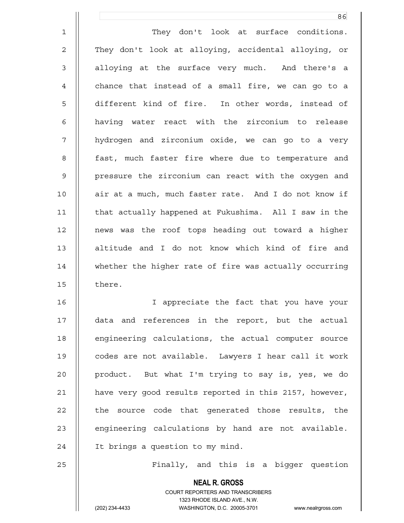1 | They don't look at surface conditions. 2 || They don't look at alloying, accidental alloying, or 3 || alloying at the surface very much. And there's a  $4$   $\parallel$  chance that instead of a small fire, we can go to a 5 || different kind of fire. In other words, instead of 6 having water react with the zirconium to release 7 || hydrogen and zirconium oxide, we can go to a very 8 || fast, much faster fire where due to temperature and 9 || pressure the zirconium can react with the oxygen and 10 || air at a much, much faster rate. And I do not know if 11 | that actually happened at Fukushima. All I saw in the 12 news was the roof tops heading out toward a higher 13 || altitude and I do not know which kind of fire and 14 || whether the higher rate of fire was actually occurring 15 | there. 16 || Tappreciate the fact that you have your

<u>86 and 2001 and 2002 and 2003 and 2003 and 2003 and 2003 and 2003 and 2003 and 2003 and 2003 and 2003 and 200</u>

17 data and references in the report, but the actual 18 || engineering calculations, the actual computer source 19 codes are not available. Lawyers I hear call it work 20 || product. But what I'm trying to say is, yes, we do 21 have very good results reported in this 2157, however, 22 || the source code that generated those results, the 23  $\parallel$  engineering calculations by hand are not available. 24 | It brings a question to my mind.

25 || Finally, and this is a bigger question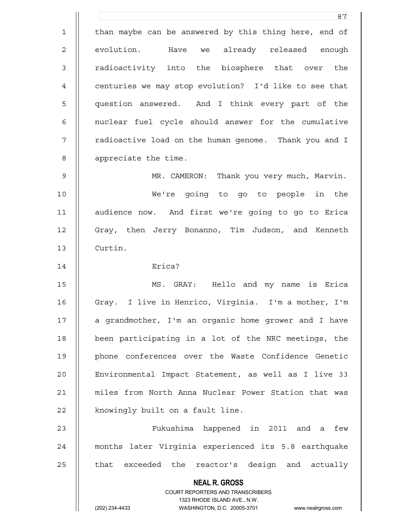**NEAL R. GROSS** COURT REPORTERS AND TRANSCRIBERS 1323 RHODE ISLAND AVE., N.W. (202) 234-4433 WASHINGTON, D.C. 20005-3701 www.nealrgross.com <u>87 and 2014 and 2014 and 2014 and 2014 and 2014 and 2014 and 2014 and 2014 and 2014 and 2014 and 2014 and 201</u> 1 | than maybe can be answered by this thing here, end of 2 || evolution. Have we already released enough 3 || radioactivity into the biosphere that over the 4 | centuries we may stop evolution? I'd like to see that 5 question answered. And I think every part of the 6 || nuclear fuel cycle should answer for the cumulative 7 || radioactive load on the human genome. Thank you and I 8 | appreciate the time. 9 MR. CAMERON: Thank you very much, Marvin. 10 We're going to go to people in the 11 audience now. And first we're going to go to Erica 12 || Gray, then Jerry Bonanno, Tim Judson, and Kenneth 13 Curtin. 14 Erica? 15 MS. GRAY: Hello and my name is Erica 16 | Gray. I live in Henrico, Virginia. I'm a mother, I'm 17 || a grandmother, I'm an organic home grower and I have 18 been participating in a lot of the NRC meetings, the 19 || phone conferences over the Waste Confidence Genetic 20 Environmental Impact Statement, as well as I live 33 21 miles from North Anna Nuclear Power Station that was 22 | knowingly built on a fault line. 23 Fukushima happened in 2011 and a few 24 months later Virginia experienced its 5.8 earthquake  $25$   $\parallel$  that exceeded the reactor's design and actually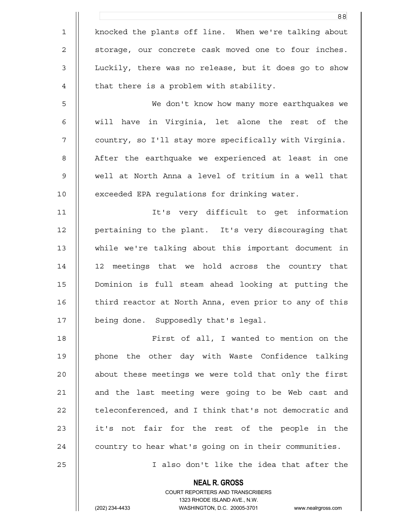|                | 88                                                       |
|----------------|----------------------------------------------------------|
| $\mathbf 1$    | knocked the plants off line. When we're talking about    |
| $\mathbf{2}$   | storage, our concrete cask moved one to four inches.     |
| $\mathfrak{Z}$ | Luckily, there was no release, but it does go to show    |
| 4              | that there is a problem with stability.                  |
| 5              | We don't know how many more earthquakes we               |
| 6              | will have in Virginia, let alone the rest of the         |
| 7              | country, so I'll stay more specifically with Virginia.   |
| 8              | After the earthquake we experienced at least in one      |
| $\mathsf 9$    | well at North Anna a level of tritium in a well that     |
| 10             | exceeded EPA regulations for drinking water.             |
| 11             | It's very difficult to get information                   |
| 12             | pertaining to the plant. It's very discouraging that     |
| 13             | while we're talking about this important document in     |
| 14             | 12 meetings that we hold across the country that         |
| 15             | Dominion is full steam ahead looking at putting the      |
| 16             | third reactor at North Anna, even prior to any of this   |
| 17             | being done. Supposedly that's legal.                     |
| 18             | First of all, I wanted to mention on the                 |
| 19             | phone the other day with Waste Confidence talking        |
| 20             | about these meetings we were told that only the first    |
| 21             | and the last meeting were going to be Web cast and       |
| 22             | teleconferenced, and I think that's not democratic and   |
| 23             | it's not fair for the rest of the people in the          |
| 24             | country to hear what's going on in their communities.    |
| 25             | I also don't like the idea that after the                |
|                | <b>NEAL R. GROSS</b><br>COURT REPORTERS AND TRANSCRIBERS |

1323 RHODE ISLAND AVE., N.W.

 $\mathsf{II}$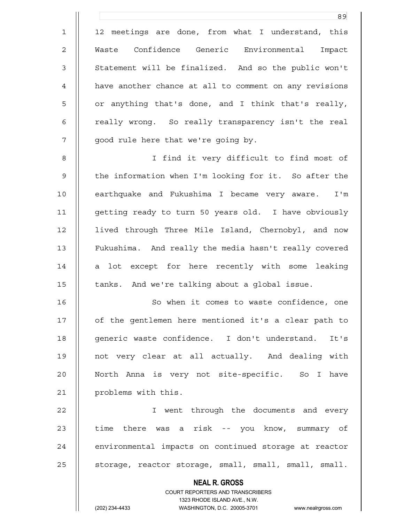**NEAL R. GROSS** COURT REPORTERS AND TRANSCRIBERS 1323 RHODE ISLAND AVE., N.W. (202) 234-4433 WASHINGTON, D.C. 20005-3701 www.nealrgross.com <u>89 and 2001 and 2002 and 2003 and 2003 and 2003 and 2003 and 2003 and 2003 and 2003 and 2003 and 200</u> 1 || 12 meetings are done, from what I understand, this 2 Waste Confidence Generic Environmental Impact 3 || Statement will be finalized. And so the public won't 4 | have another chance at all to comment on any revisions 5 || or anything that's done, and I think that's really, 6 || really wrong. So really transparency isn't the real 7 || good rule here that we're going by. 8 I find it very difficult to find most of 9 || the information when I'm looking for it. So after the 10 || earthquake and Fukushima I became very aware. I'm 11 getting ready to turn 50 years old. I have obviously 12 lived through Three Mile Island, Chernobyl, and now 13 Fukushima. And really the media hasn't really covered  $14$  | a lot except for here recently with some leaking 15 | tanks. And we're talking about a global issue. 16 || So when it comes to waste confidence, one 17 | of the gentlemen here mentioned it's a clear path to 18 || qeneric waste confidence. I don't understand. It's 19 not very clear at all actually. And dealing with 20 North Anna is very not site-specific. So I have 21 || problems with this. 22 I went through the documents and every 23 || time there was a risk -- you know, summary of 24 | environmental impacts on continued storage at reactor 25 | storage, reactor storage, small, small, small, small.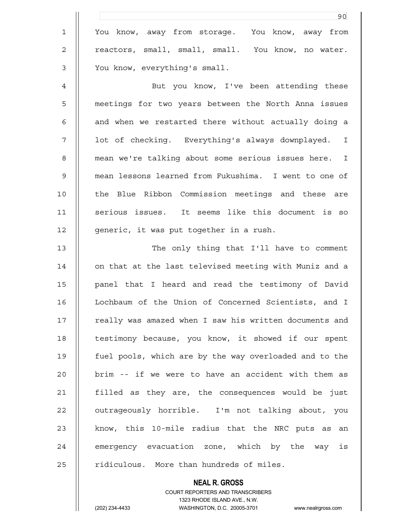|                | 90                                                     |
|----------------|--------------------------------------------------------|
| $\mathbf 1$    | You know, away from storage. You know, away from       |
| 2              | reactors, small, small, small. You know, no water.     |
| 3              | You know, everything's small.                          |
| $\overline{4}$ | But you know, I've been attending these                |
| 5              | meetings for two years between the North Anna issues   |
| 6              | and when we restarted there without actually doing a   |
| 7              | lot of checking. Everything's always downplayed. I     |
| 8              | mean we're talking about some serious issues here. I   |
| 9              | mean lessons learned from Fukushima. I went to one of  |
| 10             | the Blue Ribbon Commission meetings and these are      |
| 11             | serious issues. It seems like this document is so      |
| 12             | generic, it was put together in a rush.                |
| 13             | The only thing that I'll have to comment               |
| 14             | on that at the last televised meeting with Muniz and a |
| 15             | panel that I heard and read the testimony of David     |
| 16             | Lochbaum of the Union of Concerned Scientists, and I   |
| 17             | really was amazed when I saw his written documents and |
| 18             | testimony because, you know, it showed if our spent    |
| 19             | fuel pools, which are by the way overloaded and to the |
| 20             | brim -- if we were to have an accident with them as    |
| 21             | filled as they are, the consequences would be just     |
| 22             | outrageously horrible. I'm not talking about, you      |
| 23             | know, this 10-mile radius that the NRC puts as an      |
| 24             | emergency evacuation zone, which by the way is         |
| 25             | ridiculous. More than hundreds of miles.               |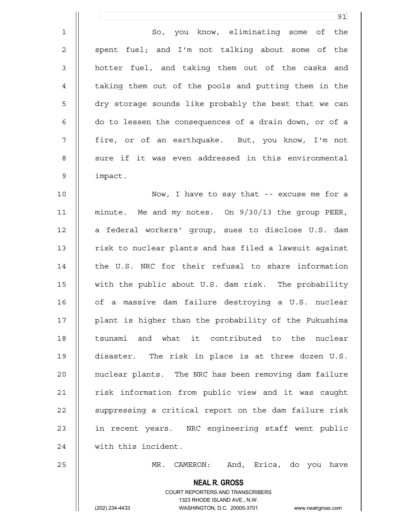|                | 91                                                       |
|----------------|----------------------------------------------------------|
| $\mathbf 1$    | So, you know, eliminating some of<br>the                 |
| $\mathbf{2}$   | spent fuel; and I'm not talking about some of the        |
| $\mathfrak{Z}$ | hotter fuel, and taking them out of the casks and        |
| 4              | taking them out of the pools and putting them in the     |
| 5              | dry storage sounds like probably the best that we can    |
| $\epsilon$     | do to lessen the consequences of a drain down, or of a   |
| 7              | fire, or of an earthquake. But, you know, I'm not        |
| 8              | sure if it was even addressed in this environmental      |
| $\mathsf 9$    | impact.                                                  |
| 10             | Now, I have to say that -- excuse me for a               |
| 11             | minute. Me and my notes. On 9/30/13 the group PEER,      |
| 12             | a federal workers' group, sues to disclose U.S. dam      |
| 13             | risk to nuclear plants and has filed a lawsuit against   |
| 14             | the U.S. NRC for their refusal to share information      |
| 15             | with the public about U.S. dam risk. The probability     |
| 16             | of a massive dam failure destroying a U.S. nuclear       |
| 17             | plant is higher than the probability of the Fukushima    |
| 18             | tsunami and what it contributed to the nuclear           |
| 19             | disaster. The risk in place is at three dozen U.S.       |
| 20             | nuclear plants. The NRC has been removing dam failure    |
| 21             | risk information from public view and it was caught      |
| 22             | suppressing a critical report on the dam failure risk    |
| 23             | in recent years. NRC engineering staff went public       |
| 24             | with this incident.                                      |
| 25             | CAMERON: And, Erica, do you have<br>MR.                  |
|                | <b>NEAL R. GROSS</b><br>COURT REPORTERS AND TRANSCRIBERS |

1323 RHODE ISLAND AVE., N.W.

 $\mathsf{II}$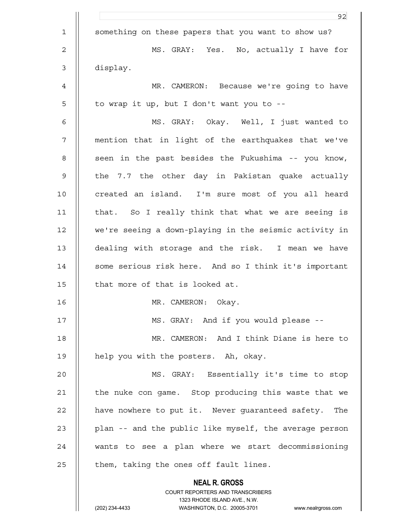|             | 92                                                                                                  |
|-------------|-----------------------------------------------------------------------------------------------------|
| $\mathbf 1$ | something on these papers that you want to show us?                                                 |
| 2           | MS. GRAY: Yes. No, actually I have for                                                              |
| 3           | display.                                                                                            |
| 4           | MR. CAMERON: Because we're going to have                                                            |
| 5           | to wrap it up, but I don't want you to --                                                           |
| 6           | MS. GRAY: Okay. Well, I just wanted to                                                              |
| 7           | mention that in light of the earthquakes that we've                                                 |
| 8           | seen in the past besides the Fukushima -- you know,                                                 |
| 9           | the 7.7 the other day in Pakistan quake actually                                                    |
| 10          | created an island. I'm sure most of you all heard                                                   |
| 11          | that. So I really think that what we are seeing is                                                  |
| 12          | we're seeing a down-playing in the seismic activity in                                              |
| 13          | dealing with storage and the risk. I mean we have                                                   |
| 14          | some serious risk here. And so I think it's important                                               |
| 15          | that more of that is looked at.                                                                     |
| 16          | MR. CAMERON:<br>Okay.                                                                               |
| 17          | MS. GRAY: And if you would please --                                                                |
| 18          | MR. CAMERON: And I think Diane is here to                                                           |
| 19          | help you with the posters. Ah, okay.                                                                |
| 20          | MS. GRAY: Essentially it's time to stop                                                             |
| 21          | the nuke con game. Stop producing this waste that we                                                |
| 22          | have nowhere to put it. Never quaranteed safety. The                                                |
| 23          | plan -- and the public like myself, the average person                                              |
| 24          | wants to see a plan where we start decommissioning                                                  |
| 25          | them, taking the ones off fault lines.                                                              |
|             | <b>NEAL R. GROSS</b>                                                                                |
|             | COURT REPORTERS AND TRANSCRIBERS                                                                    |
|             | 1323 RHODE ISLAND AVE., N.W.<br>(202) 234-4433<br>WASHINGTON, D.C. 20005-3701<br>www.nealrgross.com |
|             |                                                                                                     |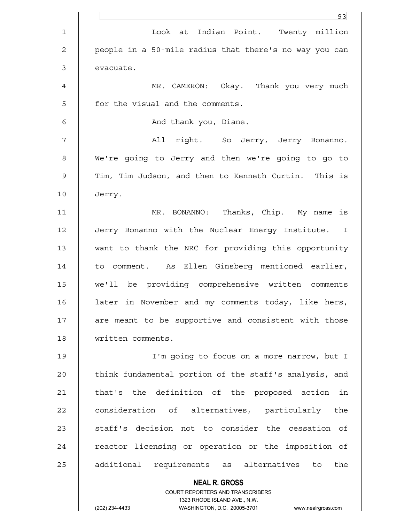|             | 93                                                                                                  |
|-------------|-----------------------------------------------------------------------------------------------------|
| $\mathbf 1$ | Look at Indian Point. Twenty million                                                                |
| 2           | people in a 50-mile radius that there's no way you can                                              |
| 3           | evacuate.                                                                                           |
| 4           | MR. CAMERON: Okay. Thank you very much                                                              |
| 5           | for the visual and the comments.                                                                    |
| 6           | And thank you, Diane.                                                                               |
| 7           | All right. So Jerry, Jerry Bonanno.                                                                 |
| 8           | We're going to Jerry and then we're going to go to                                                  |
| 9           | Tim, Tim Judson, and then to Kenneth Curtin. This is                                                |
| 10          | Jerry.                                                                                              |
| 11          | MR. BONANNO: Thanks, Chip. My name is                                                               |
| 12          | Jerry Bonanno with the Nuclear Energy Institute. I                                                  |
| 13          | want to thank the NRC for providing this opportunity                                                |
| 14          | to comment. As Ellen Ginsberg mentioned earlier,                                                    |
| 15          | we'll be providing comprehensive written comments                                                   |
| 16          | later in November and my comments today, like hers,                                                 |
| 17          | are meant to be supportive and consistent with those                                                |
| 18          | written comments.                                                                                   |
| 19          | I'm going to focus on a more narrow, but I                                                          |
| 20          | think fundamental portion of the staff's analysis, and                                              |
| 21          | that's the definition of the proposed action<br>in                                                  |
| 22          | consideration of alternatives, particularly<br>the                                                  |
| 23          | staff's decision not to consider the cessation of                                                   |
| 24          | reactor licensing or operation or the imposition of                                                 |
| 25          | additional requirements as alternatives to the                                                      |
|             | <b>NEAL R. GROSS</b>                                                                                |
|             | COURT REPORTERS AND TRANSCRIBERS                                                                    |
|             | 1323 RHODE ISLAND AVE., N.W.<br>(202) 234-4433<br>WASHINGTON, D.C. 20005-3701<br>www.nealrgross.com |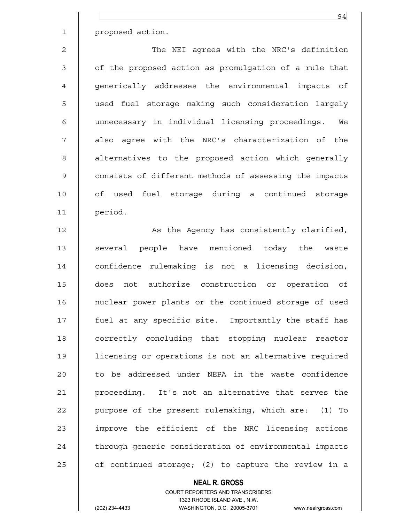1 | proposed action.

2 || The NEI agrees with the NRC's definition 3 | of the proposed action as promulgation of a rule that 4 | generically addresses the environmental impacts of 5 || used fuel storage making such consideration largely 6 unnecessary in individual licensing proceedings. We 7 || also agree with the NRC's characterization of the 8 | alternatives to the proposed action which generally 9 | consists of different methods of assessing the impacts 10 || of used fuel storage during a continued storage 11 period.

12 || As the Agency has consistently clarified, 13 || several people have mentioned today the waste 14 | confidence rulemaking is not a licensing decision, 15 does not authorize construction or operation of 16 | nuclear power plants or the continued storage of used 17 fuel at any specific site. Importantly the staff has 18 || correctly concluding that stopping nuclear reactor 19 licensing or operations is not an alternative required 20 || to be addressed under NEPA in the waste confidence 21 proceeding. It's not an alternative that serves the 22 || purpose of the present rulemaking, which are: (1) To 23 || improve the efficient of the NRC licensing actions 24 | through generic consideration of environmental impacts 25  $\vert$  of continued storage; (2) to capture the review in a

## **NEAL R. GROSS**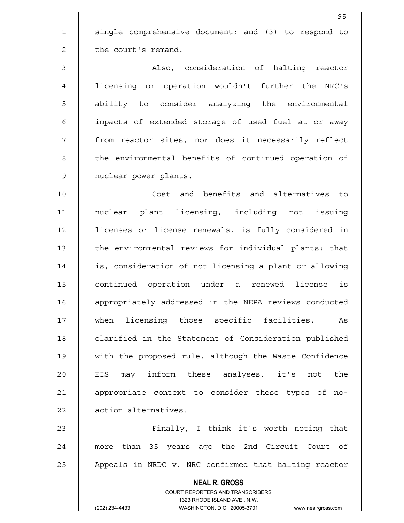1 || single comprehensive document; and (3) to respond to 2 | the court's remand.

3 Also, consideration of halting reactor 4 licensing or operation wouldn't further the NRC's 5 || ability to consider analyzing the environmental 6 || impacts of extended storage of used fuel at or away 7 || from reactor sites, nor does it necessarily reflect 8 || the environmental benefits of continued operation of 9 | nuclear power plants.

10 Cost and benefits and alternatives to 11 nuclear plant licensing, including not issuing 12 licenses or license renewals, is fully considered in 13 || the environmental reviews for individual plants; that 14 is, consideration of not licensing a plant or allowing 15 continued operation under a renewed license is 16 | appropriately addressed in the NEPA reviews conducted 17 when licensing those specific facilities. As 18 | clarified in the Statement of Consideration published 19 with the proposed rule, although the Waste Confidence 20 || EIS may inform these analyses, it's not the 21 || appropriate context to consider these types of no-22 | action alternatives.

23 Finally, I think it's worth noting that 24 || more than 35 years ago the 2nd Circuit Court of 25  $\parallel$  Appeals in <u>NRDC v. NRC</u> confirmed that halting reactor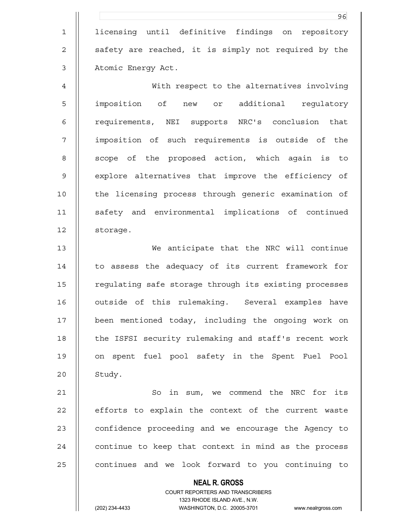1 || licensing until definitive findings on repository 2 || safety are reached, it is simply not required by the 3 | Atomic Energy Act.

<u>96 - Johann Stein, amerikan besteht ing dikenali di pangangan di sebagai sebagai di pangangan di sebagai seba</u>

4 With respect to the alternatives involving 5 || imposition of new or additional requlatory 6 | requirements, NEI supports NRC's conclusion that 7 imposition of such requirements is outside of the 8 || scope of the proposed action, which again is to 9 || explore alternatives that improve the efficiency of 10 || the licensing process through generic examination of 11 || safety and environmental implications of continued 12 storage.

13 We anticipate that the NRC will continue 14 | to assess the adequacy of its current framework for 15 | regulating safe storage through its existing processes 16 | outside of this rulemaking. Several examples have 17 been mentioned today, including the ongoing work on 18 || the ISFSI security rulemaking and staff's recent work 19 on spent fuel pool safety in the Spent Fuel Pool  $20$  | Study.

21 | So in sum, we commend the NRC for its 22 || efforts to explain the context of the current waste 23 | confidence proceeding and we encourage the Agency to  $24$   $\parallel$  continue to keep that context in mind as the process  $25$   $\vert$  continues and we look forward to you continuing to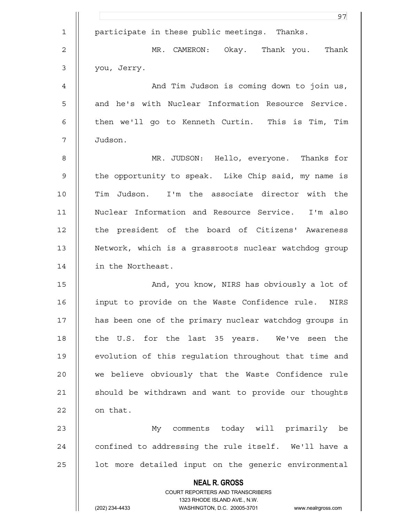|                | 97                                                                  |
|----------------|---------------------------------------------------------------------|
| $\mathbf 1$    | participate in these public meetings. Thanks.                       |
| $\overline{2}$ | MR. CAMERON: Okay. Thank you. Thank                                 |
| $\mathfrak{Z}$ | you, Jerry.                                                         |
| 4              | And Tim Judson is coming down to join us,                           |
| 5              | and he's with Nuclear Information Resource Service.                 |
| 6              | then we'll go to Kenneth Curtin. This is Tim, Tim                   |
| 7              | Judson.                                                             |
| 8              | MR. JUDSON: Hello, everyone. Thanks for                             |
| $\mathsf 9$    | the opportunity to speak. Like Chip said, my name is                |
| 10             | Tim Judson. I'm the associate director with the                     |
| 11             | Nuclear Information and Resource Service. I'm also                  |
| 12             | the president of the board of Citizens' Awareness                   |
| 13             | Network, which is a grassroots nuclear watchdog group               |
| 14             | in the Northeast.                                                   |
| 15             | And, you know, NIRS has obviously a lot of                          |
| 16             | input to provide on the Waste Confidence rule. NIRS                 |
| 17             | has been one of the primary nuclear watchdog groups in              |
| 18             | the U.S. for the last 35 years. We've seen the                      |
| 19             | evolution of this requlation throughout that time and               |
| 20             | we believe obviously that the Waste Confidence rule                 |
| 21             | should be withdrawn and want to provide our thoughts                |
| 22             | on that.                                                            |
| 23             | My comments today will primarily be                                 |
| 24             | confined to addressing the rule itself. We'll have a                |
| 25             | lot more detailed input on the generic environmental                |
|                | <b>NEAL R. GROSS</b>                                                |
|                | COURT REPORTERS AND TRANSCRIBERS<br>1323 RHODE ISLAND AVE., N.W.    |
|                | (202) 234-4433<br>WASHINGTON, D.C. 20005-3701<br>www.nealrgross.com |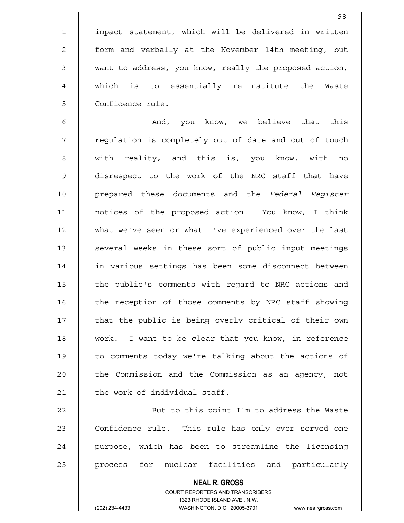1 || impact statement, which will be delivered in written 2 || form and verbally at the November 14th meeting, but 3 want to address, you know, really the proposed action, 4 which is to essentially re-institute the Waste 5 | Confidence rule.

6 And, you know, we believe that this 7 || regulation is completely out of date and out of touch 8 || with reality, and this is, you know, with no 9 disrespect to the work of the NRC staff that have 10 prepared these documents and the *Federal Register* 11 notices of the proposed action. You know, I think 12 what we've seen or what I've experienced over the last 13 || several weeks in these sort of public input meetings 14 in various settings has been some disconnect between 15 | the public's comments with regard to NRC actions and 16 | the reception of those comments by NRC staff showing 17 || that the public is being overly critical of their own 18 work. I want to be clear that you know, in reference 19 || to comments today we're talking about the actions of 20 | the Commission and the Commission as an agency, not  $21$  | the work of individual staff.

22 || But to this point I'm to address the Waste 23 || Confidence rule. This rule has only ever served one 24 || purpose, which has been to streamline the licensing 25 || process for nuclear facilities and particularly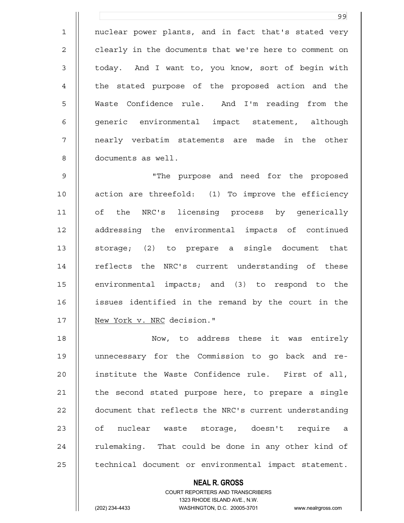1 || nuclear power plants, and in fact that's stated very 2 | clearly in the documents that we're here to comment on 3 || today. And I want to, you know, sort of begin with 4 || the stated purpose of the proposed action and the 5 Waste Confidence rule. And I'm reading from the 6 || generic environmental impact statement, although 7 || nearly verbatim statements are made in the other 8 documents as well.

<u>99 - Johann Stein, amerikansk politiker (</u>

9 "The purpose and need for the proposed 10 || action are threefold: (1) To improve the efficiency 11 of the NRC's licensing process by generically 12 addressing the environmental impacts of continued 13 || storage; (2) to prepare a single document that 14 || reflects the NRC's current understanding of these 15 environmental impacts; and (3) to respond to the 16 issues identified in the remand by the court in the 17 | New York v. NRC decision."

18 Now, to address these it was entirely 19 unnecessary for the Commission to go back and re-20 || institute the Waste Confidence rule. First of all, 21 | the second stated purpose here, to prepare a single 22 document that reflects the NRC's current understanding 23 || of nuclear waste storage, doesn't require a  $24$  || rulemaking. That could be done in any other kind of 25 | technical document or environmental impact statement.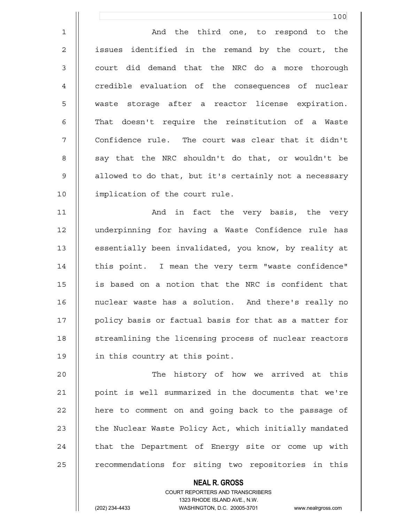1 And the third one, to respond to the 2 || issues identified in the remand by the court, the 3 || court did demand that the NRC do a more thorough 4 | credible evaluation of the consequences of nuclear 5 waste storage after a reactor license expiration. 6 || That doesn't require the reinstitution of a Waste 7 || Confidence rule. The court was clear that it didn't 8 || say that the NRC shouldn't do that, or wouldn't be 9 | allowed to do that, but it's certainly not a necessary 10 || implication of the court rule.

11 || And in fact the very basis, the very 12 underpinning for having a Waste Confidence rule has 13 | essentially been invalidated, you know, by reality at 14 || this point. I mean the very term "waste confidence" 15 is based on a notion that the NRC is confident that 16 || nuclear waste has a solution. And there's really no 17 || policy basis or factual basis for that as a matter for 18 || streamlining the licensing process of nuclear reactors 19 | in this country at this point.

20 The history of how we arrived at this 21 point is well summarized in the documents that we're 22 | here to comment on and going back to the passage of 23 | the Nuclear Waste Policy Act, which initially mandated 24 || that the Department of Energy site or come up with 25 || recommendations for siting two repositories in this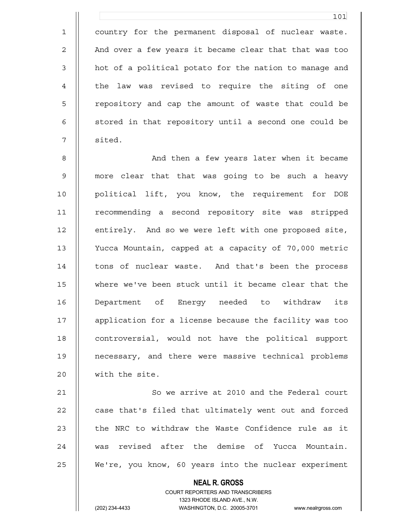1 country for the permanent disposal of nuclear waste. 2 | And over a few years it became clear that that was too 3 || hot of a political potato for the nation to manage and 4 || the law was revised to require the siting of one 5 || repository and cap the amount of waste that could be 6 || stored in that repository until a second one could be 7 || sited.

8 || And then a few years later when it became 9 more clear that that was going to be such a heavy 10 political lift, you know, the requirement for DOE 11 | recommending a second repository site was stripped 12 | entirely. And so we were left with one proposed site, 13 Yucca Mountain, capped at a capacity of 70,000 metric 14 | tons of nuclear waste. And that's been the process 15 where we've been stuck until it became clear that the 16 Department of Energy needed to withdraw its 17 application for a license because the facility was too 18 || controversial, would not have the political support 19 necessary, and there were massive technical problems 20 || with the site.

21 | So we arrive at 2010 and the Federal court 22 || case that's filed that ultimately went out and forced 23  $\parallel$  the NRC to withdraw the Waste Confidence rule as it 24 was revised after the demise of Yucca Mountain. 25 We're, you know, 60 years into the nuclear experiment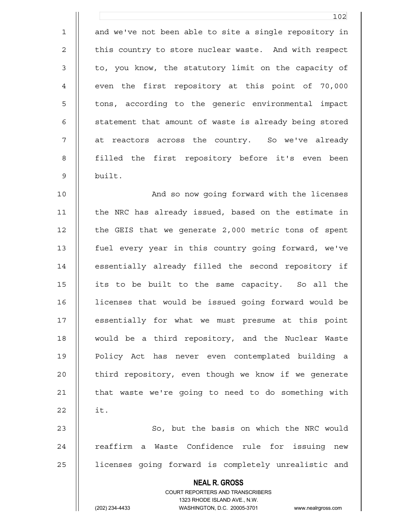1 || and we've not been able to site a single repository in 2 | this country to store nuclear waste. And with respect 3 || to, you know, the statutory limit on the capacity of 4 | even the first repository at this point of 70,000 5 || tons, according to the generic environmental impact 6 | statement that amount of waste is already being stored 7 at reactors across the country. So we've already 8 || filled the first repository before it's even been 9 built.

10 || And so now going forward with the licenses 11 | the NRC has already issued, based on the estimate in 12 | the GEIS that we generate 2,000 metric tons of spent 13 fuel every year in this country going forward, we've 14 | essentially already filled the second repository if 15 its to be built to the same capacity. So all the 16 licenses that would be issued going forward would be 17 || essentially for what we must presume at this point 18 would be a third repository, and the Nuclear Waste 19 Policy Act has never even contemplated building a 20 | third repository, even though we know if we generate 21 | that waste we're going to need to do something with  $22 \t || \t it.$ 23 || So, but the basis on which the NRC would 24 || reaffirm a Waste Confidence rule for issuing new

25 | licenses going forward is completely unrealistic and

 **NEAL R. GROSS**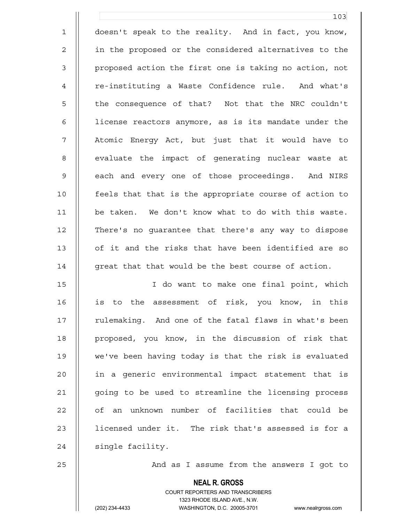1 doesn't speak to the reality. And in fact, you know, 2 || in the proposed or the considered alternatives to the 3 | proposed action the first one is taking no action, not 4 | re-instituting a Waste Confidence rule. And what's 5 || the consequence of that? Not that the NRC couldn't 6 | | license reactors anymore, as is its mandate under the 7 Atomic Energy Act, but just that it would have to 8 || evaluate the impact of generating nuclear waste at 9 || each and every one of those proceedings. And NIRS 10 feels that that is the appropriate course of action to 11 be taken. We don't know what to do with this waste. 12 There's no guarantee that there's any way to dispose 13 || of it and the risks that have been identified are so  $14$  || great that that would be the best course of action.

15 I do want to make one final point, which 16 || is to the assessment of risk, you know, in this 17 || rulemaking. And one of the fatal flaws in what's been 18 || proposed, you know, in the discussion of risk that 19 we've been having today is that the risk is evaluated 20 || in a generic environmental impact statement that is 21 going to be used to streamline the licensing process 22 || of an unknown number of facilities that could be 23 || licensed under it. The risk that's assessed is for a  $24$  | single facility.

25 | And as I assume from the answers I got to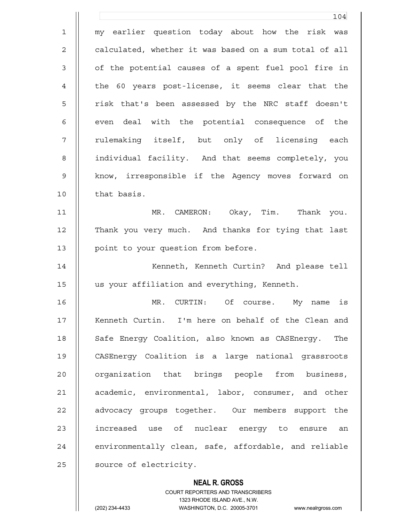104 1 my earlier question today about how the risk was 2 | calculated, whether it was based on a sum total of all 3 || of the potential causes of a spent fuel pool fire in 4 || the 60 years post-license, it seems clear that the 5 || risk that's been assessed by the NRC staff doesn't 6 || even deal with the potential consequence of the 7 || rulemaking itself, but only of licensing each 8 | individual facility. And that seems completely, you 9 || know, irresponsible if the Agency moves forward on 10 || that basis. 11 MR. CAMERON: Okay, Tim. Thank you. 12 Thank you very much. And thanks for tying that last 13 | point to your question from before. 14 Kenneth, Kenneth Curtin? And please tell 15 us your affiliation and everything, Kenneth. 16 MR. CURTIN: Of course. My name is 17 || Kenneth Curtin. I'm here on behalf of the Clean and 18 || Safe Energy Coalition, also known as CASEnergy. The 19 CASEnergy Coalition is a large national grassroots 20 || organization that brings people from business, 21 | academic, environmental, labor, consumer, and other 22 || advocacy groups together. Our members support the 23 || increased use of nuclear energy to ensure an  $24$   $\parallel$  environmentally clean, safe, affordable, and reliable 25 | source of electricity.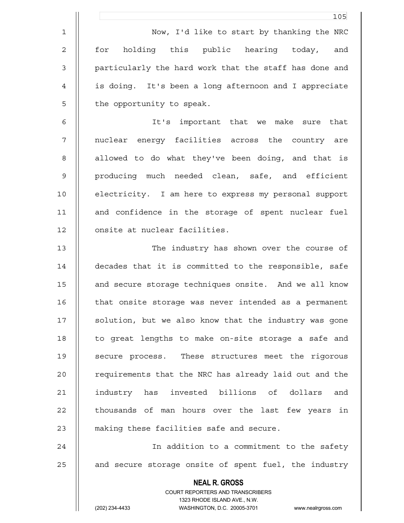|                | 105                                                                 |
|----------------|---------------------------------------------------------------------|
| $\mathbf 1$    | Now, I'd like to start by thanking the NRC                          |
| $\overline{c}$ | holding this public hearing today,<br>for<br>and                    |
| $\mathfrak{Z}$ | particularly the hard work that the staff has done and              |
| $\overline{4}$ | is doing. It's been a long afternoon and I appreciate               |
| 5              | the opportunity to speak.                                           |
| 6              | It's important that we make sure that                               |
| 7              | nuclear energy facilities across the country are                    |
| 8              | allowed to do what they've been doing, and that is                  |
| 9              | producing much needed clean, safe, and efficient                    |
| 10             | electricity. I am here to express my personal support               |
| 11             | and confidence in the storage of spent nuclear fuel                 |
| 12             | onsite at nuclear facilities.                                       |
| 13             | The industry has shown over the course of                           |
| 14             | decades that it is committed to the responsible, safe               |
| 15             | and secure storage techniques onsite. And we all know               |
| 16             | that onsite storage was never intended as a permanent               |
| 17             | solution, but we also know that the industry was gone               |
| 18             | to great lengths to make on-site storage a safe and                 |
| 19             | secure process. These structures meet the rigorous                  |
| 20             | requirements that the NRC has already laid out and the              |
| 21             | industry has invested billions of dollars and                       |
| 22             | thousands of man hours over the last few years in                   |
| 23             | making these facilities safe and secure.                            |
| 24             | In addition to a commitment to the safety                           |
| 25             | and secure storage onsite of spent fuel, the industry               |
|                | <b>NEAL R. GROSS</b>                                                |
|                | COURT REPORTERS AND TRANSCRIBERS<br>1323 RHODE ISLAND AVE., N.W.    |
|                | (202) 234-4433<br>WASHINGTON, D.C. 20005-3701<br>www.nealrgross.com |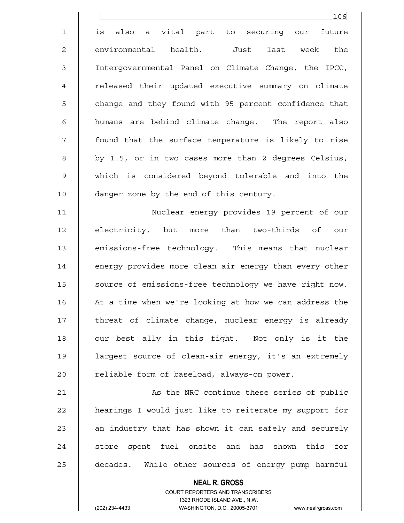106 1 || is also a vital part to securing our future 2 || environmental health. Just last week the 3 Intergovernmental Panel on Climate Change, the IPCC, 4 || released their updated executive summary on climate 5 | change and they found with 95 percent confidence that 6 || humans are behind climate change. The report also 7 found that the surface temperature is likely to rise 8 || by 1.5, or in two cases more than 2 degrees Celsius, 9 which is considered beyond tolerable and into the 10 | danger zone by the end of this century. 11 Nuclear energy provides 19 percent of our 12 || electricity, but more than two-thirds of our 13 | emissions-free technology. This means that nuclear 14 | energy provides more clean air energy than every other 15 | source of emissions-free technology we have right now. 16 | At a time when we're looking at how we can address the 17 || threat of climate change, nuclear energy is already 18 || our best ally in this fight. Not only is it the 19 largest source of clean-air energy, it's an extremely 20 | reliable form of baseload, always-on power. 21 | As the NRC continue these series of public 22 | hearings I would just like to reiterate my support for 23  $\parallel$  an industry that has shown it can safely and securely 24 || store spent fuel onsite and has shown this for

25 || decades. While other sources of energy pump harmful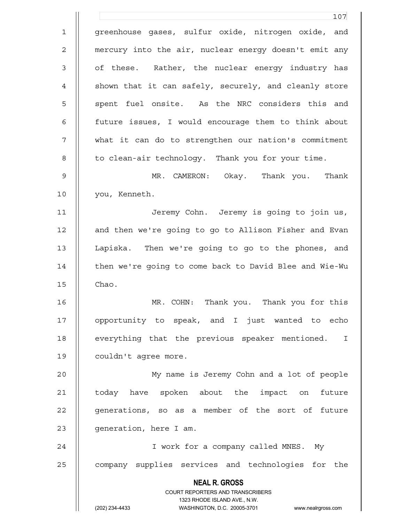**NEAL R. GROSS** COURT REPORTERS AND TRANSCRIBERS 1323 RHODE ISLAND AVE., N.W. (202) 234-4433 WASHINGTON, D.C. 20005-3701 www.nealrgross.com 107 1 || greenhouse gases, sulfur oxide, nitrogen oxide, and 2 mercury into the air, nuclear energy doesn't emit any 3 || of these. Rather, the nuclear energy industry has 4 || shown that it can safely, securely, and cleanly store 5 || spent fuel onsite. As the NRC considers this and 6 future issues, I would encourage them to think about 7 what it can do to strengthen our nation's commitment 8 | to clean-air technology. Thank you for your time. 9 MR. CAMERON: Okay. Thank you. Thank 10 || you, Kenneth. 11 || Jeremy Cohn. Jeremy is going to join us, 12 || and then we're going to go to Allison Fisher and Evan 13 Lapiska. Then we're going to go to the phones, and 14 | then we're going to come back to David Blee and Wie-Wu  $15$   $\parallel$  Chao. 16 MR. COHN: Thank you. Thank you for this 17 || opportunity to speak, and I just wanted to echo 18 || everything that the previous speaker mentioned. I 19 | couldn't agree more. 20 My name is Jeremy Cohn and a lot of people 21 | today have spoken about the impact on future 22 || generations, so as a member of the sort of future 23 | generation, here I am. 24 || I work for a company called MNES. My 25 || company supplies services and technologies for the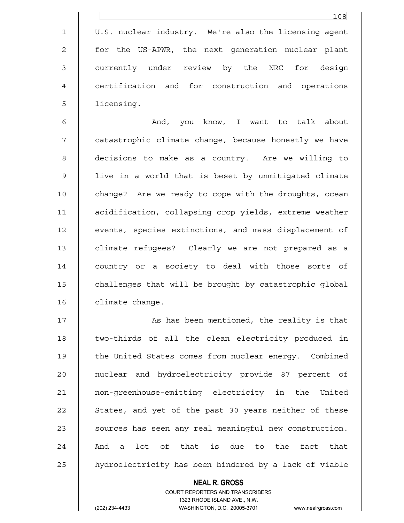|                | 108                                                   |
|----------------|-------------------------------------------------------|
| $\mathbf 1$    | U.S. nuclear industry. We're also the licensing agent |
| $\overline{2}$ | for the US-APWR, the next generation nuclear plant    |
| 3              | currently under review by the NRC for design          |
| 4              | certification and for construction and operations     |
| 5              | licensing.                                            |

6 And, you know, I want to talk about 7 || catastrophic climate change, because honestly we have 8 decisions to make as a country. Are we willing to 9 || live in a world that is beset by unmitigated climate 10 || change? Are we ready to cope with the droughts, ocean 11 acidification, collapsing crop yields, extreme weather 12 | events, species extinctions, and mass displacement of 13 | climate refugees? Clearly we are not prepared as a 14 | country or a society to deal with those sorts of 15 | challenges that will be brought by catastrophic global 16 | climate change.

17 || As has been mentioned, the reality is that 18 || two-thirds of all the clean electricity produced in 19 | the United States comes from nuclear energy. Combined 20 || nuclear and hydroelectricity provide 87 percent of 21 non-greenhouse-emitting electricity in the United 22 || States, and yet of the past 30 years neither of these 23 || sources has seen any real meaningful new construction. 24  $\parallel$  And a lot of that is due to the fact that 25 | hydroelectricity has been hindered by a lack of viable

## **NEAL R. GROSS** COURT REPORTERS AND TRANSCRIBERS 1323 RHODE ISLAND AVE., N.W. (202) 234-4433 WASHINGTON, D.C. 20005-3701 www.nealrgross.com

 $\mathbf{1}$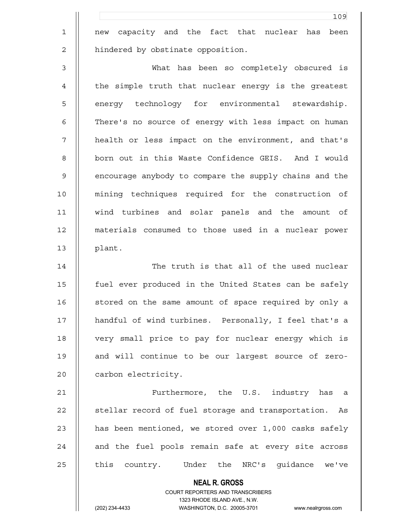1 new capacity and the fact that nuclear has been 2 | hindered by obstinate opposition.

3 What has been so completely obscured is 4 || the simple truth that nuclear energy is the greatest 5 || energy technology for environmental stewardship. 6 | There's no source of energy with less impact on human 7 || health or less impact on the environment, and that's 8 || born out in this Waste Confidence GEIS. And I would 9 | encourage anybody to compare the supply chains and the 10 mining techniques required for the construction of 11 wind turbines and solar panels and the amount of 12 materials consumed to those used in a nuclear power 13 || plant.

14 || The truth is that all of the used nuclear 15 fuel ever produced in the United States can be safely 16 | stored on the same amount of space required by only a 17 handful of wind turbines. Personally, I feel that's a 18 || very small price to pay for nuclear energy which is 19 || and will continue to be our largest source of zero-20 | carbon electricity.

21 Furthermore, the U.S. industry has a 22 | stellar record of fuel storage and transportation. As 23  $\parallel$  has been mentioned, we stored over 1,000 casks safely  $24$   $\parallel$  and the fuel pools remain safe at every site across 25 || this country. Under the NRC's guidance we've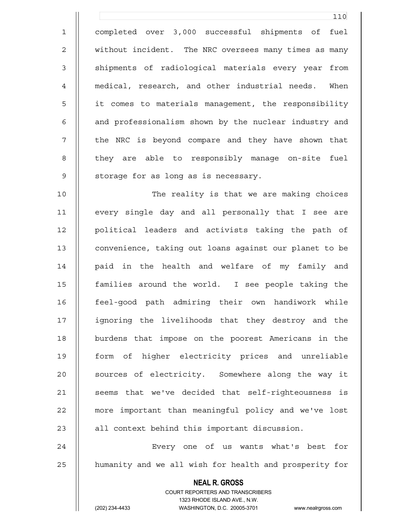1 completed over 3,000 successful shipments of fuel 2 without incident. The NRC oversees many times as many 3 || shipments of radiological materials every year from 4 medical, research, and other industrial needs. When 5 | it comes to materials management, the responsibility 6 || and professionalism shown by the nuclear industry and 7 || the NRC is beyond compare and they have shown that 8 || they are able to responsibly manage on-site fuel  $9$  | storage for as long as is necessary.

10 The reality is that we are making choices 11 every single day and all personally that I see are 12 || political leaders and activists taking the path of 13 convenience, taking out loans against our planet to be 14 || paid in the health and welfare of my family and 15 families around the world. I see people taking the 16 feel-good path admiring their own handiwork while 17 ignoring the livelihoods that they destroy and the 18 burdens that impose on the poorest Americans in the 19 form of higher electricity prices and unreliable 20 || sources of electricity. Somewhere along the way it 21 || seems that we've decided that self-righteousness is 22 || more important than meaningful policy and we've lost  $23$   $\parallel$  all context behind this important discussion.

24 Every one of us wants what's best for 25 | humanity and we all wish for health and prosperity for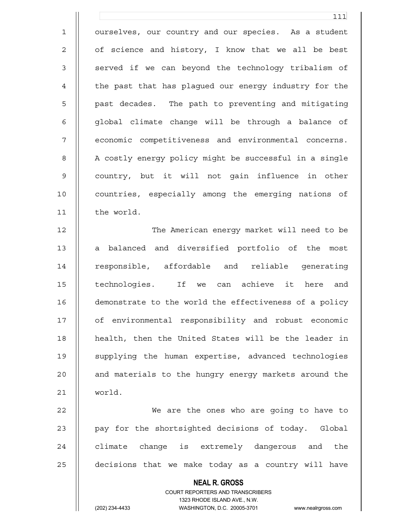1 | ourselves, our country and our species. As a student 2 | of science and history, I know that we all be best 3 || served if we can beyond the technology tribalism of 4 | the past that has plaqued our energy industry for the 5 || past decades. The path to preventing and mitigating  $6 \parallel$  global climate change will be through a balance of 7 || economic competitiveness and environmental concerns. 8 | A costly energy policy might be successful in a single 9 || country, but it will not qain influence in other 10 || countries, especially among the emerging nations of 11 the world.

12 The American energy market will need to be 13 || a balanced and diversified portfolio of the most 14 || responsible, affordable and reliable generating 15 || technologies. If we can achieve it here and 16 demonstrate to the world the effectiveness of a policy 17 || of environmental responsibility and robust economic 18 || health, then the United States will be the leader in 19 supplying the human expertise, advanced technologies 20 || and materials to the hungry energy markets around the 21 world.

22 We are the ones who are going to have to 23  $\parallel$  pay for the shortsighted decisions of today. Global  $24$   $\parallel$  climate change is extremely dangerous and the 25 | decisions that we make today as a country will have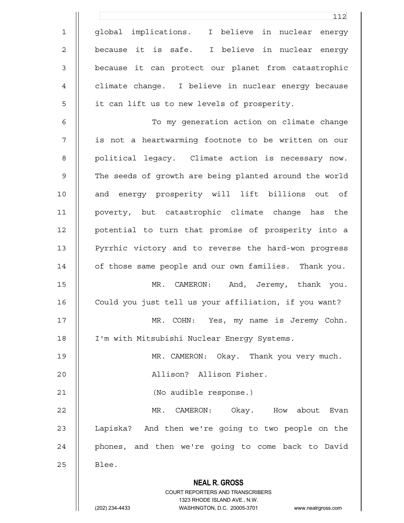|                | 112                                                                 |
|----------------|---------------------------------------------------------------------|
| $\mathbf 1$    | global implications. I believe in nuclear energy                    |
| 2              | because it is safe. I believe in nuclear energy                     |
| $\mathfrak{Z}$ | because it can protect our planet from catastrophic                 |
| 4              | climate change. I believe in nuclear energy because                 |
| 5              | it can lift us to new levels of prosperity.                         |
| 6              | To my generation action on climate change                           |
| 7              | is not a heartwarming footnote to be written on our                 |
| 8              | political legacy. Climate action is necessary now.                  |
| 9              | The seeds of growth are being planted around the world              |
| 10             | and energy prosperity will lift billions out of                     |
| 11             | poverty, but catastrophic climate change has the                    |
| 12             | potential to turn that promise of prosperity into a                 |
| 13             | Pyrrhic victory and to reverse the hard-won progress                |
| 14             | of those same people and our own families. Thank you.               |
| 15             | MR. CAMERON: And, Jeremy, thank you.                                |
| 16             | Could you just tell us your affiliation, if you want?               |
| 17             | MR. COHN: Yes, my name is Jeremy Cohn.                              |
| 18             | I'm with Mitsubishi Nuclear Energy Systems.                         |
| 19             | MR. CAMERON: Okay. Thank you very much.                             |
| 20             | Allison? Allison Fisher.                                            |
| 21             | (No audible response.)                                              |
| 22             | MR. CAMERON: Okay. How about Evan                                   |
| 23             | Lapiska? And then we're going to two people on the                  |
| 24             | phones, and then we're going to come back to David                  |
| 25             | Blee.                                                               |
|                | <b>NEAL R. GROSS</b>                                                |
|                | COURT REPORTERS AND TRANSCRIBERS<br>1323 RHODE ISLAND AVE., N.W.    |
|                | (202) 234-4433<br>WASHINGTON, D.C. 20005-3701<br>www.nealrgross.com |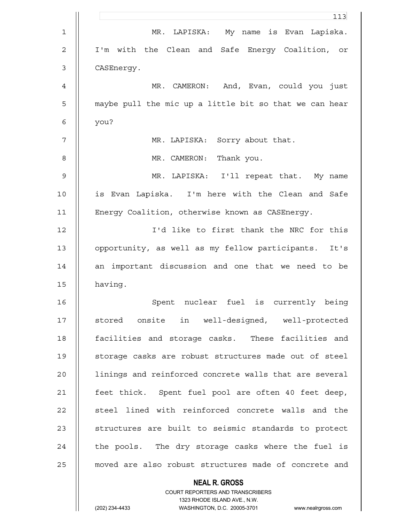|                | 113                                                    |
|----------------|--------------------------------------------------------|
| 1              | MR.<br>LAPISKA: My name is Evan Lapiska.               |
| $\overline{c}$ | I'm with the Clean and Safe Energy Coalition, or       |
| 3              | CASEnergy.                                             |
| 4              | MR. CAMERON: And, Evan, could you just                 |
| 5              | maybe pull the mic up a little bit so that we can hear |
| 6              | you?                                                   |
| 7              | MR. LAPISKA: Sorry about that.                         |
| 8              | MR. CAMERON: Thank you.                                |
| 9              | MR. LAPISKA: I'll repeat that. My name                 |
| 10             | is Evan Lapiska. I'm here with the Clean and Safe      |
| 11             | Energy Coalition, otherwise known as CASEnergy.        |
| 12             | I'd like to first thank the NRC for this               |
| 13             | opportunity, as well as my fellow participants. It's   |
| 14             | an important discussion and one that we need to be     |
| 15             | having.                                                |
| 16             | Spent nuclear fuel is currently being                  |
| 17             | stored onsite in well-designed, well-protected         |
| 18             | facilities and storage casks. These facilities and     |
| 19             | storage casks are robust structures made out of steel  |
| 20             | linings and reinforced concrete walls that are several |
| 21             | feet thick. Spent fuel pool are often 40 feet deep,    |
| 22             | steel lined with reinforced concrete walls and the     |
| 23             | structures are built to seismic standards to protect   |
| 24             | the pools. The dry storage casks where the fuel is     |
| 25             | moved are also robust structures made of concrete and  |
|                | <b>NEAL R. GROSS</b>                                   |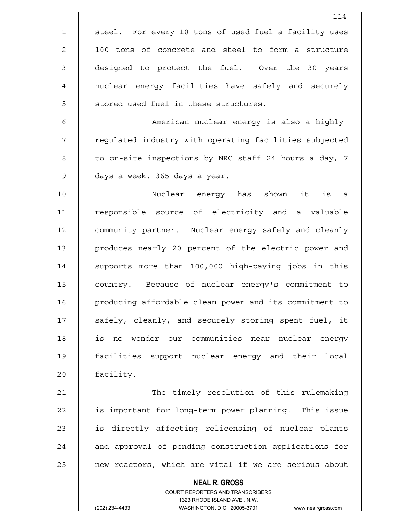|                | 114                                                                                                 |
|----------------|-----------------------------------------------------------------------------------------------------|
| $\mathbf 1$    | steel. For every 10 tons of used fuel a facility uses                                               |
| $\mathbf{2}$   | 100 tons of concrete and steel to form a structure                                                  |
| $\mathfrak{Z}$ | designed to protect the fuel. Over the 30 years                                                     |
| 4              | nuclear energy facilities have safely and securely                                                  |
| 5              | stored used fuel in these structures.                                                               |
| 6              | American nuclear energy is also a highly-                                                           |
| 7              | regulated industry with operating facilities subjected                                              |
| 8              | to on-site inspections by NRC staff 24 hours a day, 7                                               |
| $\mathsf 9$    | days a week, 365 days a year.                                                                       |
| 10             | Nuclear energy has shown it<br>is a                                                                 |
| 11             | responsible source of electricity and a valuable                                                    |
| 12             | community partner. Nuclear energy safely and cleanly                                                |
| 13             | produces nearly 20 percent of the electric power and                                                |
| 14             | supports more than 100,000 high-paying jobs in this                                                 |
| 15             | country. Because of nuclear energy's commitment to                                                  |
| 16             | producing affordable clean power and its commitment to                                              |
| 17             | safely, cleanly, and securely storing spent fuel, it                                                |
| 18             | is no wonder our communities near nuclear energy                                                    |
| 19             | facilities support nuclear energy and their local                                                   |
| 20             | facility.                                                                                           |
| 21             | The timely resolution of this rulemaking                                                            |
| 22             | is important for long-term power planning. This issue                                               |
| 23             | is directly affecting relicensing of nuclear plants                                                 |
| 24             | and approval of pending construction applications for                                               |
| 25             | new reactors, which are vital if we are serious about                                               |
|                | <b>NEAL R. GROSS</b>                                                                                |
|                | COURT REPORTERS AND TRANSCRIBERS                                                                    |
|                | 1323 RHODE ISLAND AVE., N.W.<br>(202) 234-4433<br>WASHINGTON, D.C. 20005-3701<br>www.nealrgross.com |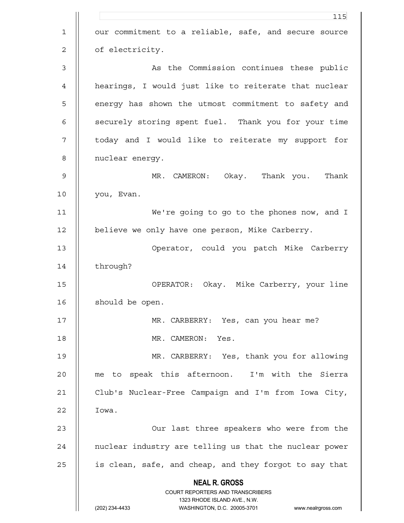**NEAL R. GROSS** COURT REPORTERS AND TRANSCRIBERS 1323 RHODE ISLAND AVE., N.W. (202) 234-4433 WASHINGTON, D.C. 20005-3701 www.nealrgross.com <u>115</u> 1 || our commitment to a reliable, safe, and secure source 2 | of electricity. 3 As the Commission continues these public 4 hearings, I would just like to reiterate that nuclear 5 || energy has shown the utmost commitment to safety and 6 || securely storing spent fuel. Thank you for your time 7 || today and I would like to reiterate my support for 8 | nuclear energy. 9 MR. CAMERON: Okay. Thank you. Thank 10 you, Evan. 11 We're going to go to the phones now, and I 12 | believe we only have one person, Mike Carberry. 13 Operator, could you patch Mike Carberry 14 | through? 15 OPERATOR: Okay. Mike Carberry, your line 16 | should be open. 17 || MR. CARBERRY: Yes, can you hear me? 18 MR. CAMERON: Yes. 19 MR. CARBERRY: Yes, thank you for allowing 20 me to speak this afternoon. I'm with the Sierra 21 Club's Nuclear-Free Campaign and I'm from Iowa City, 22 | Iowa. 23 || Our last three speakers who were from the 24 | nuclear industry are telling us that the nuclear power 25 | is clean, safe, and cheap, and they forgot to say that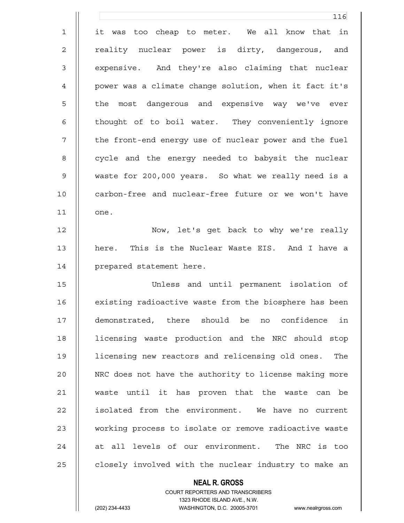|                | 116                                                    |
|----------------|--------------------------------------------------------|
| $\mathbf 1$    | it was too cheap to meter. We all know that in         |
| $\overline{2}$ | reality nuclear power is dirty, dangerous, and         |
| $\mathsf 3$    | expensive. And they're also claiming that nuclear      |
| 4              | power was a climate change solution, when it fact it's |
| 5              | the most dangerous and expensive way we've ever        |
| 6              | thought of to boil water. They conveniently ignore     |
| 7              | the front-end energy use of nuclear power and the fuel |
| 8              | cycle and the energy needed to babysit the nuclear     |
| $\mathsf 9$    | waste for 200,000 years. So what we really need is a   |
| 10             | carbon-free and nuclear-free future or we won't have   |
| 11             | one.                                                   |
| 12             | Now, let's get back to why we're really                |
| 13             | here. This is the Nuclear Waste EIS. And I have a      |
| 14             | prepared statement here.                               |
| 15             | Unless and until permanent isolation of                |
| 16             | existing radioactive waste from the biosphere has been |
| 17             | demonstrated, there should be no confidence in         |
| 18             | licensing waste production and the NRC should stop     |
| 19             | licensing new reactors and relicensing old ones. The   |
| 20             | NRC does not have the authority to license making more |
| 21             | waste until it has proven that the waste can be        |
| 22             | isolated from the environment. We have no current      |
| 23             | working process to isolate or remove radioactive waste |
| 24             | at all levels of our environment. The NRC is too       |
| 25             | closely involved with the nuclear industry to make an  |

 COURT REPORTERS AND TRANSCRIBERS 1323 RHODE ISLAND AVE., N.W. (202) 234-4433 WASHINGTON, D.C. 20005-3701 www.nealrgross.com

 **NEAL R. GROSS**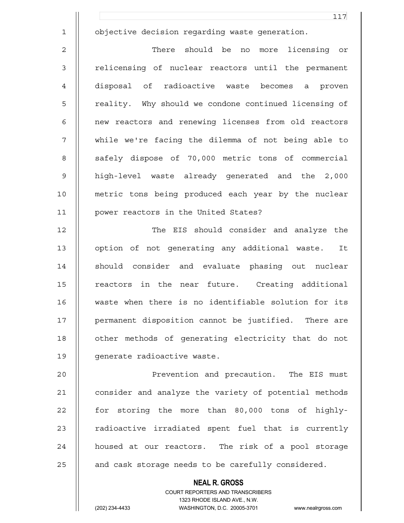1 objective decision regarding waste generation.

2 There should be no more licensing or 3 || relicensing of nuclear reactors until the permanent 4 disposal of radioactive waste becomes a proven 5 || reality. Why should we condone continued licensing of 6 || new reactors and renewing licenses from old reactors 7 while we're facing the dilemma of not being able to 8 || safely dispose of 70,000 metric tons of commercial 9 high-level waste already generated and the 2,000 10 metric tons being produced each year by the nuclear 11 power reactors in the United States?

12 || The EIS should consider and analyze the 13 || option of not generating any additional waste. It 14 || should consider and evaluate phasing out nuclear 15 || reactors in the near future. Creating additional 16 waste when there is no identifiable solution for its 17 || permanent disposition cannot be justified. There are 18 || other methods of generating electricity that do not 19 | qenerate radioactive waste.

20 Prevention and precaution. The EIS must 21 | consider and analyze the variety of potential methods 22 || for storing the more than 80,000 tons of highly-23 || radioactive irradiated spent fuel that is currently 24 || housed at our reactors. The risk of a pool storage 25  $\parallel$  and cask storage needs to be carefully considered.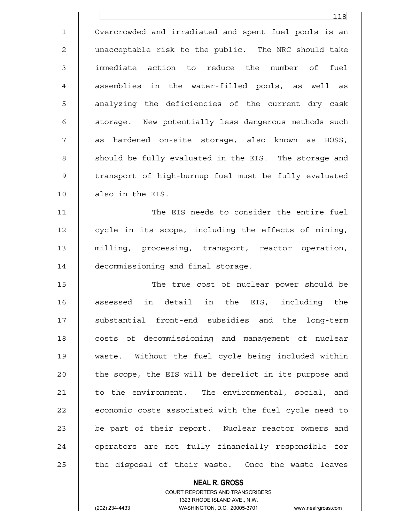1 Overcrowded and irradiated and spent fuel pools is an 2 | unacceptable risk to the public. The NRC should take 3 immediate action to reduce the number of fuel 4 || assemblies in the water-filled pools, as well as 5 || analyzing the deficiencies of the current dry cask 6 | storage. New potentially less dangerous methods such 7 || as hardened on-site storage, also known as HOSS, 8 || should be fully evaluated in the EIS. The storage and 9 || transport of high-burnup fuel must be fully evaluated 10 || also in the EIS.

118

11 The EIS needs to consider the entire fuel 12 | cycle in its scope, including the effects of mining, 13 milling, processing, transport, reactor operation, 14 | decommissioning and final storage.

15 || The true cost of nuclear power should be 16 || assessed in detail in the EIS, including the 17 || substantial front-end subsidies and the long-term 18 || costs of decommissioning and management of nuclear 19 waste. Without the fuel cycle being included within 20 | the scope, the EIS will be derelict in its purpose and 21 | to the environment. The environmental, social, and 22 | economic costs associated with the fuel cycle need to 23 || be part of their report. Nuclear reactor owners and 24 || operators are not fully financially responsible for  $25$  || the disposal of their waste. Once the waste leaves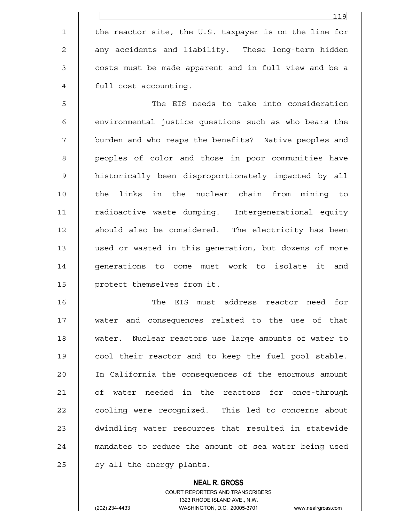1 | the reactor site, the U.S. taxpayer is on the line for 2 || any accidents and liability. These long-term hidden 3 || costs must be made apparent and in full view and be a 4 || full cost accounting.

5 The EIS needs to take into consideration 6 | environmental justice questions such as who bears the 7 || burden and who reaps the benefits? Native peoples and 8 || peoples of color and those in poor communities have 9 || historically been disproportionately impacted by all 10 || the links in the nuclear chain from mining to 11 radioactive waste dumping. Intergenerational equity 12 || should also be considered. The electricity has been 13 used or wasted in this generation, but dozens of more 14 || generations to come must work to isolate it and 15 | protect themselves from it.

16 The EIS must address reactor need for 17 water and consequences related to the use of that 18 || water. Nuclear reactors use large amounts of water to 19 || cool their reactor and to keep the fuel pool stable. 20 In California the consequences of the enormous amount 21 || of water needed in the reactors for once-through 22 | cooling were recognized. This led to concerns about 23 || dwindling water resources that resulted in statewide 24 || mandates to reduce the amount of sea water being used 25 | by all the energy plants.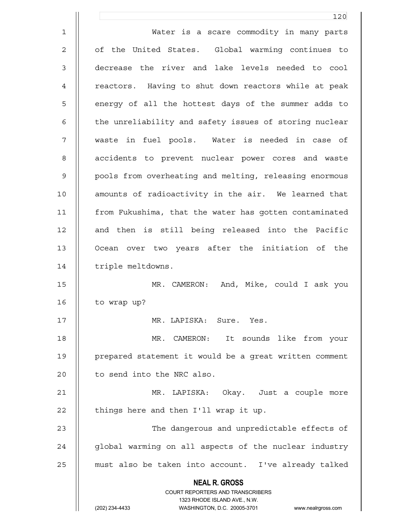**NEAL R. GROSS** COURT REPORTERS AND TRANSCRIBERS 1323 RHODE ISLAND AVE., N.W. (202) 234-4433 WASHINGTON, D.C. 20005-3701 www.nealrgross.com 120 1 Water is a scare commodity in many parts 2 || of the United States. Global warming continues to 3 decrease the river and lake levels needed to cool 4 | reactors. Having to shut down reactors while at peak 5 || energy of all the hottest days of the summer adds to 6 | the unreliability and safety issues of storing nuclear 7 waste in fuel pools. Water is needed in case of 8 || accidents to prevent nuclear power cores and waste 9 || pools from overheating and melting, releasing enormous 10 || amounts of radioactivity in the air. We learned that 11 from Fukushima, that the water has gotten contaminated 12 || and then is still being released into the Pacific 13 Ocean over two years after the initiation of the 14 | triple meltdowns. 15 MR. CAMERON: And, Mike, could I ask you 16 | to wrap up? 17 MR. LAPISKA: Sure. Yes. 18 MR. CAMERON: It sounds like from your 19 || prepared statement it would be a great written comment  $20$  | to send into the NRC also. 21 MR. LAPISKA: Okay. Just a couple more  $22$  || things here and then I'll wrap it up. 23 The dangerous and unpredictable effects of 24 || global warming on all aspects of the nuclear industry 25 must also be taken into account. I've already talked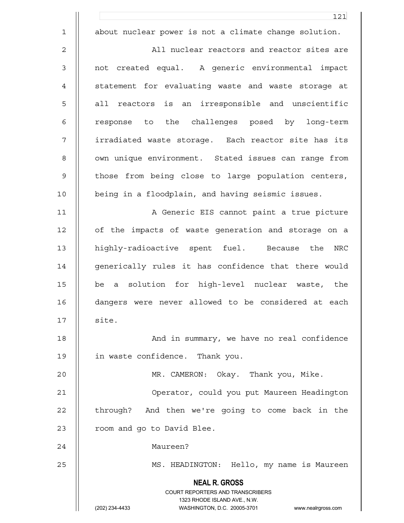|              | 121                                                                                      |
|--------------|------------------------------------------------------------------------------------------|
| $\mathbf{1}$ | about nuclear power is not a climate change solution.                                    |
| 2            | All nuclear reactors and reactor sites are                                               |
| 3            | not created equal. A generic environmental impact                                        |
| 4            | statement for evaluating waste and waste storage at                                      |
| 5            | all reactors is an irresponsible and unscientific                                        |
| 6            | response to the challenges posed by long-term                                            |
| 7            | irradiated waste storage. Each reactor site has its                                      |
| 8            | own unique environment. Stated issues can range from                                     |
| 9            | those from being close to large population centers,                                      |
| 10           | being in a floodplain, and having seismic issues.                                        |
| 11           | A Generic EIS cannot paint a true picture                                                |
| 12           | of the impacts of waste generation and storage on a                                      |
| 13           | highly-radioactive spent fuel. Because the<br><b>NRC</b>                                 |
| 14           | generically rules it has confidence that there would                                     |
| 15           | a solution for high-level nuclear waste, the<br>be                                       |
| 16           | dangers were never allowed to be considered at each                                      |
| 17           | site.                                                                                    |
| 18           | And in summary, we have no real confidence                                               |
| 19           | in waste confidence. Thank you.                                                          |
| 20           | MR. CAMERON: Okay. Thank you, Mike.                                                      |
| 21           | Operator, could you put Maureen Headington                                               |
| 22           | through? And then we're going to come back in the                                        |
| 23           | room and go to David Blee.                                                               |
| 24           | Maureen?                                                                                 |
| 25           | MS. HEADINGTON: Hello, my name is Maureen                                                |
|              | <b>NEAL R. GROSS</b><br>COURT REPORTERS AND TRANSCRIBERS<br>1323 RHODE ISLAND AVE., N.W. |
|              | (202) 234-4433<br>WASHINGTON, D.C. 20005-3701<br>www.nealrgross.com                      |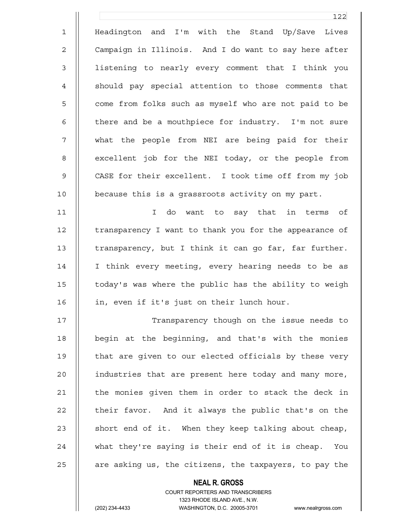1 Headington and I'm with the Stand Up/Save Lives 2 | Campaign in Illinois. And I do want to say here after 3 listening to nearly every comment that I think you 4 || should pay special attention to those comments that 5 | come from folks such as myself who are not paid to be 6  $\parallel$  there and be a mouthpiece for industry. I'm not sure 7 what the people from NEI are being paid for their 8 | excellent job for the NEI today, or the people from 9 CASE for their excellent. I took time off from my job 10 because this is a grassroots activity on my part. 11 I do want to say that in terms of

12 | transparency I want to thank you for the appearance of 13 | transparency, but I think it can go far, far further. 14 || I think every meeting, every hearing needs to be as 15 today's was where the public has the ability to weigh 16 || in, even if it's just on their lunch hour.

17 Transparency though on the issue needs to 18 || begin at the beginning, and that's with the monies 19 | that are given to our elected officials by these very 20 | industries that are present here today and many more, 21 | the monies given them in order to stack the deck in  $22$  | their favor. And it always the public that's on the 23  $\parallel$  short end of it. When they keep talking about cheap, 24 || what they're saying is their end of it is cheap. You  $25$  || are asking us, the citizens, the taxpayers, to pay the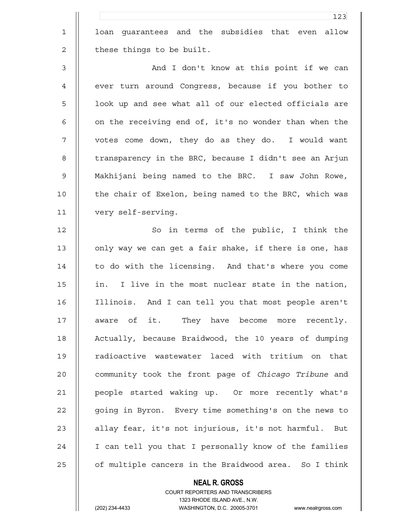1 || loan guarantees and the subsidies that even allow  $2 \parallel$  these things to be built.

3 And I don't know at this point if we can 4 || ever turn around Congress, because if you bother to 5 || look up and see what all of our elected officials are 6  $\parallel$  on the receiving end of, it's no wonder than when the 7 votes come down, they do as they do. I would want 8 | transparency in the BRC, because I didn't see an Arjun 9 Makhijani being named to the BRC. I saw John Rowe, 10 || the chair of Exelon, being named to the BRC, which was 11 very self-serving.

12 || So in terms of the public, I think the 13 | only way we can get a fair shake, if there is one, has 14 || to do with the licensing. And that's where you come 15 || in. I live in the most nuclear state in the nation, 16 Illinois. And I can tell you that most people aren't 17 || aware of it. They have become more recently. 18 || Actually, because Braidwood, the 10 years of dumping 19 || radioactive wastewater laced with tritium on that 20 community took the front page of *Chicago Tribune* and 21 people started waking up. Or more recently what's 22 | going in Byron. Every time something's on the news to 23 || allay fear, it's not injurious, it's not harmful. But 24 || I can tell you that I personally know of the families 25 | of multiple cancers in the Braidwood area. So I think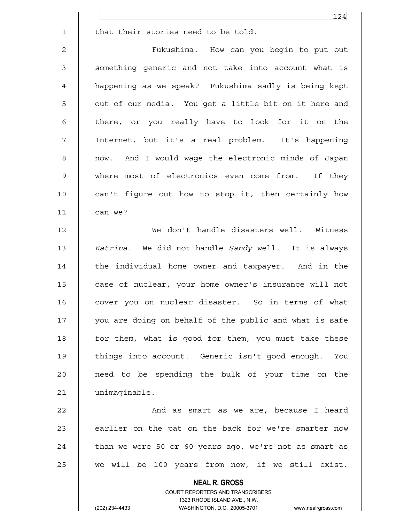|                | 124                                                    |
|----------------|--------------------------------------------------------|
| $\mathbf 1$    | that their stories need to be told.                    |
| $\overline{2}$ | Fukushima. How can you begin to put out                |
| 3              | something generic and not take into account what is    |
| $\overline{4}$ | happening as we speak? Fukushima sadly is being kept   |
| 5              | out of our media. You get a little bit on it here and  |
| 6              | there, or you really have to look for it on the        |
| 7              | Internet, but it's a real problem. It's happening      |
| 8              | now. And I would wage the electronic minds of Japan    |
| $\mathsf 9$    | where most of electronics even come from. If they      |
| 10             | can't figure out how to stop it, then certainly how    |
| 11             | can we?                                                |
| 12             | We don't handle disasters well. Witness                |
| 13             | Katrina. We did not handle Sandy well. It is always    |
| 14             | the individual home owner and taxpayer. And in the     |
| 15             | case of nuclear, your home owner's insurance will not  |
| 16             | cover you on nuclear disaster. So in terms of what     |
| 17             | you are doing on behalf of the public and what is safe |
| 18             | for them, what is good for them, you must take these   |
| 19             | things into account. Generic isn't good enough.<br>You |
| 20             | need to be spending the bulk of your time on the       |
| 21             | unimaginable.                                          |
| 22             | And as smart as we are; because I heard                |
| 23             | earlier on the pat on the back for we're smarter now   |
| 24             | than we were 50 or 60 years ago, we're not as smart as |

 $25$   $\parallel$  we will be 100 years from now, if we still exist.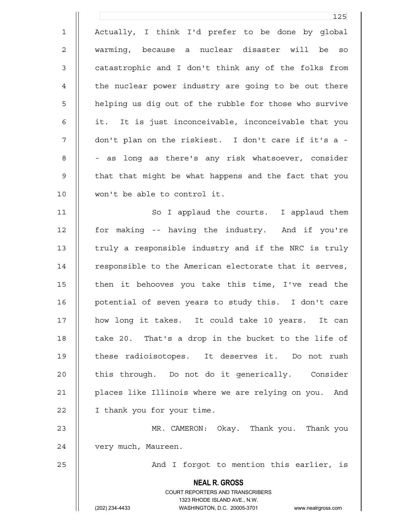**NEAL R. GROSS** COURT REPORTERS AND TRANSCRIBERS 1323 RHODE ISLAND AVE., N.W. (202) 234-4433 WASHINGTON, D.C. 20005-3701 www.nealrgross.com 125 1 Actually, I think I'd prefer to be done by global 2 warming, because a nuclear disaster will be so 3 || catastrophic and I don't think any of the folks from 4 | the nuclear power industry are going to be out there 5 | helping us dig out of the rubble for those who survive 6 || it. It is just inconceivable, inconceivable that you 7 don't plan on the riskiest. I don't care if it's a - 8 | | - as long as there's any risk whatsoever, consider 9 || that that might be what happens and the fact that you 10 won't be able to control it. 11 || So I applaud the courts. I applaud them 12 for making -- having the industry. And if you're 13  $\parallel$  truly a responsible industry and if the NRC is truly 14 | responsible to the American electorate that it serves, 15 || then it behooves you take this time, I've read the 16 potential of seven years to study this. I don't care 17 how long it takes. It could take 10 years. It can 18  $\parallel$  take 20. That's a drop in the bucket to the life of 19 || these radioisotopes. It deserves it. Do not rush 20 || this through. Do not do it generically. Consider 21 | places like Illinois where we are relying on you. And 22 | I thank you for your time. 23 MR. CAMERON: Okay. Thank you. Thank you 24 | very much, Maureen. 25 || And I forgot to mention this earlier, is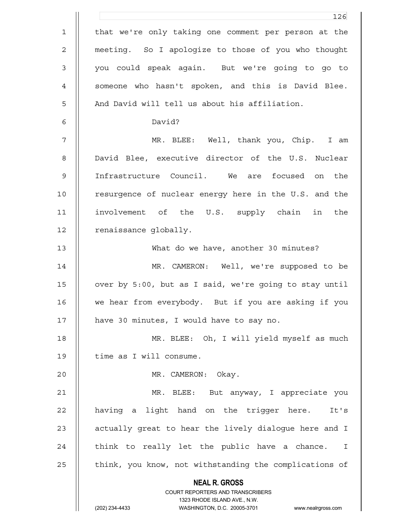|             | 126                                                                                                                                                             |
|-------------|-----------------------------------------------------------------------------------------------------------------------------------------------------------------|
| $\mathbf 1$ | that we're only taking one comment per person at the                                                                                                            |
| 2           | meeting. So I apologize to those of you who thought                                                                                                             |
| 3           | you could speak again. But we're going to go to                                                                                                                 |
| 4           | someone who hasn't spoken, and this is David Blee.                                                                                                              |
| 5           | And David will tell us about his affiliation.                                                                                                                   |
| 6           | David?                                                                                                                                                          |
| 7           | MR. BLEE: Well, thank you, Chip. I am                                                                                                                           |
| 8           | David Blee, executive director of the U.S. Nuclear                                                                                                              |
| $\mathsf 9$ | Infrastructure Council. We are focused on the                                                                                                                   |
| 10          | resurgence of nuclear energy here in the U.S. and the                                                                                                           |
| 11          | involvement of the U.S. supply chain in the                                                                                                                     |
| 12          | renaissance globally.                                                                                                                                           |
| 13          | What do we have, another 30 minutes?                                                                                                                            |
| 14          | MR. CAMERON: Well, we're supposed to be                                                                                                                         |
| 15          | over by 5:00, but as I said, we're going to stay until                                                                                                          |
| 16          | we hear from everybody. But if you are asking if you                                                                                                            |
| 17          | have 30 minutes, I would have to say no.                                                                                                                        |
| 18          | MR. BLEE: Oh, I will yield myself as much                                                                                                                       |
| 19          | time as I will consume.                                                                                                                                         |
| 20          | MR. CAMERON: Okay.                                                                                                                                              |
| 21          | MR. BLEE: But anyway, I appreciate you                                                                                                                          |
| 22          | having a light hand on the trigger here. It's                                                                                                                   |
| 23          | actually great to hear the lively dialogue here and I                                                                                                           |
| 24          | think to really let the public have a chance. I                                                                                                                 |
| 25          | think, you know, not withstanding the complications of                                                                                                          |
|             | <b>NEAL R. GROSS</b><br>COURT REPORTERS AND TRANSCRIBERS<br>1323 RHODE ISLAND AVE., N.W.<br>(202) 234-4433<br>WASHINGTON, D.C. 20005-3701<br>www.nealrgross.com |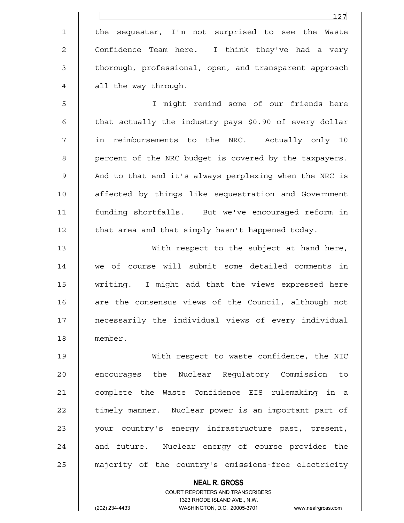1 || the sequester, I'm not surprised to see the Waste 2 || Confidence Team here. I think they've had a very 3 || thorough, professional, open, and transparent approach 4 || all the way through.

5 I might remind some of our friends here 6  $\parallel$  that actually the industry pays \$0.90 of every dollar 7 in reimbursements to the NRC. Actually only 10 8 | percent of the NRC budget is covered by the taxpayers. 9 || And to that end it's always perplexing when the NRC is 10 || affected by things like sequestration and Government 11 funding shortfalls. But we've encouraged reform in  $12$  | that area and that simply hasn't happened today.

13 With respect to the subject at hand here, 14 we of course will submit some detailed comments in 15 writing. I might add that the views expressed here 16 || are the consensus views of the Council, although not 17 necessarily the individual views of every individual 18 member.

19 With respect to waste confidence, the NIC 20 || encourages the Nuclear Requlatory Commission to 21 complete the Waste Confidence EIS rulemaking in a 22 | timely manner. Nuclear power is an important part of 23 || your country's energy infrastructure past, present, 24 || and future. Nuclear energy of course provides the 25 | majority of the country's emissions-free electricity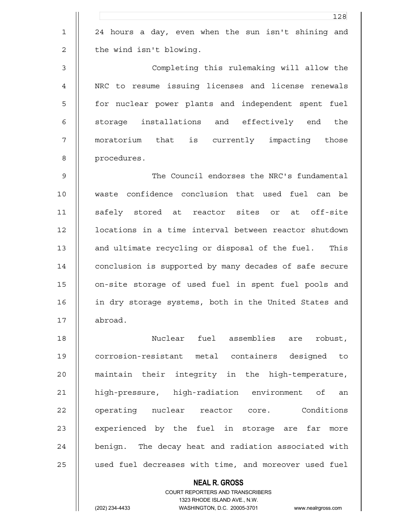|                | 128                                                             |
|----------------|-----------------------------------------------------------------|
| $\mathbf 1$    | 24 hours a day, even when the sun isn't shining and             |
| 2              | the wind isn't blowing.                                         |
| $\mathsf 3$    | Completing this rulemaking will allow the                       |
| $\overline{4}$ | NRC to resume issuing licenses and license renewals             |
| 5              | for nuclear power plants and independent spent fuel             |
| 6              | storage installations and effectively end the                   |
| 7              | moratorium that is currently impacting those                    |
| 8              | procedures.                                                     |
| $\mathsf 9$    | The Council endorses the NRC's fundamental                      |
| 10             | waste confidence conclusion that used fuel can be               |
| 11             | safely stored at reactor sites or at off-site                   |
| 12             | locations in a time interval between reactor shutdown           |
| 13             | and ultimate recycling or disposal of the fuel. This            |
| 14             | conclusion is supported by many decades of safe secure          |
| 15             | on-site storage of used fuel in spent fuel pools and            |
| 16             | in dry storage systems, both in the United States and           |
| 17             | abroad.                                                         |
| 18             | Nuclear fuel assemblies are<br>robust,                          |
| 19             | corrosion-resistant metal containers designed to                |
| 20             | maintain their integrity in the high-temperature,               |
| 21             | high-pressure, high-radiation environment of<br>an              |
| 22             | operating nuclear reactor core. Conditions                      |
| 23             | experienced by the fuel in storage are far more                 |
| 24             | benign. The decay heat and radiation associated with            |
| 25             | used fuel decreases with time, and moreover used fuel           |
|                | <b>NEAL R. GROSS</b><br><b>COURT REPORTERS AND TRANSCRIBERS</b> |

1323 RHODE ISLAND AVE., N.W.

 $\prod$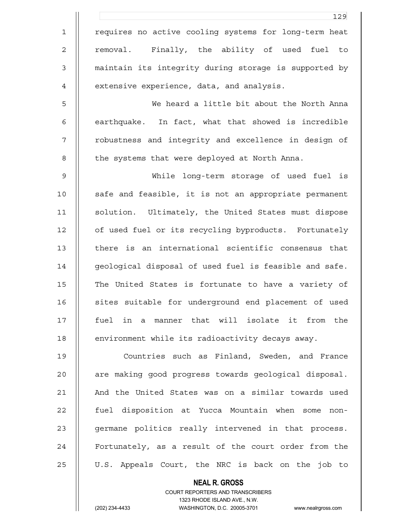|                | 129                                                      |
|----------------|----------------------------------------------------------|
| $\mathbf 1$    | requires no active cooling systems for long-term heat    |
| $\mathbf{2}$   | removal. Finally, the ability of used fuel to            |
| $\mathfrak{Z}$ | maintain its integrity during storage is supported by    |
| 4              | extensive experience, data, and analysis.                |
| 5              | We heard a little bit about the North Anna               |
| 6              | earthquake. In fact, what that showed is incredible      |
| 7              | robustness and integrity and excellence in design of     |
| 8              | the systems that were deployed at North Anna.            |
| $\mathsf 9$    | While long-term storage of used fuel is                  |
| 10             | safe and feasible, it is not an appropriate permanent    |
| 11             | solution. Ultimately, the United States must dispose     |
| 12             | of used fuel or its recycling byproducts. Fortunately    |
| 13             | there is an international scientific consensus that      |
| 14             | geological disposal of used fuel is feasible and safe.   |
| 15             | The United States is fortunate to have a variety of      |
| 16             | sites suitable for underground end placement of used     |
| 17             | fuel in a manner that will isolate it from the           |
| 18             | environment while its radioactivity decays away.         |
| 19             | Countries such as Finland, Sweden, and France            |
| 20             | are making good progress towards geological disposal.    |
| 21             | And the United States was on a similar towards used      |
| 22             | fuel disposition at Yucca Mountain when some<br>non-     |
| 23             | germane politics really intervened in that process.      |
| 24             | Fortunately, as a result of the court order from the     |
| 25             | U.S. Appeals Court, the NRC is back on the job to        |
|                | <b>NEAL R. GROSS</b><br>COURT REPORTERS AND TRANSCRIBERS |

1323 RHODE ISLAND AVE., N.W.

 $\begin{array}{c} \hline \end{array}$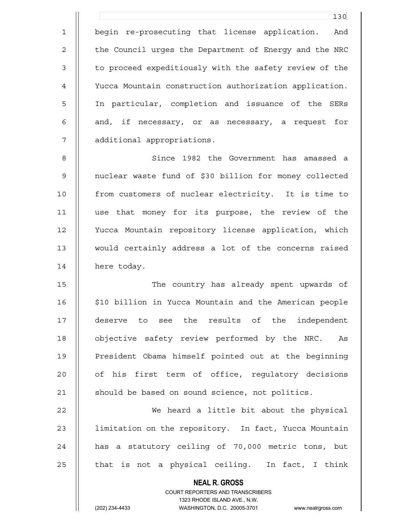1 begin re-prosecuting that license application. And 2 | the Council urges the Department of Energy and the NRC 3 | to proceed expeditiously with the safety review of the 4 Yucca Mountain construction authorization application. 5 In particular, completion and issuance of the SERs 6 || and, if necessary, or as necessary, a request for 7 additional appropriations.

130

8 Since 1982 the Government has amassed a 9 nuclear waste fund of \$30 billion for money collected 10 from customers of nuclear electricity. It is time to 11 use that money for its purpose, the review of the 12 Yucca Mountain repository license application, which 13 would certainly address a lot of the concerns raised 14 | here today.

15 The country has already spent upwards of 16 || \$10 billion in Yucca Mountain and the American people 17 deserve to see the results of the independent 18 || objective safety review performed by the NRC. As 19 || President Obama himself pointed out at the beginning 20 || of his first term of office, requlatory decisions 21 | should be based on sound science, not politics.

22 We heard a little bit about the physical 23 | limitation on the repository. In fact, Yucca Mountain 24 || has a statutory ceiling of 70,000 metric tons, but  $25$  | that is not a physical ceiling. In fact, I think

> **NEAL R. GROSS** COURT REPORTERS AND TRANSCRIBERS 1323 RHODE ISLAND AVE., N.W.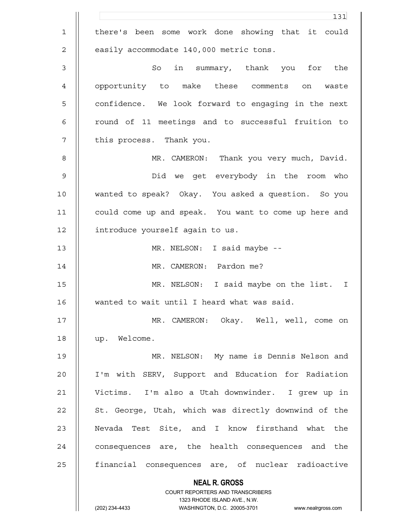|              | 131                                                                                              |
|--------------|--------------------------------------------------------------------------------------------------|
| $\mathbf{1}$ | there's been some work done showing that it could                                                |
| 2            | easily accommodate 140,000 metric tons.                                                          |
| $\mathsf 3$  | in summary, thank you for the<br>So                                                              |
| 4            | opportunity to make these comments<br>on<br>waste                                                |
| 5            | confidence. We look forward to engaging in the next                                              |
| 6            | round of 11 meetings and to successful fruition to                                               |
| 7            | this process. Thank you.                                                                         |
| 8            | MR. CAMERON: Thank you very much, David.                                                         |
| $\mathsf 9$  | Did we get everybody in the room who                                                             |
| 10           | wanted to speak? Okay. You asked a question. So you                                              |
| 11           | could come up and speak. You want to come up here and                                            |
| 12           | introduce yourself again to us.                                                                  |
| 13           | MR. NELSON: I said maybe --                                                                      |
| 14           | MR. CAMERON: Pardon me?                                                                          |
| 15           | MR. NELSON: I said maybe on the list. I                                                          |
| 16           | wanted to wait until I heard what was said.                                                      |
| 17           | MR. CAMERON: Okay. Well, well, come on                                                           |
| 18           | up. Welcome.                                                                                     |
| 19           | MR. NELSON: My name is Dennis Nelson and                                                         |
| 20           | I'm with SERV, Support and Education for Radiation                                               |
| 21           | Victims. I'm also a Utah downwinder. I grew up in                                                |
| 22           | St. George, Utah, which was directly downwind of the                                             |
| 23           | Nevada Test Site, and I know firsthand what the                                                  |
| 24           | consequences are, the health consequences and the                                                |
| 25           | financial consequences are, of nuclear radioactive                                               |
|              | <b>NEAL R. GROSS</b>                                                                             |
|              | COURT REPORTERS AND TRANSCRIBERS                                                                 |
|              | 1323 RHODE ISLAND AVE., N.W.<br>(202) 234-4433<br>WASHINGTON, D.C. 20005-3701 www.nealrgross.com |
|              |                                                                                                  |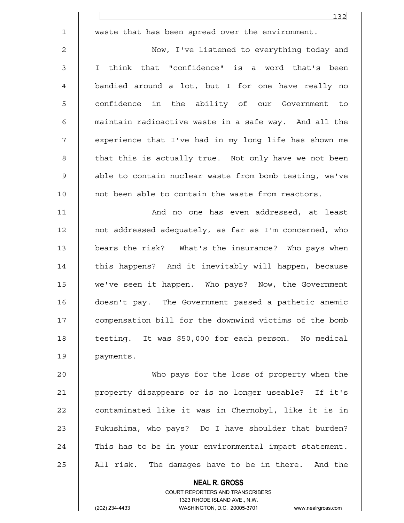|                | 132                                                    |
|----------------|--------------------------------------------------------|
| $\mathbf 1$    | waste that has been spread over the environment.       |
| $\overline{c}$ | Now, I've listened to everything today and             |
| 3              | think that "confidence" is a word that's been<br>I.    |
| $\overline{4}$ | bandied around a lot, but I for one have really no     |
| 5              | confidence in the ability of our Government to         |
| 6              | maintain radioactive waste in a safe way. And all the  |
| 7              | experience that I've had in my long life has shown me  |
| 8              | that this is actually true. Not only have we not been  |
| $\mathsf 9$    | able to contain nuclear waste from bomb testing, we've |
| 10             | not been able to contain the waste from reactors.      |
| 11             | And no one has even addressed, at least                |
| 12             | not addressed adequately, as far as I'm concerned, who |
| 13             | bears the risk? What's the insurance? Who pays when    |
| 14             | this happens? And it inevitably will happen, because   |
| 15             | we've seen it happen. Who pays? Now, the Government    |
| 16             | doesn't pay. The Government passed a pathetic anemic   |
| 17             | compensation bill for the downwind victims of the bomb |
| 18             | testing. It was \$50,000 for each person. No medical   |
| 19             | payments.                                              |
| 20             | Who pays for the loss of property when the             |
| 21             | property disappears or is no longer useable? If it's   |
| 22             | contaminated like it was in Chernobyl, like it is in   |
| 23             | Fukushima, who pays? Do I have shoulder that burden?   |
| 24             | This has to be in your environmental impact statement. |

 $25$  | All risk. The damages have to be in there. And the

 **NEAL R. GROSS**

 COURT REPORTERS AND TRANSCRIBERS 1323 RHODE ISLAND AVE., N.W.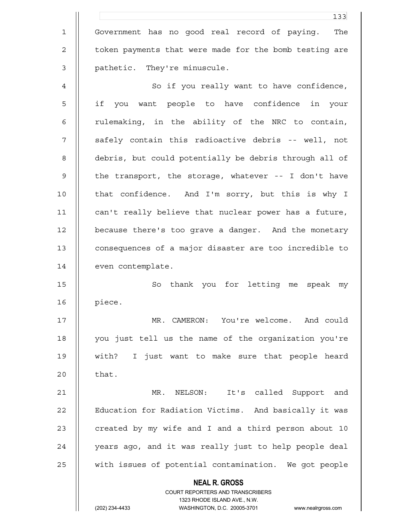|             | 133                                                                                                 |
|-------------|-----------------------------------------------------------------------------------------------------|
| $\mathbf 1$ | Government has no good real record of paying.<br>The                                                |
| 2           | token payments that were made for the bomb testing are                                              |
| 3           | pathetic. They're minuscule.                                                                        |
| 4           | So if you really want to have confidence,                                                           |
| 5           | if<br>want people to have confidence in your<br>you                                                 |
| 6           | rulemaking, in the ability of the NRC to contain,                                                   |
| 7           | safely contain this radioactive debris -- well, not                                                 |
| 8           | debris, but could potentially be debris through all of                                              |
| $\mathsf 9$ | the transport, the storage, whatever -- I don't have                                                |
| 10          | that confidence. And I'm sorry, but this is why I                                                   |
| 11          | can't really believe that nuclear power has a future,                                               |
| 12          | because there's too grave a danger. And the monetary                                                |
| 13          | consequences of a major disaster are too incredible to                                              |
| 14          | even contemplate.                                                                                   |
| 15          | thank you for letting<br>So<br>speak<br>me<br>my                                                    |
| 16          | piece.                                                                                              |
| 17          | MR. CAMERON: You're welcome. And could                                                              |
| 18          | you just tell us the name of the organization you're                                                |
| 19          | with? I just want to make sure that people heard                                                    |
| 20          | that.                                                                                               |
| 21          | MR.<br>NELSON: It's called Support and                                                              |
| 22          | Education for Radiation Victims. And basically it was                                               |
| 23          | created by my wife and I and a third person about 10                                                |
| 24          | years ago, and it was really just to help people deal                                               |
| 25          | with issues of potential contamination. We got people                                               |
|             | <b>NEAL R. GROSS</b>                                                                                |
|             | COURT REPORTERS AND TRANSCRIBERS                                                                    |
|             | 1323 RHODE ISLAND AVE., N.W.<br>WASHINGTON, D.C. 20005-3701<br>(202) 234-4433<br>www.nealrgross.com |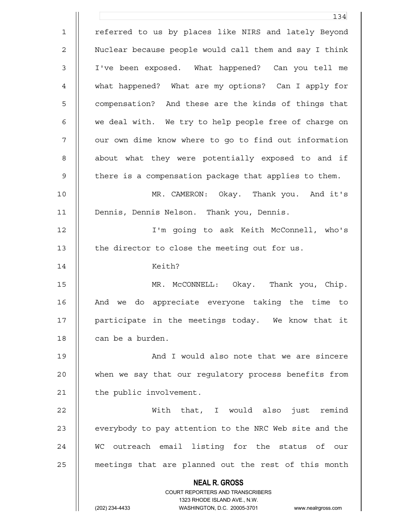**NEAL R. GROSS** COURT REPORTERS AND TRANSCRIBERS 1323 RHODE ISLAND AVE., N.W. (202) 234-4433 WASHINGTON, D.C. 20005-3701 www.nealrgross.com 134 1 || referred to us by places like NIRS and lately Beyond 2 | Nuclear because people would call them and say I think 3 I've been exposed. What happened? Can you tell me 4 what happened? What are my options? Can I apply for 5 || compensation? And these are the kinds of things that 6 || we deal with. We try to help people free of charge on 7 | our own dime know where to go to find out information 8 | about what they were potentially exposed to and if 9 | there is a compensation package that applies to them. 10 MR. CAMERON: Okay. Thank you. And it's 11 Dennis, Dennis Nelson. Thank you, Dennis. 12 I'm going to ask Keith McConnell, who's 13 | the director to close the meeting out for us. 14 Keith? 15 MR. McCONNELL: Okay. Thank you, Chip. 16 || And we do appreciate everyone taking the time to 17 || participate in the meetings today. We know that it 18 | can be a burden. 19 || And I would also note that we are sincere 20 when we say that our regulatory process benefits from 21 | the public involvement. 22 With that, I would also just remind 23 | everybody to pay attention to the NRC Web site and the 24 || WC outreach email listing for the status of our 25 | meetings that are planned out the rest of this month